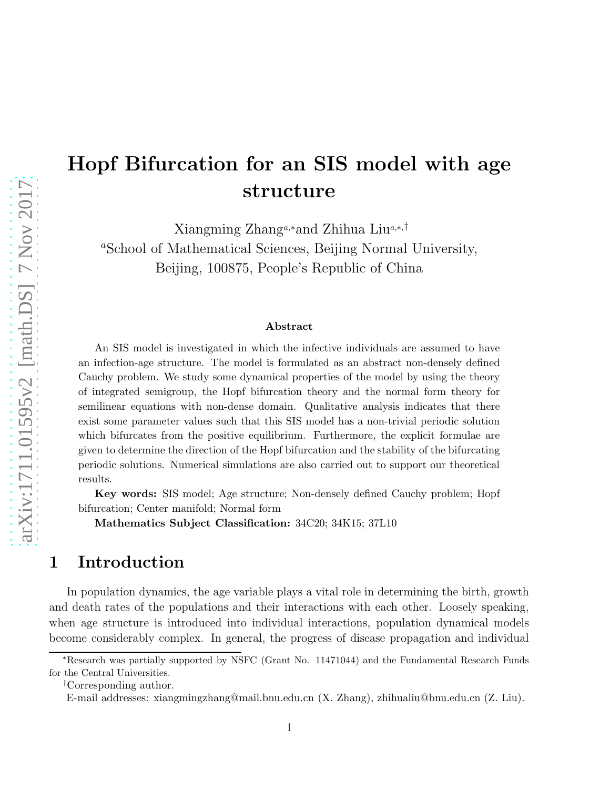# Hopf Bifurcation for an SIS model with age structure

Xiangming Zhanga,∗and Zhihua Liua,∗,† <sup>a</sup>School of Mathematical Sciences, Beijing Normal University, Beijing, 100875, People's Republic of China

#### Abstract

An SIS model is investigated in which the infective individuals are assumed to have an infection-age structure. The model is formulated as an abstract non-densely defined Cauchy problem. We study some dynamical properties of the model by using the theory of integrated semigroup, the Hopf bifurcation theory and the normal form theory for semilinear equations with non-dense domain. Qualitative analysis indicates that there exist some parameter values such that this SIS model has a non-trivial periodic solution which bifurcates from the positive equilibrium. Furthermore, the explicit formulae are given to determine the direction of the Hopf bifurcation and the stability of the bifurcating periodic solutions. Numerical simulations are also carried out to support our theoretical results.

Key words: SIS model; Age structure; Non-densely defined Cauchy problem; Hopf bifurcation; Center manifold; Normal form

Mathematics Subject Classification: 34C20; 34K15; 37L10

## 1 Introduction

In population dynamics, the age variable plays a vital role in determining the birth, growth and death rates of the populations and their interactions with each other. Loosely speaking, when age structure is introduced into individual interactions, population dynamical models become considerably complex. In general, the progress of disease propagation and individual

<sup>∗</sup>Research was partially supported by NSFC (Grant No. 11471044) and the Fundamental Research Funds for the Central Universities.

<sup>†</sup>Corresponding author.

E-mail addresses: xiangmingzhang@mail.bnu.edu.cn (X. Zhang), zhihualiu@bnu.edu.cn (Z. Liu).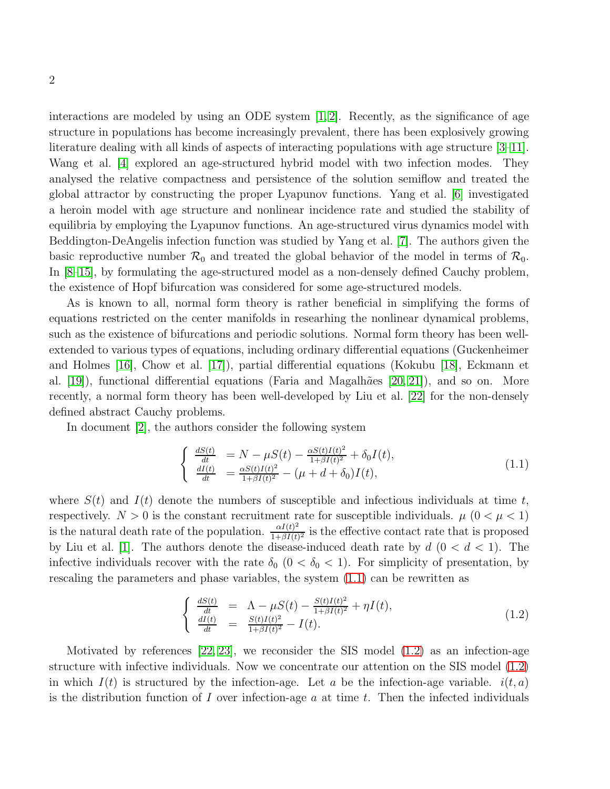interactions are modeled by using an ODE system  $[1, 2]$  $[1, 2]$ . Recently, as the significance of age structure in populations has become increasingly prevalent, there has been explosively growing literature dealing with all kinds of aspects of interacting populations with age structure [\[3](#page-47-2)[–11\]](#page-47-3). Wang et al. [\[4\]](#page-47-4) explored an age-structured hybrid model with two infection modes. They analysed the relative compactness and persistence of the solution semiflow and treated the global attractor by constructing the proper Lyapunov functions. Yang et al. [\[6\]](#page-47-5) investigated a heroin model with age structure and nonlinear incidence rate and studied the stability of equilibria by employing the Lyapunov functions. An age-structured virus dynamics model with Beddington-DeAngelis infection function was studied by Yang et al. [\[7\]](#page-47-6). The authors given the basic reproductive number  $\mathcal{R}_0$  and treated the global behavior of the model in terms of  $\mathcal{R}_0$ . In [\[8](#page-47-7)[–15\]](#page-47-8), by formulating the age-structured model as a non-densely defined Cauchy problem, the existence of Hopf bifurcation was considered for some age-structured models.

As is known to all, normal form theory is rather beneficial in simplifying the forms of equations restricted on the center manifolds in researhing the nonlinear dynamical problems, such as the existence of bifurcations and periodic solutions. Normal form theory has been wellextended to various types of equations, including ordinary differential equations (Guckenheimer and Holmes [\[16\]](#page-47-9), Chow et al. [\[17\]](#page-47-10)), partial differential equations (Kokubu [\[18\]](#page-48-0), Eckmann et al.  $[19]$ , functional differential equations (Faria and Magalh $\tilde{a}$ es  $[20, 21]$  $[20, 21]$ ), and so on. More recently, a normal form theory has been well-developed by Liu et al. [\[22\]](#page-48-4) for the non-densely defined abstract Cauchy problems.

In document [\[2\]](#page-47-1), the authors consider the following system

<span id="page-1-0"></span>
$$
\begin{cases}\n\frac{dS(t)}{dt} = N - \mu S(t) - \frac{\alpha S(t)I(t)^2}{1 + \beta I(t)^2} + \delta_0 I(t), \n\frac{dI(t)}{dt} = \frac{\alpha S(t)I(t)^2}{1 + \beta I(t)^2} - (\mu + d + \delta_0)I(t),\n\end{cases} (1.1)
$$

where  $S(t)$  and  $I(t)$  denote the numbers of susceptible and infectious individuals at time t, respectively.  $N > 0$  is the constant recruitment rate for susceptible individuals.  $\mu$  ( $0 < \mu < 1$ ) is the natural death rate of the population.  $\frac{\alpha I(t)^2}{1+\beta I(t)}$  $\frac{\alpha I(t)}{1+\beta I(t)^2}$  is the effective contact rate that is proposed by Liu et al. [\[1\]](#page-47-0). The authors denote the disease-induced death rate by  $d$   $(0 < d < 1)$ . The infective individuals recover with the rate  $\delta_0$   $(0 < \delta_0 < 1)$ . For simplicity of presentation, by rescaling the parameters and phase variables, the system [\(1.1\)](#page-1-0) can be rewritten as

<span id="page-1-1"></span>
$$
\begin{cases} \frac{dS(t)}{dt} = \Lambda - \mu S(t) - \frac{S(t)I(t)^2}{1 + \beta I(t)^2} + \eta I(t), \\ \frac{dI(t)}{dt} = \frac{S(t)I(t)^2}{1 + \beta I(t)^2} - I(t). \end{cases}
$$
(1.2)

Motivated by references [\[22,](#page-48-4) [23\]](#page-48-5), we reconsider the SIS model [\(1.2\)](#page-1-1) as an infection-age structure with infective individuals. Now we concentrate our attention on the SIS model [\(1.2\)](#page-1-1) in which  $I(t)$  is structured by the infection-age. Let a be the infection-age variable.  $i(t, a)$ is the distribution function of I over infection-age  $a$  at time  $t$ . Then the infected individuals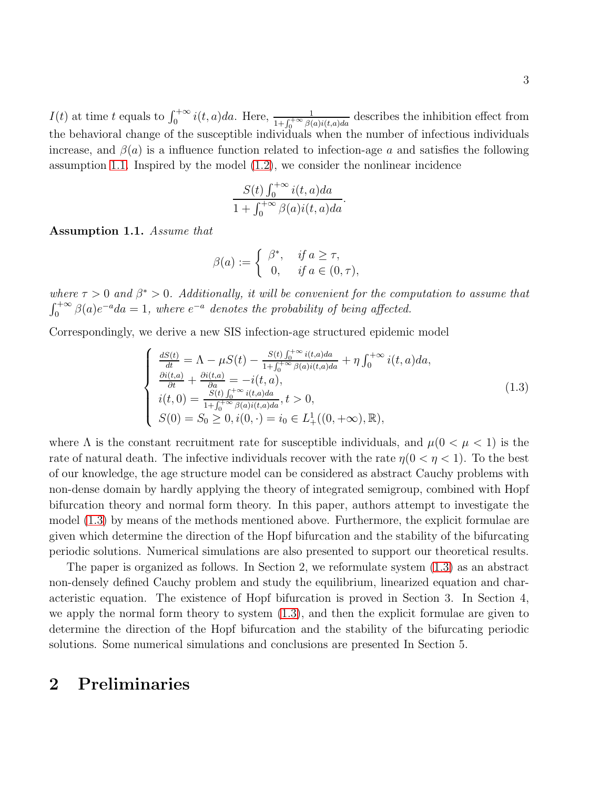3

 $I(t)$  at time t equals to  $\int_0^{+\infty} i(t,a)da$ . Here,  $\frac{1}{1+\int_0^{+\infty} \beta(a)i(t,a)da}$  describes the inhibition effect from the behavioral change of the susceptible individuals when the number of infectious individuals increase, and  $\beta(a)$  is a influence function related to infection-age a and satisfies the following assumption [1.1.](#page-2-0) Inspired by the model [\(1.2\)](#page-1-1), we consider the nonlinear incidence

$$
\frac{S(t)\int_0^{+\infty}i(t,a)da}{1+\int_0^{+\infty}\beta(a)i(t,a)da}
$$

<span id="page-2-0"></span>Assumption 1.1. Assume that

$$
\beta(a) := \begin{cases} \beta^*, & \text{if } a \ge \tau, \\ 0, & \text{if } a \in (0, \tau), \end{cases}
$$

where  $\tau > 0$  and  $\beta^* > 0$ . Additionally, it will be convenient for the computation to assume that  $\int_0^{+\infty} \beta(a)e^{-a}da = 1$ , where  $e^{-a}$  denotes the probability of being affected.

Correspondingly, we derive a new SIS infection-age structured epidemic model

<span id="page-2-1"></span>
$$
\begin{cases}\n\frac{dS(t)}{dt} = \Lambda - \mu S(t) - \frac{S(t) \int_0^{+\infty} i(t,a)da}{1 + \int_0^{+\infty} \beta(a)i(t,a)da} + \eta \int_0^{+\infty} i(t,a)da, \\
\frac{\partial i(t,a)}{\partial t} + \frac{\partial i(t,a)}{\partial a} = -i(t,a), \\
i(t,0) = \frac{S(t) \int_0^{+\infty} i(t,a)da}{1 + \int_0^{+\infty} \beta(a)i(t,a)da}, t > 0, \\
S(0) = S_0 \ge 0, i(0, \cdot) = i_0 \in L^1_+((0, +\infty), \mathbb{R}),\n\end{cases} (1.3)
$$

.

where  $\Lambda$  is the constant recruitment rate for susceptible individuals, and  $\mu(0 < \mu < 1)$  is the rate of natural death. The infective individuals recover with the rate  $\eta(0 < \eta < 1)$ . To the best of our knowledge, the age structure model can be considered as abstract Cauchy problems with non-dense domain by hardly applying the theory of integrated semigroup, combined with Hopf bifurcation theory and normal form theory. In this paper, authors attempt to investigate the model [\(1.3\)](#page-2-1) by means of the methods mentioned above. Furthermore, the explicit formulae are given which determine the direction of the Hopf bifurcation and the stability of the bifurcating periodic solutions. Numerical simulations are also presented to support our theoretical results.

The paper is organized as follows. In Section 2, we reformulate system [\(1.3\)](#page-2-1) as an abstract non-densely defined Cauchy problem and study the equilibrium, linearized equation and characteristic equation. The existence of Hopf bifurcation is proved in Section 3. In Section 4, we apply the normal form theory to system [\(1.3\)](#page-2-1), and then the explicit formulae are given to determine the direction of the Hopf bifurcation and the stability of the bifurcating periodic solutions. Some numerical simulations and conclusions are presented In Section 5.

# 2 Preliminaries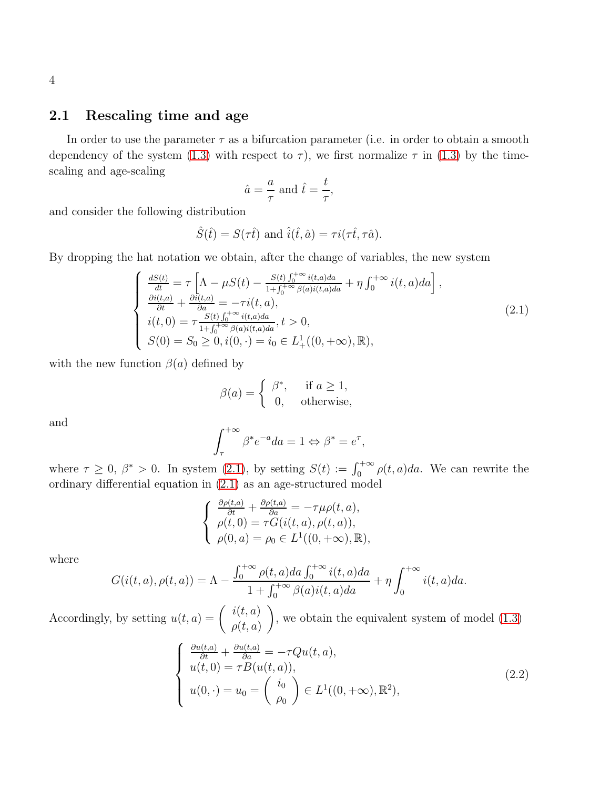#### 2.1 Rescaling time and age

In order to use the parameter  $\tau$  as a bifurcation parameter (i.e. in order to obtain a smooth dependency of the system [\(1.3\)](#page-2-1) with respect to  $\tau$ ), we first normalize  $\tau$  in (1.3) by the timescaling and age-scaling

$$
\hat{a} = \frac{a}{\tau}
$$
 and  $\hat{t} = \frac{t}{\tau}$ ,

and consider the following distribution

$$
\hat{S}(\hat{t}) = S(\tau \hat{t})
$$
 and  $\hat{i}(\hat{t}, \hat{a}) = \tau i(\tau \hat{t}, \tau \hat{a}).$ 

By dropping the hat notation we obtain, after the change of variables, the new system

<span id="page-3-0"></span>
$$
\begin{cases}\n\frac{dS(t)}{dt} = \tau \left[ \Lambda - \mu S(t) - \frac{S(t) \int_0^{+\infty} i(t,a)da}{1 + \int_0^{+\infty} \beta(a)i(t,a)da} + \eta \int_0^{+\infty} i(t,a)da \right],\n\frac{\partial i(t,a)}{\partial t} + \frac{\partial i(t,a)}{\partial a} = -\tau i(t,a),\n\dot{i}(t,0) = \tau \frac{S(t) \int_0^{+\infty} i(t,a)da}{1 + \int_0^{+\infty} \beta(a)i(t,a)da}, t > 0,\nS(0) = S_0 \ge 0, i(0, \cdot) = i_0 \in L^1_+((0, +\infty), \mathbb{R}),\n\end{cases}
$$
\n(2.1)

with the new function  $\beta(a)$  defined by

$$
\beta(a) = \begin{cases} \beta^*, & \text{if } a \ge 1, \\ 0, & \text{otherwise,} \end{cases}
$$

and

$$
\int_{\tau}^{+\infty} \beta^* e^{-a} da = 1 \Leftrightarrow \beta^* = e^{\tau},
$$

where  $\tau \geq 0$ ,  $\beta^* > 0$ . In system [\(2.1\)](#page-3-0), by setting  $S(t) := \int_0^{+\infty} \rho(t, a) da$ . We can rewrite the ordinary differential equation in [\(2.1\)](#page-3-0) as an age-structured model

$$
\begin{cases}\n\frac{\partial \rho(t,a)}{\partial t} + \frac{\partial \rho(t,a)}{\partial a} = -\tau \mu \rho(t,a), \\
\rho(t,0) = \tau G(i(t,a), \rho(t,a)), \\
\rho(0,a) = \rho_0 \in L^1((0,+\infty), \mathbb{R}),\n\end{cases}
$$

where

$$
G(i(t, a), \rho(t, a)) = \Lambda - \frac{\int_0^{+\infty} \rho(t, a)da \int_0^{+\infty} i(t, a)da}{1 + \int_0^{+\infty} \beta(a)i(t, a)da} + \eta \int_0^{+\infty} i(t, a)da.
$$

Accordingly, by setting  $u(t, a) = \begin{pmatrix} i(t, a) \\ i(t, a) \end{pmatrix}$  $\rho(t,a)$  $\setminus$ , we obtain the equivalent system of model [\(1.3\)](#page-2-1)

<span id="page-3-1"></span>
$$
\begin{cases}\n\frac{\partial u(t,a)}{\partial t} + \frac{\partial u(t,a)}{\partial a} = -\tau Qu(t,a), \\
u(t,0) = \tau B(u(t,a)), \\
u(0,\cdot) = u_0 = \begin{pmatrix} i_0 \\ \rho_0 \end{pmatrix} \in L^1((0,+\infty),\mathbb{R}^2),\n\end{cases} \tag{2.2}
$$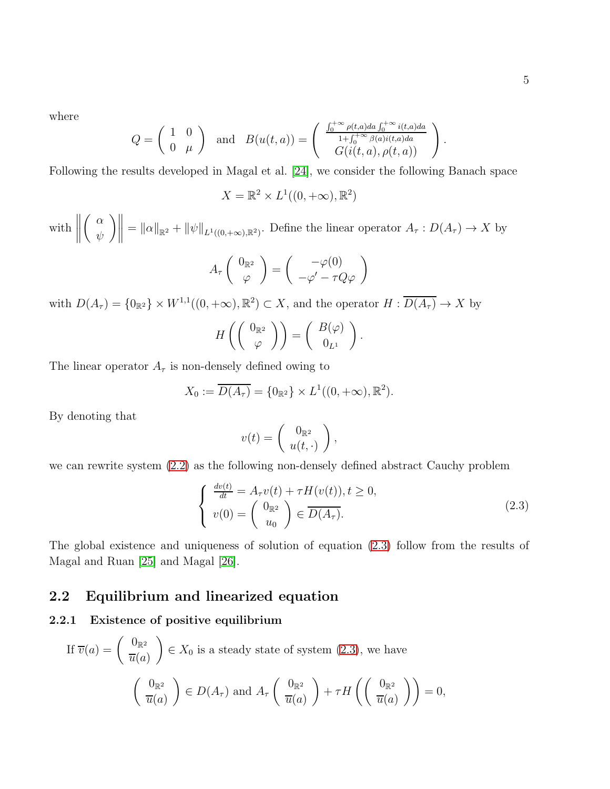.

where

$$
Q = \begin{pmatrix} 1 & 0 \\ 0 & \mu \end{pmatrix} \text{ and } B(u(t,a)) = \begin{pmatrix} \frac{\int_0^{+\infty} \rho(t,a)da \int_0^{+\infty} i(t,a)da}{1 + \int_0^{+\infty} \beta(a)i(t,a)da} \\ G(i(t,a), \rho(t,a)) \end{pmatrix}
$$

Following the results developed in Magal et al. [\[24\]](#page-48-6), we consider the following Banach space

 $X = \mathbb{R}^2 \times L^1((0, +\infty), \mathbb{R}^2)$ 

with  $\begin{array}{c} \begin{array}{c} \begin{array}{c} \begin{array}{c} \end{array}\\ \end{array} \\ \begin{array}{c} \end{array} \end{array} \end{array} \end{array}$  $\int \alpha$ ψ  $\mathbb{E}\left\|f\right\|_{\mathbb{R}^2} + \|\psi\|_{L^1((0,+\infty),\mathbb{R}^2)}$ . Define the linear operator  $A_\tau : D(A_\tau) \to X$  by

$$
A_{\tau}\left(\begin{array}{c}0_{\mathbb{R}^2}\\ \varphi\end{array}\right)=\left(\begin{array}{c}-\varphi(0)\\ -\varphi'-\tau Q\varphi\end{array}\right)
$$

with  $D(A_\tau) = \{0_{\mathbb{R}^2}\}\times W^{1,1}((0,+\infty),\mathbb{R}^2) \subset X$ , and the operator  $H: \overline{D(A_\tau)} \to X$  by

$$
H\left(\left(\begin{array}{c}0_{\mathbb{R}^2}\\ \varphi\end{array}\right)\right)=\left(\begin{array}{c}B(\varphi)\\ 0_{L^1}\end{array}\right).
$$

The linear operator  $A_{\tau}$  is non-densely defined owing to

$$
X_0 := \overline{D(A_\tau)} = \{0_{\mathbb{R}^2}\} \times L^1((0, +\infty), \mathbb{R}^2).
$$

By denoting that

$$
v(t) = \left(\begin{array}{c} 0_{\mathbb{R}^2} \\ u(t, \cdot) \end{array}\right),
$$

we can rewrite system [\(2.2\)](#page-3-1) as the following non-densely defined abstract Cauchy problem

<span id="page-4-0"></span>
$$
\begin{cases}\n\frac{dv(t)}{dt} = A_{\tau}v(t) + \tau H(v(t)), t \ge 0, \\
v(0) = \begin{pmatrix} 0_{\mathbb{R}^2} \\ u_0 \end{pmatrix} \in \overline{D(A_{\tau})}.\n\end{cases}
$$
\n(2.3)

The global existence and uniqueness of solution of equation [\(2.3\)](#page-4-0) follow from the results of Magal and Ruan [\[25\]](#page-48-7) and Magal [\[26\]](#page-48-8).

### 2.2 Equilibrium and linearized equation

#### 2.2.1 Existence of positive equilibrium

If 
$$
\overline{v}(a) = \begin{pmatrix} 0_{\mathbb{R}^2} \\ \overline{u}(a) \end{pmatrix} \in X_0
$$
 is a steady state of system (2.3), we have  

$$
\begin{pmatrix} 0_{\mathbb{R}^2} \\ \overline{u}(a) \end{pmatrix} \in D(A_\tau) \text{ and } A_\tau \begin{pmatrix} 0_{\mathbb{R}^2} \\ \overline{u}(a) \end{pmatrix} + \tau H \left( \begin{pmatrix} 0_{\mathbb{R}^2} \\ \overline{u}(a) \end{pmatrix} \right) = 0,
$$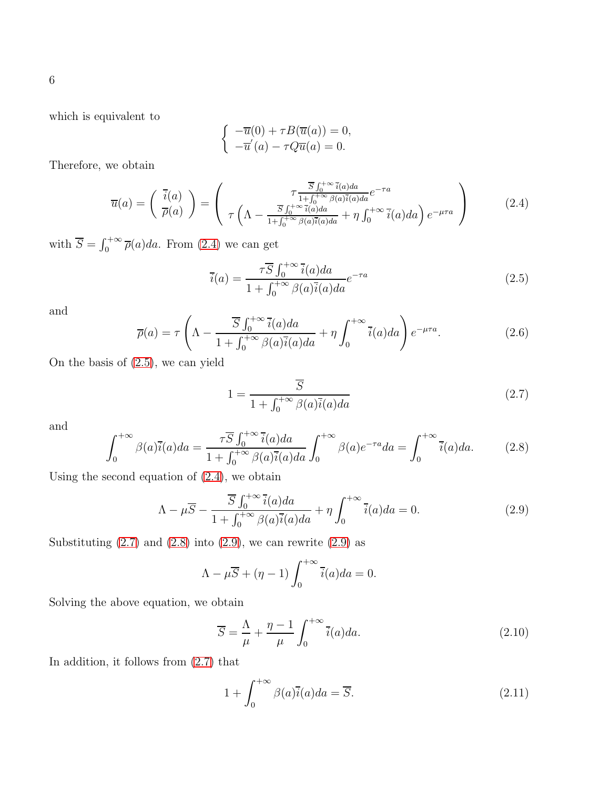which is equivalent to

$$
\begin{cases}\n-\overline{u}(0) + \tau B(\overline{u}(a)) = 0, \\
-\overline{u}'(a) - \tau Q\overline{u}(a) = 0.\n\end{cases}
$$

Therefore, we obtain

<span id="page-5-0"></span>
$$
\overline{u}(a) = \begin{pmatrix} \overline{i}(a) \\ \overline{\rho}(a) \end{pmatrix} = \begin{pmatrix} \tau \frac{\overline{S} \int_0^{+\infty} \overline{i}(a)da}{1 + \int_0^{+\infty} \beta(a)\overline{i}(a)da} e^{-\tau a} \\ \tau \left( \Lambda - \frac{\overline{S} \int_0^{+\infty} \overline{i}(a)da}{1 + \int_0^{+\infty} \beta(a)\overline{i}(a)da} + \eta \int_0^{+\infty} \overline{i}(a)da \right) e^{-\mu \tau a} \end{pmatrix}
$$
(2.4)

with  $\overline{S} = \int_0^{+\infty} \overline{\rho}(a)da$ . From [\(2.4\)](#page-5-0) we can get

<span id="page-5-1"></span>
$$
\overline{i}(a) = \frac{\tau \overline{S} \int_0^{+\infty} \overline{i}(a)da}{1 + \int_0^{+\infty} \beta(a)\overline{i}(a)da} e^{-\tau a}
$$
\n(2.5)

and

<span id="page-5-7"></span>
$$
\overline{\rho}(a) = \tau \left( \Lambda - \frac{\overline{S} \int_0^{+\infty} \overline{i}(a)da}{1 + \int_0^{+\infty} \beta(a)\overline{i}(a)da} + \eta \int_0^{+\infty} \overline{i}(a)da \right) e^{-\mu \tau a}.
$$
 (2.6)

On the basis of [\(2.5\)](#page-5-1), we can yield

<span id="page-5-2"></span>
$$
1 = \frac{S}{1 + \int_0^{+\infty} \beta(a)\bar{i}(a)da} \tag{2.7}
$$

and

<span id="page-5-3"></span>
$$
\int_0^{+\infty} \beta(a)\overline{i}(a)da = \frac{\tau \overline{S} \int_0^{+\infty} \overline{i}(a)da}{1 + \int_0^{+\infty} \beta(a)\overline{i}(a)da} \int_0^{+\infty} \beta(a)e^{-\tau a}da = \int_0^{+\infty} \overline{i}(a)da.
$$
 (2.8)

Using the second equation of [\(2.4\)](#page-5-0), we obtain

<span id="page-5-4"></span>
$$
\Lambda - \mu \overline{S} - \frac{\overline{S} \int_0^{+\infty} \overline{i}(a)da}{1 + \int_0^{+\infty} \beta(a)\overline{i}(a)da} + \eta \int_0^{+\infty} \overline{i}(a)da = 0.
$$
 (2.9)

Substituting  $(2.7)$  and  $(2.8)$  into  $(2.9)$ , we can rewrite  $(2.9)$  as

$$
\Lambda - \mu \overline{S} + (\eta - 1) \int_0^{+\infty} \overline{i}(a) da = 0.
$$

Solving the above equation, we obtain

<span id="page-5-5"></span>
$$
\overline{S} = \frac{\Lambda}{\mu} + \frac{\eta - 1}{\mu} \int_0^{+\infty} \overline{i}(a) da.
$$
 (2.10)

In addition, it follows from [\(2.7\)](#page-5-2) that

<span id="page-5-6"></span>
$$
1 + \int_0^{+\infty} \beta(a)\overline{i}(a)da = \overline{S}.
$$
 (2.11)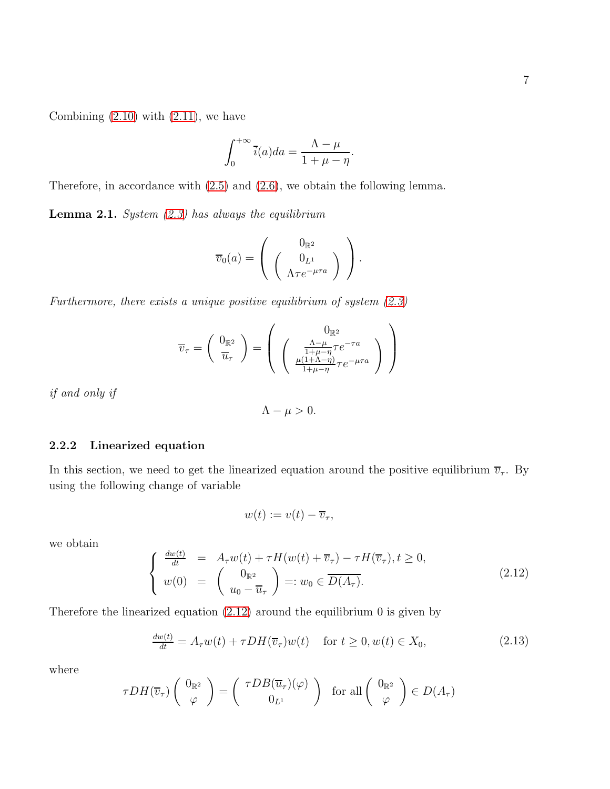Combining  $(2.10)$  with  $(2.11)$ , we have

$$
\int_0^{+\infty} \overline{i}(a)da = \frac{\Lambda - \mu}{1 + \mu - \eta}.
$$

Therefore, in accordance with [\(2.5\)](#page-5-1) and [\(2.6\)](#page-5-7), we obtain the following lemma.

**Lemma 2.1.** System  $(2.3)$  has always the equilibrium

$$
\overline{v}_0(a) = \left(\begin{array}{c} 0_{\mathbb{R}^2} \\ 0_{L^1} \\ \Lambda \tau e^{-\mu \tau a} \end{array}\right).
$$

Furthermore, there exists a unique positive equilibrium of system  $(2.3)$ 

$$
\overline{v}_{\tau} = \begin{pmatrix} 0_{\mathbb{R}^2} \\ \overline{u}_{\tau} \end{pmatrix} = \begin{pmatrix} 0_{\mathbb{R}^2} \\ \begin{pmatrix} \frac{\Lambda - \mu}{1 + \mu - \eta} \tau e^{-\tau a} \\ \frac{\mu(1 + \Lambda - \eta)}{1 + \mu - \eta} \tau e^{-\mu \tau a} \end{pmatrix} \end{pmatrix}
$$

if and only if

$$
\Lambda - \mu > 0.
$$

#### 2.2.2 Linearized equation

In this section, we need to get the linearized equation around the positive equilibrium  $\overline{v}_\tau$ . By using the following change of variable

$$
w(t) := v(t) - \overline{v}_\tau,
$$

we obtain

<span id="page-6-0"></span>
$$
\begin{cases}\n\frac{dw(t)}{dt} = A_{\tau}w(t) + \tau H(w(t) + \overline{v}_{\tau}) - \tau H(\overline{v}_{\tau}), t \ge 0, \\
w(0) = \begin{pmatrix} 0_{\mathbb{R}^2} \\
u_0 - \overline{u}_{\tau} \end{pmatrix} =: w_0 \in \overline{D(A_{\tau})}.\n\end{cases}
$$
\n(2.12)

Therefore the linearized equation  $(2.12)$  around the equilibrium 0 is given by

$$
\frac{dw(t)}{dt} = A_{\tau}w(t) + \tau DH(\overline{v}_{\tau})w(t) \quad \text{for } t \ge 0, w(t) \in X_0,
$$
\n(2.13)

where

$$
\tau DH(\overline{v}_{\tau})\left(\begin{array}{c}0_{\mathbb{R}^2}\\ \varphi\end{array}\right)=\left(\begin{array}{c} \tau DB(\overline{u}_{\tau})(\varphi)\\ 0_{L^1}\end{array}\right) \text{ for all } \left(\begin{array}{c}0_{\mathbb{R}^2}\\ \varphi\end{array}\right)\in D(A_{\tau})
$$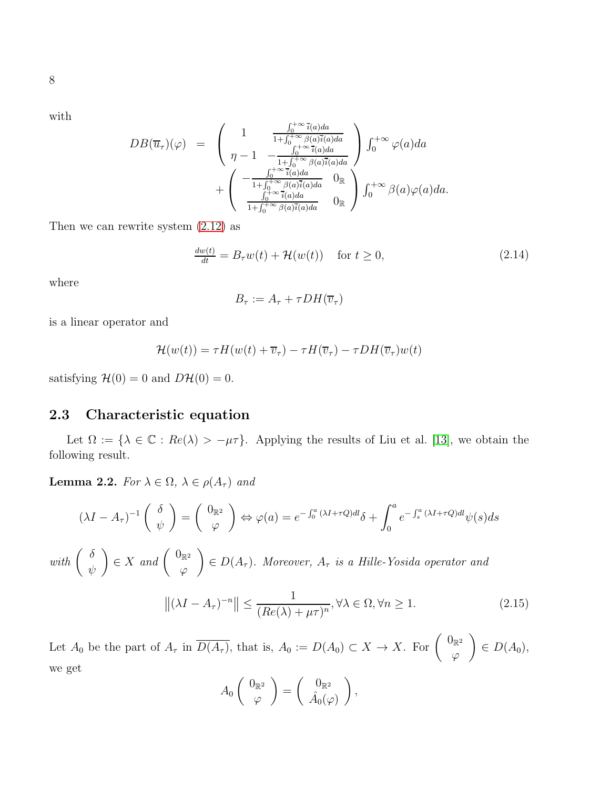with

$$
DB(\overline{u}_{\tau})(\varphi) = \begin{pmatrix} 1 & \frac{\int_0^{+\infty} \overline{i}(a)da}{1 + \int_0^{+\infty} \beta(a)\overline{i}(a)da} \\ \eta - 1 & -\frac{\int_0^{+\infty} \overline{i}(a)da}{1 + \int_0^{+\infty} \beta(a)\overline{i}(a)da} \end{pmatrix} \int_0^{+\infty} \varphi(a)da + \begin{pmatrix} -\frac{\int_0^{+\infty} \overline{i}(a)da}{1 + \int_0^{+\infty} \beta(a)\overline{i}(a)da} & 0\\ \frac{\int_0^{+\infty} \overline{i}(a)da}{1 + \int_0^{+\infty} \beta(a)\overline{i}(a)da} & 0\\ \end{pmatrix} \int_0^{+\infty} \beta(a)\varphi(a)da.
$$

Then we can rewrite system [\(2.12\)](#page-6-0) as

$$
\frac{dw(t)}{dt} = B_{\tau}w(t) + \mathcal{H}(w(t)) \quad \text{for } t \ge 0,
$$
\n(2.14)

where

$$
B_{\tau} := A_{\tau} + \tau DH(\overline{v}_{\tau})
$$

is a linear operator and

$$
\mathcal{H}(w(t)) = \tau H(w(t) + \overline{v}_{\tau}) - \tau H(\overline{v}_{\tau}) - \tau DH(\overline{v}_{\tau})w(t)
$$

satisfying  $\mathcal{H}(0) = 0$  and  $D\mathcal{H}(0) = 0$ .

### 2.3 Characteristic equation

Let  $\Omega := \{\lambda \in \mathbb{C} : Re(\lambda) > -\mu\tau\}$ . Applying the results of Liu et al. [\[13\]](#page-47-11), we obtain the following result.

**Lemma 2.2.** For  $\lambda \in \Omega$ ,  $\lambda \in \rho(A_\tau)$  and

$$
(\lambda I - A_{\tau})^{-1} \begin{pmatrix} \delta \\ \psi \end{pmatrix} = \begin{pmatrix} 0_{\mathbb{R}^2} \\ \varphi \end{pmatrix} \Leftrightarrow \varphi(a) = e^{-\int_0^a (\lambda I + \tau Q) dI} \delta + \int_0^a e^{-\int_s^a (\lambda I + \tau Q) dI} \psi(s) ds
$$

with  $\begin{pmatrix} \delta \\ \end{pmatrix}$ ψ  $\Big) \in X$  and  $\Big( \begin{array}{c} 0_{\mathbb{R}^2} \\ \emptyset \end{array} \Big)$  $\varphi$  $\Big) \in D(A_{\tau}).$  Moreover,  $A_{\tau}$  is a Hille-Yosida operator and

<span id="page-7-0"></span>
$$
\left\| (\lambda I - A_{\tau})^{-n} \right\| \le \frac{1}{(Re(\lambda) + \mu \tau)^n}, \forall \lambda \in \Omega, \forall n \ge 1.
$$
 (2.15)

Let  $A_0$  be the part of  $A_\tau$  in  $\overline{D(A_\tau)}$ , that is,  $A_0 := D(A_0) \subset X \to X$ . For  $\begin{pmatrix} 0_{\mathbb{R}^2} \\ 0_{\mathbb{R}^2} \end{pmatrix}$  $\varphi$  $\Big) \in D(A_0),$ we get

$$
A_0\left(\begin{array}{c}0_{\mathbb{R}^2}\\ \varphi\end{array}\right)=\left(\begin{array}{c}0_{\mathbb{R}^2}\\ \hat{A}_0(\varphi)\end{array}\right),\,
$$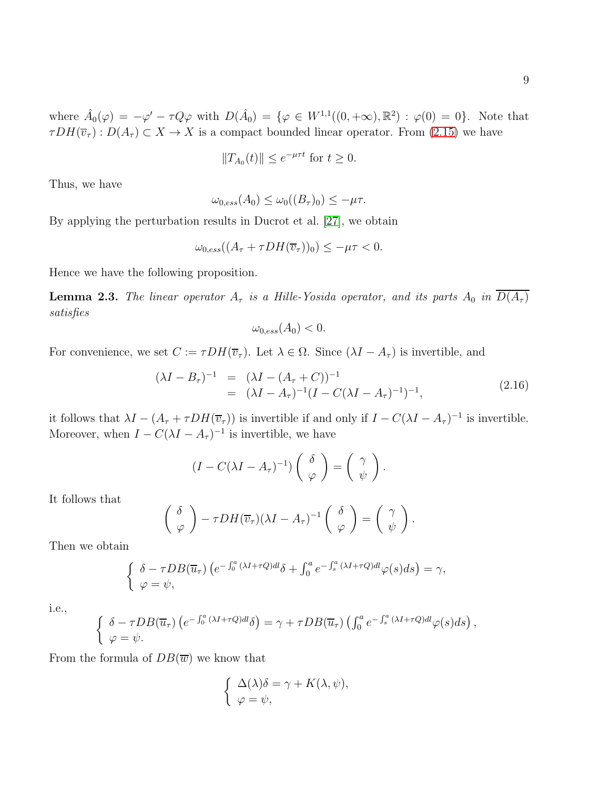where  $\hat{A}_0(\varphi) = -\varphi' - \tau Q \varphi$  with  $D(\hat{A}_0) = {\varphi \in W^{1,1}((0, +\infty), \mathbb{R}^2) : \varphi(0) = 0}.$  Note that  $\tau DH(\overline{v}_{\tau} : D(A_{\tau}) \subset X \to X$  is a compact bounded linear operator. From [\(2.15\)](#page-7-0) we have

$$
||T_{A_0}(t)|| \le e^{-\mu\tau t} \text{ for } t \ge 0.
$$

Thus, we have

$$
\omega_{0,ess}(A_0) \le \omega_0((B_\tau)_0) \le -\mu\tau.
$$

By applying the perturbation results in Ducrot et al. [\[27\]](#page-48-9), we obtain

$$
\omega_{0,ess}((A_{\tau} + \tau DH(\overline{v}_{\tau}))_0) \leq -\mu\tau < 0.
$$

Hence we have the following proposition.

**Lemma 2.3.** The linear operator  $A_{\tau}$  is a Hille-Yosida operator, and its parts  $A_0$  in  $\overline{D(A_{\tau})}$ satisfies

$$
\omega_{0,ess}(A_0) < 0.
$$

For convenience, we set  $C := \tau DH(\overline{v}_\tau)$ . Let  $\lambda \in \Omega$ . Since  $(\lambda I - A_\tau)$  is invertible, and

$$
(\lambda I - B_{\tau})^{-1} = (\lambda I - (A_{\tau} + C))^{-1}
$$
  
=  $(\lambda I - A_{\tau})^{-1} (I - C(\lambda I - A_{\tau})^{-1})^{-1},$  (2.16)

it follows that  $\lambda I - (A_{\tau} + \tau DH(\overline{v}_{\tau}))$  is invertible if and only if  $I - C(\lambda I - A_{\tau})^{-1}$  is invertible. Moreover, when  $I - C(\lambda I - A_{\tau})^{-1}$  is invertible, we have

$$
(I - C(\lambda I - A_{\tau})^{-1}) \begin{pmatrix} \delta \\ \varphi \end{pmatrix} = \begin{pmatrix} \gamma \\ \psi \end{pmatrix}.
$$

It follows that

$$
\left(\begin{array}{c} \delta \\ \varphi \end{array}\right) - \tau DH(\overline{v}_{\tau})(\lambda I - A_{\tau})^{-1} \left(\begin{array}{c} \delta \\ \varphi \end{array}\right) = \left(\begin{array}{c} \gamma \\ \psi \end{array}\right).
$$

Then we obtain

$$
\begin{cases} \n\delta - \tau DB(\overline{u}_{\tau}) \left( e^{-\int_0^a (\lambda I + \tau Q) d\theta} \delta + \int_0^a e^{-\int_s^a (\lambda I + \tau Q) d\theta} \varphi(s) ds \right) = \gamma, \\
\varphi = \psi, \n\end{cases}
$$

i.e.,

$$
\begin{cases} \n\delta - \tau DB(\overline{u}_{\tau}) \left( e^{-\int_0^a (\lambda I + \tau Q) d\theta} \delta \right) = \gamma + \tau DB(\overline{u}_{\tau}) \left( \int_0^a e^{-\int_s^a (\lambda I + \tau Q) d\theta} \varphi(s) ds \right), \\
\varphi = \psi. \n\end{cases}
$$

From the formula of  $DB(\overline{w})$  we know that

$$
\begin{cases} \Delta(\lambda)\delta = \gamma + K(\lambda, \psi), \\ \varphi = \psi, \end{cases}
$$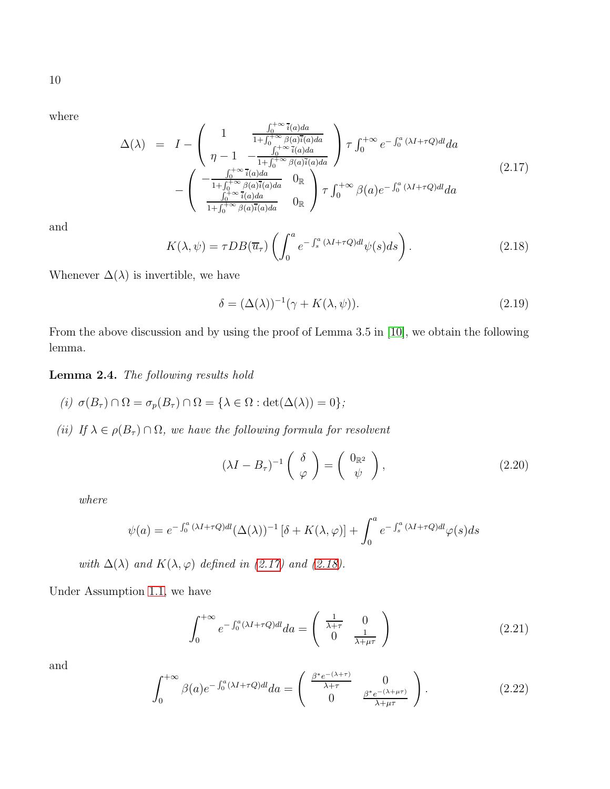10

where

<span id="page-9-0"></span>
$$
\Delta(\lambda) = I - \begin{pmatrix} 1 & \frac{\int_0^{+\infty} \bar{i}(a)da}{1 + \int_0^{+\infty} \beta(a)\bar{i}(a)da} \\ \eta - 1 & -\frac{\int_0^{+\infty} \bar{i}(a)da}{1 + \int_0^{+\infty} \beta(a)\bar{i}(a)da} \end{pmatrix} \tau \int_0^{+\infty} e^{-\int_0^a (\lambda I + \tau Q)dl} da
$$
\n
$$
- \begin{pmatrix} -\frac{\int_0^{+\infty} \bar{i}(a)da}{1 + \int_0^{+\infty} \beta(a)\bar{i}(a)da} & 0\\ \frac{\int_0^{+\infty} \bar{i}(a)da}{1 + \int_0^{+\infty} \beta(a)\bar{i}(a)da} & 0 \end{pmatrix} \tau \int_0^{+\infty} \beta(a)e^{-\int_0^a (\lambda I + \tau Q)dl} da
$$
\n(2.17)

and

<span id="page-9-1"></span>
$$
K(\lambda, \psi) = \tau DB(\overline{u}_{\tau}) \left( \int_0^a e^{-\int_s^a (\lambda I + \tau Q) d\mu} \psi(s) ds \right). \tag{2.18}
$$

Whenever  $\Delta(\lambda)$  is invertible, we have

$$
\delta = (\Delta(\lambda))^{-1}(\gamma + K(\lambda, \psi)).
$$
\n(2.19)

From the above discussion and by using the proof of Lemma 3.5 in [\[10\]](#page-47-12), we obtain the following lemma.

Lemma 2.4. The following results hold

- (i)  $\sigma(B_{\tau}) \cap \Omega = \sigma_p(B_{\tau}) \cap \Omega = {\lambda \in \Omega : \det(\Delta(\lambda)) = 0};$
- (ii) If  $\lambda \in \rho(B_\tau) \cap \Omega$ , we have the following formula for resolvent

$$
(\lambda I - B_{\tau})^{-1} \begin{pmatrix} \delta \\ \varphi \end{pmatrix} = \begin{pmatrix} 0_{\mathbb{R}^2} \\ \psi \end{pmatrix}, \qquad (2.20)
$$

where

$$
\psi(a) = e^{-\int_0^a (\lambda I + \tau Q)dl} (\Delta(\lambda))^{-1} [\delta + K(\lambda, \varphi)] + \int_0^a e^{-\int_s^a (\lambda I + \tau Q)dl} \varphi(s) ds
$$

with  $\Delta(\lambda)$  and  $K(\lambda, \varphi)$  defined in [\(2.17\)](#page-9-0) and [\(2.18\)](#page-9-1).

Under Assumption [1.1,](#page-2-0) we have

<span id="page-9-2"></span>
$$
\int_0^{+\infty} e^{-\int_0^a (\lambda I + \tau Q) dl} da = \begin{pmatrix} \frac{1}{\lambda + \tau} & 0\\ 0 & \frac{1}{\lambda + \mu \tau} \end{pmatrix}
$$
 (2.21)

<span id="page-9-3"></span>
$$
\int_0^{+\infty} \beta(a)e^{-\int_0^a (\lambda I + \tau Q)dl} da = \begin{pmatrix} \frac{\beta^* e^{-(\lambda + \tau)}}{\lambda + \tau} & 0\\ 0 & \frac{\beta^* e^{-(\lambda + \mu \tau)}}{\lambda + \mu \tau} \end{pmatrix}.
$$
 (2.22)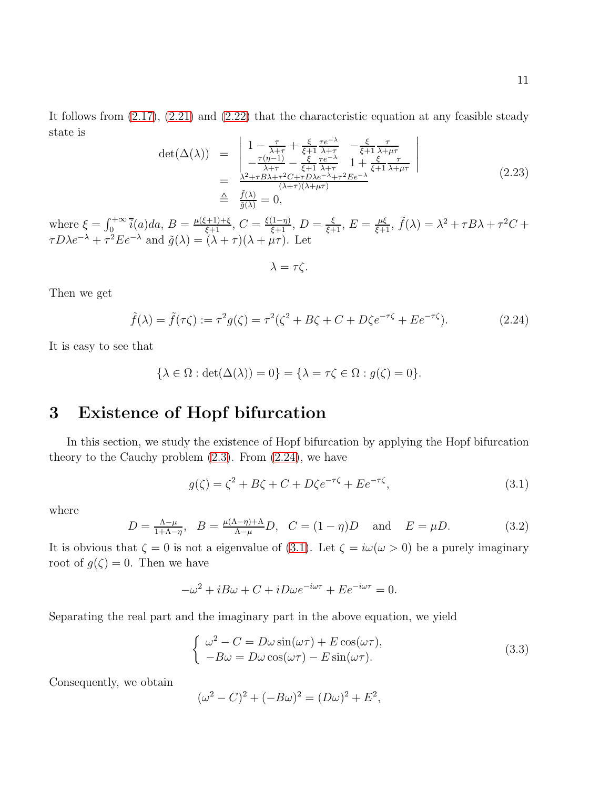It follows from [\(2.17\)](#page-9-0), [\(2.21\)](#page-9-2) and [\(2.22\)](#page-9-3) that the characteristic equation at any feasible steady state is

$$
\det(\Delta(\lambda)) = \begin{vmatrix} 1 - \frac{\tau}{\lambda + \tau} + \frac{\xi}{\xi + 1} \frac{\tau e^{-\lambda}}{\lambda + \tau} & -\frac{\xi}{\xi + 1} \frac{\tau}{\lambda + \mu \tau} \\ -\frac{\tau(\eta - 1)}{\lambda + \tau} - \frac{\xi}{\xi + 1} \frac{\tau e^{-\lambda}}{\lambda + \tau} & 1 + \frac{\xi}{\xi + 1} \frac{\tau}{\lambda + \mu \tau} \end{vmatrix}
$$
  
= 
$$
\frac{\frac{\lambda^2 + \tau B \lambda + \tau^2 C + \tau D \lambda e^{-\lambda} + \tau^2 E e^{-\lambda}}{(\lambda + \tau)(\lambda + \mu \tau)}}{\frac{\xi}{\tilde{g}(\lambda)}} = 0,
$$
 (2.23)

where  $\xi = \int_0^{+\infty} \overline{i}(a)da$ ,  $B = \frac{\mu(\xi+1)+\xi}{\xi+1}$ ,  $C = \frac{\xi(1-\eta)}{\xi+1}$ ,  $D = \frac{\xi}{\xi+1}$ ,  $E = \frac{\mu\xi}{\xi+1}$ ,  $\tilde{f}(\lambda) = \lambda^2 + \tau B\lambda + \tau^2 C + \tau C$  $\tau D\lambda e^{-\lambda} + \tau^2 E e^{-\lambda}$  and  $\tilde{g}(\lambda) = (\lambda + \tau)(\lambda + \mu\tau)$ . Let

$$
\lambda = \tau \zeta.
$$

Then we get

<span id="page-10-0"></span>
$$
\tilde{f}(\lambda) = \tilde{f}(\tau \zeta) := \tau^2 g(\zeta) = \tau^2 (\zeta^2 + B\zeta + C + D\zeta e^{-\tau \zeta} + E e^{-\tau \zeta}).
$$
\n(2.24)

It is easy to see that

$$
\{\lambda \in \Omega : \det(\Delta(\lambda)) = 0\} = \{\lambda = \tau\zeta \in \Omega : g(\zeta) = 0\}.
$$

# 3 Existence of Hopf bifurcation

In this section, we study the existence of Hopf bifurcation by applying the Hopf bifurcation theory to the Cauchy problem  $(2.3)$ . From  $(2.24)$ , we have

<span id="page-10-1"></span>
$$
g(\zeta) = \zeta^2 + B\zeta + C + D\zeta e^{-\tau\zeta} + E e^{-\tau\zeta},\tag{3.1}
$$

where

<span id="page-10-3"></span>
$$
D = \frac{\Lambda - \mu}{1 + \Lambda - \eta}, \quad B = \frac{\mu(\Lambda - \eta) + \Lambda}{\Lambda - \mu} D, \quad C = (1 - \eta)D \quad \text{and} \quad E = \mu D. \tag{3.2}
$$

It is obvious that  $\zeta = 0$  is not a eigenvalue of [\(3.1\)](#page-10-1). Let  $\zeta = i\omega(\omega > 0)$  be a purely imaginary root of  $g(\zeta) = 0$ . Then we have

$$
-\omega^2 + iB\omega + C + iD\omega e^{-i\omega\tau} + E e^{-i\omega\tau} = 0.
$$

Separating the real part and the imaginary part in the above equation, we yield

<span id="page-10-2"></span>
$$
\begin{cases}\n\omega^2 - C = D\omega \sin(\omega \tau) + E \cos(\omega \tau), \\
-B\omega = D\omega \cos(\omega \tau) - E \sin(\omega \tau).\n\end{cases}
$$
\n(3.3)

Consequently, we obtain

$$
(\omega^2 - C)^2 + (-B\omega)^2 = (D\omega)^2 + E^2,
$$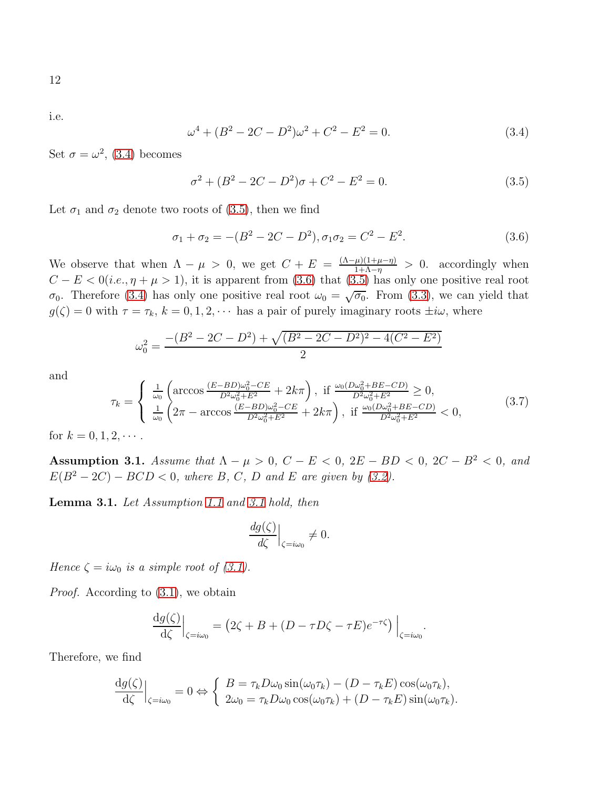i.e.

<span id="page-11-0"></span>
$$
\omega^4 + (B^2 - 2C - D^2)\omega^2 + C^2 - E^2 = 0.
$$
\n(3.4)

Set  $\sigma = \omega^2$ , [\(3.4\)](#page-11-0) becomes

<span id="page-11-1"></span>
$$
\sigma^2 + (B^2 - 2C - D^2)\sigma + C^2 - E^2 = 0.
$$
\n(3.5)

Let  $\sigma_1$  and  $\sigma_2$  denote two roots of [\(3.5\)](#page-11-1), then we find

<span id="page-11-2"></span>
$$
\sigma_1 + \sigma_2 = -(B^2 - 2C - D^2), \sigma_1 \sigma_2 = C^2 - E^2.
$$
\n(3.6)

We observe that when  $\Lambda - \mu > 0$ , we get  $C + E = \frac{(\Lambda - \mu)(1 + \mu - \eta)}{1 + \Lambda - \eta}$  $\frac{\mu(1+\mu-\eta)}{1+\Lambda-\eta} > 0$ . accordingly when  $C - E < 0$ (*i.e.*,  $\eta + \mu > 1$ ), it is apparent from [\(3.6\)](#page-11-2) that [\(3.5\)](#page-11-1) has only one positive real root  $\sigma_0$ . Therefore [\(3.4\)](#page-11-0) has only one positive real root  $\omega_0 = \sqrt{\sigma_0}$ . From [\(3.3\)](#page-10-2), we can yield that  $g(\zeta) = 0$  with  $\tau = \tau_k$ ,  $k = 0, 1, 2, \cdots$  has a pair of purely imaginary roots  $\pm i\omega$ , where

$$
\omega_0^2 = \frac{-(B^2 - 2C - D^2) + \sqrt{(B^2 - 2C - D^2)^2 - 4(C^2 - E^2)}}{2}
$$

and

<span id="page-11-4"></span>
$$
\tau_{k} = \begin{cases} \frac{1}{\omega_{0}} \left( \arccos \frac{(E - BD)\omega_{0}^{2} - CE}{D^{2}\omega_{0}^{2} + E^{2}} + 2k\pi \right), & \text{if } \frac{\omega_{0}(D\omega_{0}^{2} + BE - CD)}{D^{2}\omega_{0}^{2} + E^{2}} \ge 0, \\ \frac{1}{\omega_{0}} \left( 2\pi - \arccos \frac{(E - BD)\omega_{0}^{2} - CE}{D^{2}\omega_{0}^{2} + E^{2}} + 2k\pi \right), & \text{if } \frac{\omega_{0}(D\omega_{0}^{2} + BE - CD)}{D^{2}\omega_{0}^{2} + E^{2}} < 0, \end{cases}
$$
(3.7)

for  $k = 0, 1, 2, \cdots$ .

<span id="page-11-3"></span>Assumption 3.1. Assume that  $\Lambda - \mu > 0$ ,  $C - E < 0$ ,  $2E - BD < 0$ ,  $2C - B^2 < 0$ , and  $E(B^2 - 2C) - BCD < 0$ , where B, C, D and E are given by [\(3.2\)](#page-10-3).

Lemma 3.1. Let Assumption [1.1](#page-2-0) and [3.1](#page-11-3) hold, then

$$
\left. \frac{dg(\zeta)}{d\zeta} \right|_{\zeta = i\omega_0} \neq 0.
$$

Hence  $\zeta = i\omega_0$  is a simple root of [\(3.1\)](#page-10-1).

*Proof.* According to  $(3.1)$ , we obtain

$$
\frac{\mathrm{d}g(\zeta)}{\mathrm{d}\zeta}\Big|_{\zeta=i\omega_0} = \left(2\zeta + B + (D - \tau D\zeta - \tau E)e^{-\tau\zeta}\right)\Big|_{\zeta=i\omega_0}.
$$

Therefore, we find

$$
\frac{\mathrm{d}g(\zeta)}{\mathrm{d}\zeta}\Big|_{\zeta=i\omega_0} = 0 \Leftrightarrow \begin{cases} B = \tau_k D\omega_0 \sin(\omega_0 \tau_k) - (D - \tau_k E) \cos(\omega_0 \tau_k), \\ 2\omega_0 = \tau_k D\omega_0 \cos(\omega_0 \tau_k) + (D - \tau_k E) \sin(\omega_0 \tau_k). \end{cases}
$$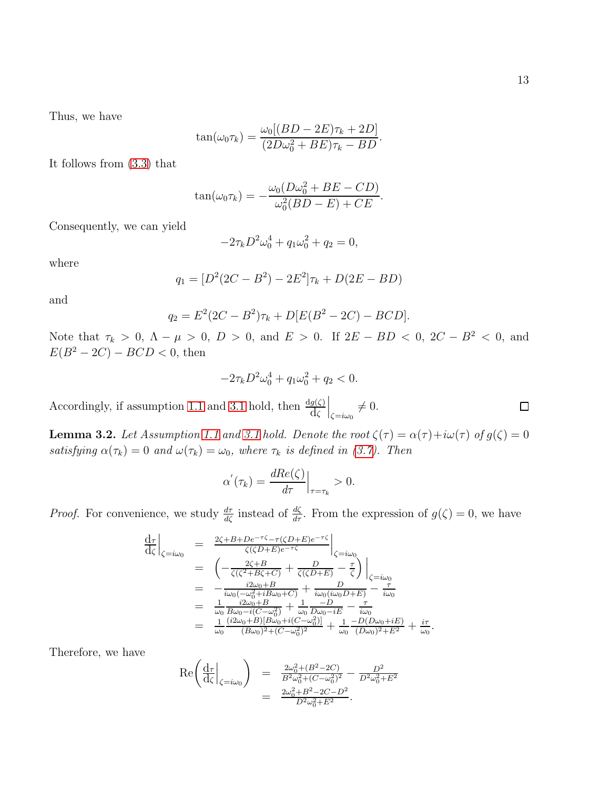Thus, we have

$$
\tan(\omega_0 \tau_k) = \frac{\omega_0 [(BD - 2E)\tau_k + 2D]}{(2D\omega_0^2 + BE)\tau_k - BD}.
$$

It follows from [\(3.3\)](#page-10-2) that

$$
\tan(\omega_0 \tau_k) = -\frac{\omega_0 (D\omega_0^2 + BE - CD)}{\omega_0^2 (BD - E) + CE}.
$$

Consequently, we can yield

$$
-2\tau_k D^2 \omega_0^4 + q_1 \omega_0^2 + q_2 = 0,
$$

where

$$
q_1 = [D^2(2C - B^2) - 2E^2]\tau_k + D(2E - BD)
$$

and

$$
q_2 = E^2(2C - B^2)\tau_k + D[E(B^2 - 2C) - BCD].
$$

Note that  $\tau_k > 0$ ,  $\Lambda - \mu > 0$ ,  $D > 0$ , and  $E > 0$ . If  $2E - BD < 0$ ,  $2C - B^2 < 0$ , and  $E(B^2 - 2C) - BCD < 0$ , then

$$
-2\tau_k D^2 \omega_0^4 + q_1 \omega_0^2 + q_2 < 0.
$$

Accordingly, if assumption [1.1](#page-2-0) and [3.1](#page-11-3) hold, then  $\frac{dg(\zeta)}{d\zeta}$  $\Big|_{\zeta=i\omega_0}\neq 0.$ 

**Lemma 3.2.** Let Assumption [1.1](#page-2-0) and [3.1](#page-11-3) hold. Denote the root  $\zeta(\tau) = \alpha(\tau) + i\omega(\tau)$  of  $g(\zeta) = 0$ satisfying  $\alpha(\tau_k) = 0$  and  $\omega(\tau_k) = \omega_0$ , where  $\tau_k$  is defined in [\(3.7\)](#page-11-4). Then

$$
\alpha^{'}(\tau_k) = \frac{dRe(\zeta)}{d\tau}\Big|_{\tau=\tau_k} > 0.
$$

*Proof.* For convenience, we study  $\frac{d\tau}{d\zeta}$  instead of  $\frac{d\zeta}{d\tau}$ . From the expression of  $g(\zeta) = 0$ , we have

$$
\frac{d\tau}{d\zeta}\Big|_{\zeta=i\omega_0} = \frac{2\zeta + B + De^{-\tau\zeta} - \tau(\zeta D + E)e^{-\tau\zeta}}{\zeta(\zeta D + E)e^{-\tau\zeta}}\Big|_{\zeta=i\omega_0} \n= \left(-\frac{2\zeta + B}{\zeta(\zeta^2 + B\zeta + C)} + \frac{D}{\zeta(\zeta D + E)} - \frac{\tau}{\zeta}\right)\Big|_{\zeta=i\omega_0} \n= -\frac{i2\omega_0 + B}{i\omega_0(-\omega_0^2 + iB\omega_0 + C)} + \frac{D}{i\omega_0(i\omega_0 D + E)} - \frac{\tau}{i\omega_0} \n= \frac{1}{\omega_0} \frac{i2\omega_0 + B}{B\omega_0 - i(C - \omega_0^2)} + \frac{1}{\omega_0} \frac{-D}{D\omega_0 - iE} - \frac{\tau}{i\omega_0} \n= \frac{1}{\omega_0} \frac{(i2\omega_0 + B)[B\omega_0 + i(C - \omega_0^2)]}{(B\omega_0)^2 + (C - \omega_0^2)^2} + \frac{1}{\omega_0} \frac{-D(D\omega_0 + iE)}{(D\omega_0)^2 + E^2} + \frac{i\tau}{\omega_0}.
$$

Therefore, we have

$$
\begin{array}{rcl}\n\text{Re}\left(\frac{d\tau}{d\zeta}\Big|_{\zeta=i\omega_0}\right) &=& \frac{2\omega_0^2 + (B^2 - 2C)}{B^2 \omega_0^2 + (C - \omega_0^2)^2} - \frac{D^2}{D^2 \omega_0^2 + E^2} \\
&=& \frac{2\omega_0^2 + B^2 - 2C - D^2}{D^2 \omega_0^2 + E^2}.\n\end{array}
$$

 $\Box$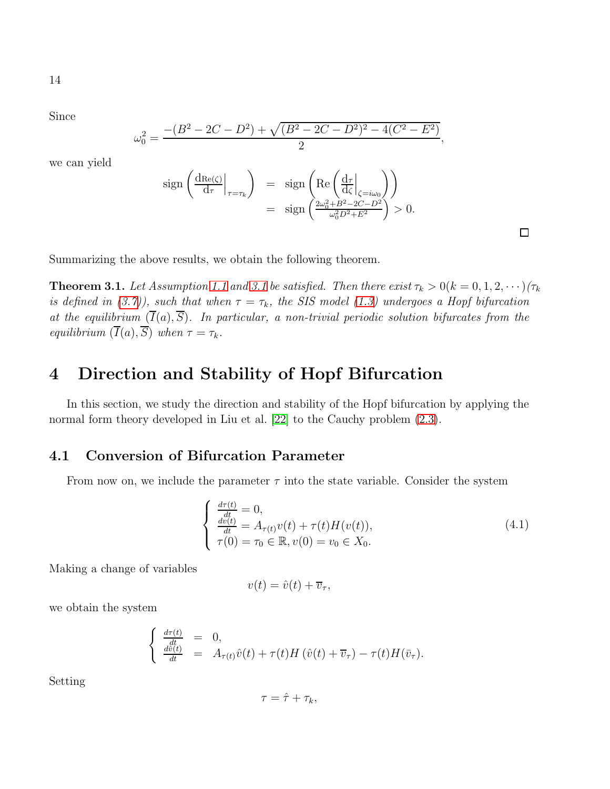14

Since

$$
\omega_0^2 = \frac{-(B^2 - 2C - D^2) + \sqrt{(B^2 - 2C - D^2)^2 - 4(C^2 - E^2)}}{2},
$$

we can yield

$$
\text{sign}\left(\frac{\text{d}\text{Re}(\zeta)}{\text{d}\tau}\bigg|_{\tau=\tau_k}\right) = \text{sign}\left(\text{Re}\left(\frac{\text{d}\tau}{\text{d}\zeta}\bigg|_{\zeta=i\omega_0}\right)\right)
$$

$$
= \text{sign}\left(\frac{2\omega_0^2 + B^2 - 2C - D^2}{\omega_0^2 D^2 + E^2}\right) > 0.
$$

Summarizing the above results, we obtain the following theorem.

<span id="page-13-0"></span>**Theorem [3.1](#page-11-3).** Let Assumption [1.1](#page-2-0) and 3.1 be satisfied. Then there exist  $\tau_k > 0$  ( $k = 0, 1, 2, \cdots$ ) ( $\tau_k$ ) is defined in [\(3.7\)](#page-11-4)), such that when  $\tau = \tau_k$ , the SIS model [\(1.3\)](#page-2-1) undergoes a Hopf bifurcation at the equilibrium  $(\overline{I}(a), \overline{S})$ . In particular, a non-trivial periodic solution bifurcates from the equilibrium  $(\overline{I}(a), \overline{S})$  when  $\tau = \tau_k$ .

# 4 Direction and Stability of Hopf Bifurcation

In this section, we study the direction and stability of the Hopf bifurcation by applying the normal form theory developed in Liu et al. [\[22\]](#page-48-4) to the Cauchy problem  $(2.3)$ .

### 4.1 Conversion of Bifurcation Parameter

From now on, we include the parameter  $\tau$  into the state variable. Consider the system

$$
\begin{cases}\n\frac{d\tau(t)}{dt} = 0, \n\frac{dv(t)}{dt} = A_{\tau(t)}v(t) + \tau(t)H(v(t)), \n\tau(0) = \tau_0 \in \mathbb{R}, v(0) = v_0 \in X_0.\n\end{cases}
$$
\n(4.1)

 $\Box$ 

Making a change of variables

$$
v(t) = \hat{v}(t) + \overline{v}_{\tau},
$$

we obtain the system

$$
\begin{cases} \frac{d\tau(t)}{dt} = 0, \\ \frac{d\hat{v}(t)}{dt} = A_{\tau(t)}\hat{v}(t) + \tau(t)H(\hat{v}(t) + \overline{v}_{\tau}) - \tau(t)H(\overline{v}_{\tau}). \end{cases}
$$

Setting

$$
\tau = \hat{\tau} + \tau_k,
$$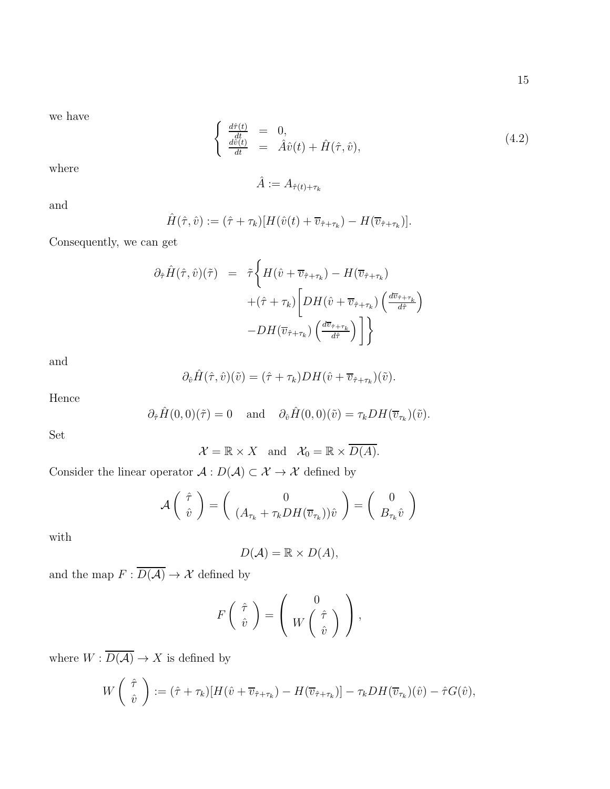we have

<span id="page-14-0"></span>
$$
\begin{cases}\n\frac{d\hat{\tau}(t)}{dt} = 0, \\
\frac{d\hat{v}(t)}{dt} = \hat{A}\hat{v}(t) + \hat{H}(\hat{\tau}, \hat{v}),\n\end{cases} \tag{4.2}
$$

where

$$
\hat{A} := A_{\hat{\tau}(t) + \tau_k}
$$

and

$$
\hat{H}(\hat{\tau},\hat{v}) := (\hat{\tau} + \tau_k)[H(\hat{v}(t) + \overline{v}_{\hat{\tau} + \tau_k}) - H(\overline{v}_{\hat{\tau} + \tau_k})].
$$

Consequently, we can get

$$
\partial_{\hat{\tau}} \hat{H}(\hat{\tau}, \hat{v})(\tilde{\tau}) = \tilde{\tau} \left\{ H(\hat{v} + \overline{v}_{\hat{\tau} + \tau_k}) - H(\overline{v}_{\hat{\tau} + \tau_k}) \right. \\ \left. + (\hat{\tau} + \tau_k) \left[ DH(\hat{v} + \overline{v}_{\hat{\tau} + \tau_k}) \left( \frac{d\overline{v}_{\hat{\tau} + \tau_k}}{d\hat{\tau}} \right) \right. \\ \left. - DH(\overline{v}_{\hat{\tau} + \tau_k}) \left( \frac{d\overline{v}_{\hat{\tau} + \tau_k}}{d\hat{\tau}} \right) \right] \right\}
$$

and

$$
\partial_{\hat{v}}\hat{H}(\hat{\tau},\hat{v})(\tilde{v})=(\hat{\tau}+\tau_k)DH(\hat{v}+\overline{v}_{\hat{\tau}+\tau_k})(\tilde{v}).
$$

Hence

$$
\partial_{\hat{\tau}} \hat{H}(0,0)(\tilde{\tau}) = 0
$$
 and  $\partial_{\hat{v}} \hat{H}(0,0)(\tilde{v}) = \tau_k DH(\overline{v}_{\tau_k})(\tilde{v}).$ 

Set

$$
\mathcal{X} = \mathbb{R} \times X \quad \text{and} \quad \mathcal{X}_0 = \mathbb{R} \times \overline{D(A)}.
$$

Consider the linear operator  $\mathcal{A}:D(\mathcal{A})\subset \mathcal{X}\rightarrow \mathcal{X}$  defined by

$$
\mathcal{A}\left(\begin{array}{c}\hat{\tau} \\ \hat{v}\end{array}\right) = \left(\begin{array}{c}0 \\ (A_{\tau_k} + \tau_k DH(\overline{v}_{\tau_k}))\hat{v}\end{array}\right) = \left(\begin{array}{c}0 \\ B_{\tau_k}\hat{v}\end{array}\right)
$$

with

$$
D(\mathcal{A}) = \mathbb{R} \times D(\mathcal{A}),
$$

and the map  $F:\overline{D(\mathcal{A})}\rightarrow \mathcal{X}$  defined by

$$
F\left(\begin{array}{c}\hat{\tau}\\\hat{v}\end{array}\right)=\left(\begin{array}{c}0\\W\left(\begin{array}{c}\hat{\tau}\\\hat{v}\end{array}\right)\end{array}\right),\,
$$

where  $W:\overline{D(\mathcal{A})}\rightarrow X$  is defined by

$$
W\left(\begin{array}{c}\hat{\tau} \\ \hat{v}\end{array}\right):=(\hat{\tau}+\tau_k)[H(\hat{v}+\overline{v}_{\hat{\tau}+\tau_k})-H(\overline{v}_{\hat{\tau}+\tau_k})]-\tau_kDH(\overline{v}_{\tau_k})(\hat{v})-\hat{\tau}G(\hat{v}),
$$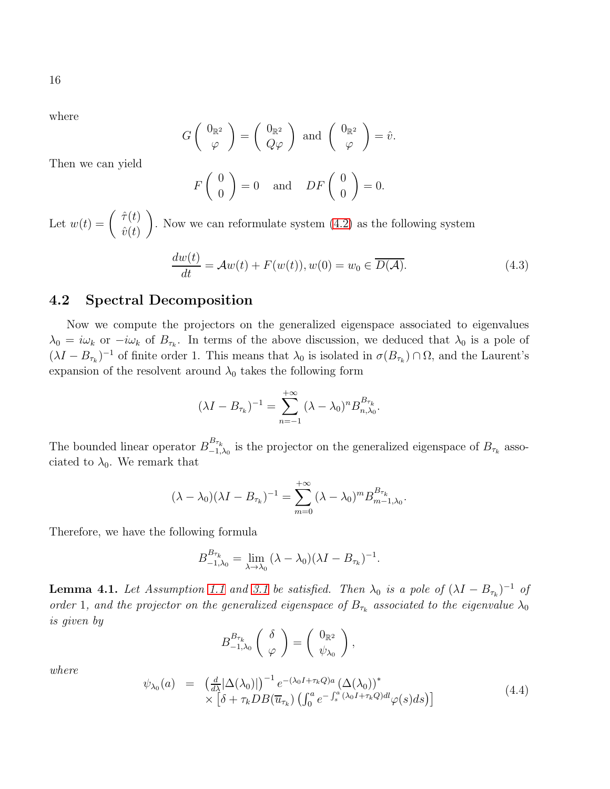where

$$
G\left(\begin{array}{c}0_{\mathbb{R}^2}\\ \varphi\end{array}\right)=\left(\begin{array}{c}0_{\mathbb{R}^2}\\ Q\varphi\end{array}\right)\text{ and }\left(\begin{array}{c}0_{\mathbb{R}^2}\\ \varphi\end{array}\right)=\hat{v}.
$$

Then we can yield

$$
F\begin{pmatrix} 0\\ 0 \end{pmatrix} = 0
$$
 and  $DF\begin{pmatrix} 0\\ 0 \end{pmatrix} = 0.$ 

Let  $w(t) = \begin{pmatrix} \hat{\tau}(t) \\ \hat{\tau}(t) \end{pmatrix}$  $\hat{v}(t)$  $\setminus$ . Now we can reformulate system [\(4.2\)](#page-14-0) as the following system

<span id="page-15-1"></span>
$$
\frac{dw(t)}{dt} = \mathcal{A}w(t) + F(w(t)), w(0) = w_0 \in \overline{D(\mathcal{A})}.
$$
\n(4.3)

#### 4.2 Spectral Decomposition

Now we compute the projectors on the generalized eigenspace associated to eigenvalues  $\lambda_0 = i\omega_k$  or  $-i\omega_k$  of  $B_{\tau_k}$ . In terms of the above discussion, we deduced that  $\lambda_0$  is a pole of  $(\lambda I - B_{\tau_k})^{-1}$  of finite order 1. This means that  $\lambda_0$  is isolated in  $\sigma(B_{\tau_k}) \cap \Omega$ , and the Laurent's expansion of the resolvent around  $\lambda_0$  takes the following form

$$
(\lambda I - B_{\tau_k})^{-1} = \sum_{n=-1}^{+\infty} (\lambda - \lambda_0)^n B_{n,\lambda_0}^{B_{\tau_k}}.
$$

The bounded linear operator  $B_{-1}^{B_{\tau_k}}$  $\sum_{\tau_{k-1,\lambda_0}}^{\tau_{\tau_k}}$  is the projector on the generalized eigenspace of  $B_{\tau_k}$  associated to  $\lambda_0$ . We remark that

$$
(\lambda - \lambda_0)(\lambda I - B_{\tau_k})^{-1} = \sum_{m=0}^{+\infty} (\lambda - \lambda_0)^m B_{m-1,\lambda_0}^{B_{\tau_k}}.
$$

Therefore, we have the following formula

$$
B_{-1,\lambda_0}^{B_{\tau_k}} = \lim_{\lambda \to \lambda_0} (\lambda - \lambda_0)(\lambda I - B_{\tau_k})^{-1}.
$$

**Lemma 4.1.** Let Assumption [1.1](#page-2-0) and [3.1](#page-11-3) be satisfied. Then  $\lambda_0$  is a pole of  $(\lambda I - B_{\tau_k})^{-1}$  of order 1, and the projector on the generalized eigenspace of  $B_{\tau_k}$  associated to the eigenvalue  $\lambda_0$ is given by

$$
B_{-1,\lambda_0}^{B_{\tau_k}}\left(\begin{array}{c} \delta \\ \varphi \end{array}\right)=\left(\begin{array}{c} 0_{\mathbb{R}^2} \\ \psi_{\lambda_0} \end{array}\right),\,
$$

where

<span id="page-15-0"></span>
$$
\psi_{\lambda_0}(a) = \left(\frac{d}{d\lambda}|\Delta(\lambda_0)|\right)^{-1} e^{-(\lambda_0 I + \tau_k Q)a} \left(\Delta(\lambda_0)\right)^* \times \left[\delta + \tau_k DB(\overline{u}_{\tau_k}) \left(\int_0^a e^{-\int_s^a (\lambda_0 I + \tau_k Q)dl} \varphi(s)ds\right)\right]
$$
\n(4.4)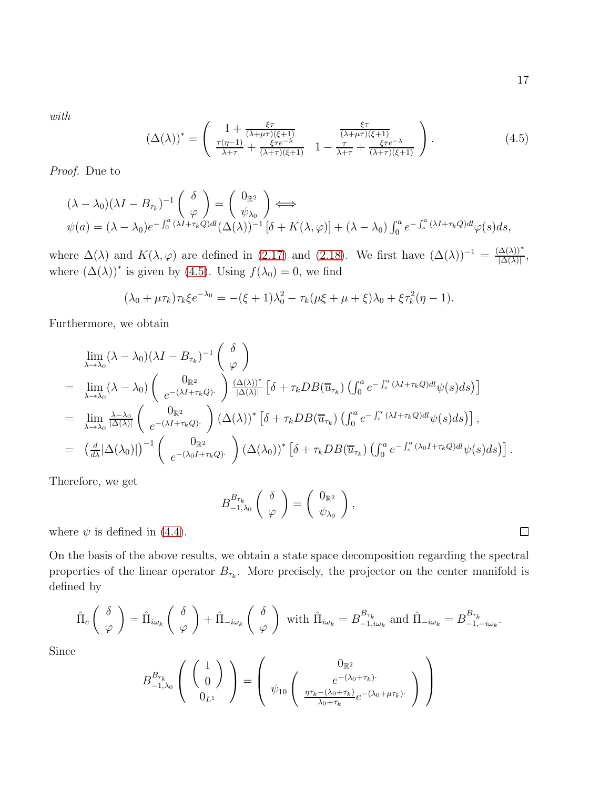with

<span id="page-16-0"></span>
$$
\left(\Delta(\lambda)\right)^{*} = \begin{pmatrix} 1 + \frac{\xi\tau}{(\lambda + \mu\tau)(\xi + 1)} & \frac{\xi\tau}{(\lambda + \mu\tau)(\xi + 1)}\\ \frac{\tau(\eta - 1)}{\lambda + \tau} + \frac{\xi\tau e^{-\lambda}}{(\lambda + \tau)(\xi + 1)} & 1 - \frac{\tau}{\lambda + \tau} + \frac{\xi\tau e^{-\lambda}}{(\lambda + \tau)(\xi + 1)} \end{pmatrix}.
$$
\n(4.5)

Proof. Due to

$$
(\lambda - \lambda_0)(\lambda I - B_{\tau_k})^{-1} \begin{pmatrix} \delta \\ \varphi \end{pmatrix} = \begin{pmatrix} 0_{\mathbb{R}^2} \\ \psi_{\lambda_0} \end{pmatrix} \Longleftrightarrow
$$
  

$$
\psi(a) = (\lambda - \lambda_0)e^{-\int_0^a (\lambda I + \tau_k Q)dl}(\Delta(\lambda))^{-1} [\delta + K(\lambda, \varphi)] + (\lambda - \lambda_0) \int_0^a e^{-\int_s^a (\lambda I + \tau_k Q)dl} \varphi(s) ds,
$$

where  $\Delta(\lambda)$  and  $K(\lambda, \varphi)$  are defined in [\(2.17\)](#page-9-0) and [\(2.18\)](#page-9-1). We first have  $(\Delta(\lambda))^{-1} = \frac{(\Delta(\lambda))^*}{|\Delta(\lambda)|}$  $\frac{\Delta(\lambda))}{|\Delta(\lambda)|},$ where  $(\Delta(\lambda))^*$  is given by [\(4.5\)](#page-16-0). Using  $f(\lambda_0) = 0$ , we find

$$
(\lambda_0 + \mu \tau_k) \tau_k \xi e^{-\lambda_0} = -(\xi + 1)\lambda_0^2 - \tau_k(\mu \xi + \mu + \xi)\lambda_0 + \xi \tau_k^2(\eta - 1).
$$

Furthermore, we obtain

$$
\lim_{\lambda \to \lambda_0} (\lambda - \lambda_0) (\lambda I - B_{\tau_k})^{-1} \begin{pmatrix} \delta \\ \varphi \end{pmatrix}
$$
\n
$$
= \lim_{\lambda \to \lambda_0} (\lambda - \lambda_0) \begin{pmatrix} 0_{\mathbb{R}^2} & 0 \\ e^{-(\lambda I + \tau_k Q)^2} & \frac{(\Delta(\lambda))^*}{|\Delta(\lambda)|} \left[ \delta + \tau_k D B(\overline{u}_{\tau_k}) \left( \int_0^a e^{-\int_s^a (\lambda I + \tau_k Q) d\psi(s) ds} \right) \right] \\ = \lim_{\lambda \to \lambda_0} \frac{\lambda - \lambda_0}{|\Delta(\lambda)|} \begin{pmatrix} 0_{\mathbb{R}^2} & 0 \\ e^{-(\lambda I + \tau_k Q)^2} & \lambda \end{pmatrix} (\Delta(\lambda))^* \left[ \delta + \tau_k D B(\overline{u}_{\tau_k}) \left( \int_0^a e^{-\int_s^a (\lambda I + \tau_k Q) d\psi(s) ds} \right) \right],
$$
\n
$$
= \left( \frac{d}{d\lambda} |\Delta(\lambda_0)| \right)^{-1} \begin{pmatrix} 0_{\mathbb{R}^2} & 0 \\ e^{-(\lambda_0 I + \tau_k Q)^2} & \lambda \end{pmatrix} (\Delta(\lambda_0))^* \left[ \delta + \tau_k D B(\overline{u}_{\tau_k}) \left( \int_0^a e^{-\int_s^a (\lambda_0 I + \tau_k Q) d\psi(s) ds} \right) \right].
$$

Therefore, we get

$$
B_{-1,\lambda_0}^{B_{\tau_k}}\left(\begin{array}{c} \delta \\ \varphi \end{array}\right)=\left(\begin{array}{c} 0_{\mathbb{R}^2} \\ \psi_{\lambda_0} \end{array}\right),\,
$$

where  $\psi$  is defined in [\(4.4\)](#page-15-0).

On the basis of the above results, we obtain a state space decomposition regarding the spectral properties of the linear operator  $B_{\tau_k}$ . More precisely, the projector on the center manifold is defined by

$$
\hat{\Pi}_{c}\left(\begin{array}{c} \delta \\ \varphi \end{array}\right) = \hat{\Pi}_{i\omega_{k}}\left(\begin{array}{c} \delta \\ \varphi \end{array}\right) + \hat{\Pi}_{-i\omega_{k}}\left(\begin{array}{c} \delta \\ \varphi \end{array}\right) \text{ with } \hat{\Pi}_{i\omega_{k}} = B_{-1,i\omega_{k}}^{B_{\tau_{k}}} \text{ and } \hat{\Pi}_{-i\omega_{k}} = B_{-1,-i\omega_{k}}^{B_{\tau_{k}}}.
$$

Since

$$
B_{-1,\lambda_0}^{B_{\tau_k}}\left(\begin{array}{c}1\\0\end{array}\right)=\left(\begin{array}{c}0_{\mathbb{R}^2}\\ \psi_{10}\left(\begin{array}{c}\ne^{-(\lambda_0+\tau_k)\cdot}\\ \frac{\eta\tau_k-(\lambda_0+\tau_k)}{\lambda_0+\tau_k}e^{-(\lambda_0+\mu\tau_k)\cdot}\end{array}\right)\end{array}\right)
$$

 $\Box$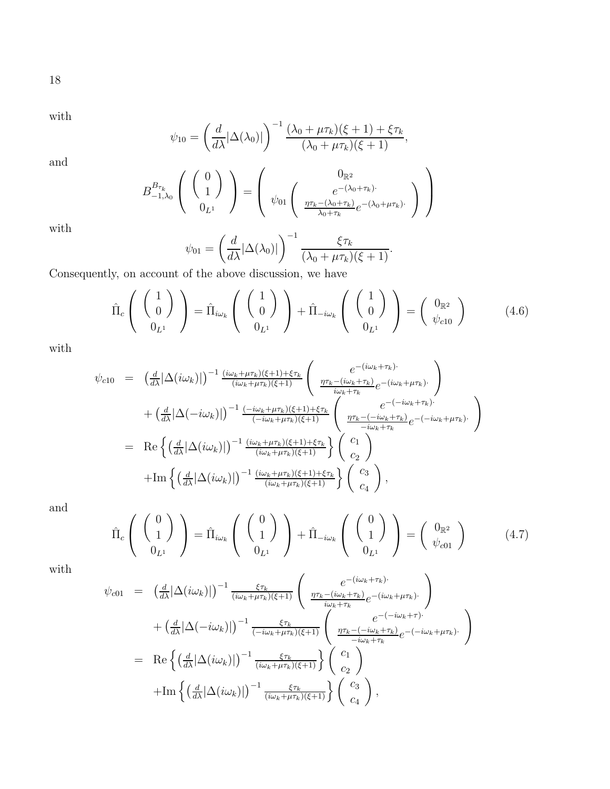18

with

$$
\psi_{10} = \left(\frac{d}{d\lambda}|\Delta(\lambda_0)|\right)^{-1} \frac{(\lambda_0 + \mu \tau_k)(\xi + 1) + \xi \tau_k}{(\lambda_0 + \mu \tau_k)(\xi + 1)},
$$

and

$$
B_{-1,\lambda_0}^{B_{\tau_k}}\left(\begin{array}{c} \begin{pmatrix} 0\\1 \end{pmatrix} \end{array}\right) = \begin{pmatrix} 0_{\mathbb{R}^2} \\ \psi_{01} \begin{pmatrix} e^{-(\lambda_0 + \tau_k)\cdot} \\ \frac{\eta \tau_k - (\lambda_0 + \tau_k)}{\lambda_0 + \tau_k} e^{-(\lambda_0 + \mu \tau_k)\cdot} \end{pmatrix} \end{pmatrix}
$$

with

$$
\psi_{01} = \left(\frac{d}{d\lambda}|\Delta(\lambda_0)|\right)^{-1} \frac{\xi \tau_k}{(\lambda_0 + \mu \tau_k)(\xi + 1)}.
$$

Consequently, on account of the above discussion, we have

<span id="page-17-0"></span>
$$
\hat{\Pi}_{c}\left(\begin{array}{c} \begin{pmatrix} 1\\0 \end{pmatrix} \end{array}\right) = \hat{\Pi}_{i\omega_{k}}\left(\begin{array}{c} \begin{pmatrix} 1\\0 \end{pmatrix} \end{array}\right) + \hat{\Pi}_{-i\omega_{k}}\left(\begin{array}{c} \begin{pmatrix} 1\\0 \end{pmatrix} \end{array}\right) = \begin{pmatrix} 0_{\mathbb{R}^{2}}\\ \psi_{c10} \end{pmatrix}
$$
(4.6)

with

$$
\psi_{c10} = \left(\frac{d}{d\lambda}|\Delta(i\omega_k)|\right)^{-1} \frac{(i\omega_k + \mu\tau_k)(\xi+1) + \xi\tau_k}{(i\omega_k + \mu\tau_k)(\xi+1)} \left(\frac{e^{-(i\omega_k + \tau_k)}}{\frac{\eta\tau_k - (i\omega_k + \tau_k)}{\omega_k + \tau_k}} e^{-(i\omega_k + \mu\tau_k)}\right) \n+ \left(\frac{d}{d\lambda}|\Delta(-i\omega_k)|\right)^{-1} \frac{(-i\omega_k + \mu\tau_k)(\xi+1) + \xi\tau_k}{(-i\omega_k + \mu\tau_k)(\xi+1)} \left(\frac{e^{-(-i\omega_k + \tau_k)}}{\frac{\eta\tau_k - (-i\omega_k + \tau_k)}{\omega_k + \tau_k}} e^{-(-i\omega_k + \mu\tau_k)}\right)
$$
\n
$$
= \text{Re}\left\{\left(\frac{d}{d\lambda}|\Delta(i\omega_k)|\right)^{-1} \frac{(i\omega_k + \mu\tau_k)(\xi+1) + \xi\tau_k}{(i\omega_k + \mu\tau_k)(\xi+1)}\right\} \left(\frac{c_1}{c_2}\right)
$$
\n
$$
+ \text{Im}\left\{\left(\frac{d}{d\lambda}|\Delta(i\omega_k)|\right)^{-1} \frac{(i\omega_k + \mu\tau_k)(\xi+1) + \xi\tau_k}{(i\omega_k + \mu\tau_k)(\xi+1)}\right\} \left(\frac{c_3}{c_4}\right),
$$

and

<span id="page-17-1"></span>
$$
\hat{\Pi}_c \left( \begin{array}{c} \begin{pmatrix} 0 \\ 1 \end{pmatrix} \end{array} \right) = \hat{\Pi}_{i\omega_k} \left( \begin{array}{c} \begin{pmatrix} 0 \\ 1 \end{pmatrix} \end{array} \right) + \hat{\Pi}_{-i\omega_k} \left( \begin{array}{c} \begin{pmatrix} 0 \\ 1 \end{pmatrix} \end{array} \right) = \begin{pmatrix} 0_{\mathbb{R}^2} \\ \psi_{c01} \end{pmatrix} \tag{4.7}
$$

with

$$
\psi_{c01} = \left(\frac{d}{d\lambda}|\Delta(i\omega_k)|\right)^{-1} \frac{\xi\tau_k}{(i\omega_k + \mu\tau_k)(\xi+1)} \left(\frac{e^{-(i\omega_k + \tau_k)}}{\frac{\eta\tau_k - (i\omega_k + \tau_k)}{i\omega_k + \tau_k}} e^{-(i\omega_k + \mu\tau_k)}\right) \n+ \left(\frac{d}{d\lambda}|\Delta(-i\omega_k)|\right)^{-1} \frac{\xi\tau_k}{(-i\omega_k + \mu\tau_k)(\xi+1)} \left(\frac{e^{-(-i\omega_k + \tau_k)}}{\frac{\eta\tau_k - (-i\omega_k + \tau_k)}{i\omega_k + \tau_k}} e^{-(-i\omega_k + \mu\tau_k)}\right) \n= \text{Re}\left\{\left(\frac{d}{d\lambda}|\Delta(i\omega_k)|\right)^{-1} \frac{\xi\tau_k}{(i\omega_k + \mu\tau_k)(\xi+1)}\right\} \left(\frac{c_1}{c_2}\right) \n+ \text{Im}\left\{\left(\frac{d}{d\lambda}|\Delta(i\omega_k)|\right)^{-1} \frac{\xi\tau_k}{(i\omega_k + \mu\tau_k)(\xi+1)}\right\} \left(\frac{c_3}{c_4}\right),
$$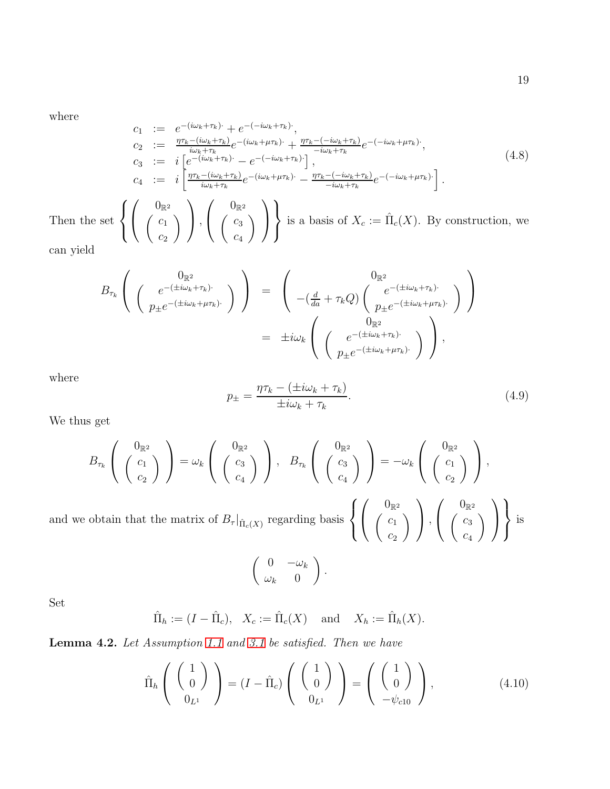where

<span id="page-18-1"></span>
$$
c_1 := e^{-(i\omega_k + \tau_k)} + e^{-(i\omega_k + \tau_k)},
$$
  
\n
$$
c_2 := \frac{\eta \tau_k - (i\omega_k + \tau_k)}{i\omega_k + \tau_k} e^{-(i\omega_k + \mu \tau_k)} + \frac{\eta \tau_k - (-i\omega_k + \tau_k)}{-i\omega_k + \tau_k} e^{-(-i\omega_k + \mu \tau_k)},
$$
  
\n
$$
c_3 := i \left[ e^{-(i\omega_k + \tau_k)} - e^{-(i\omega_k + \tau_k)} \right],
$$
  
\n
$$
c_4 := i \left[ \frac{\eta \tau_k - (i\omega_k + \tau_k)}{i\omega_k + \tau_k} e^{-(i\omega_k + \mu \tau_k)} - \frac{\eta \tau_k - (-i\omega_k + \tau_k)}{-i\omega_k + \tau_k} e^{-(-i\omega_k + \mu \tau_k)} \right].
$$
  
\nThen the set 
$$
\left\{ \left( \begin{array}{c} 0_{\mathbb{R}^2} \\ C_1 \\ c_2 \end{array} \right) \right\}, \left( \begin{array}{c} 0_{\mathbb{R}^2} \\ C_3 \\ c_4 \end{array} \right) \right\} \text{ is a basis of } X_c := \hat{\Pi}_c(X). \text{ By construction, we can yield}
$$
\n
$$
(4.8)
$$

$$
B_{\tau_k}\left(\begin{array}{c}0_{\mathbb{R}^2}\\ \left(\begin{array}{c}e^{-(\pm i\omega_k+\tau_k)\cdot}\cr p_{\pm}e^{-(\pm i\omega_k+\mu\tau_k)\cdot}\end{array}\right)\end{array}\right) = \begin{array}{c}0_{\mathbb{R}^2}\\ -(\frac{d}{da}+\tau_kQ)\begin{pmatrix}e^{-(\pm i\omega_k+\tau_k)\cdot}\cr p_{\pm}e^{-(\pm i\omega_k+\mu\tau_k)\cdot}\end{pmatrix}\end{array}\right)\\ = \pm i\omega_k\begin{pmatrix}0_{\mathbb{R}^2}\\ \left(\begin{array}{c}e^{-(\pm i\omega_k+\tau_k)\cdot}\cr p_{\pm}e^{-(\pm i\omega_k+\mu\tau_k)\cdot}\end{array}\right),\end{array}
$$

where

$$
p_{\pm} = \frac{\eta \tau_k - (\pm i\omega_k + \tau_k)}{\pm i\omega_k + \tau_k}.
$$
\n(4.9)

 $\overline{c_4}$ 

 $\overline{1}$ 

 $\int$ 

We thus get

$$
B_{\tau_k}\left(\begin{array}{c}0_{\mathbb{R}^2}\\C_1\\C_2\end{array}\right)=\omega_k\left(\begin{array}{c}0_{\mathbb{R}^2}\\C_3\\C_4\end{array}\right),\quad B_{\tau_k}\left(\begin{array}{c}0_{\mathbb{R}^2}\\C_3\\C_4\end{array}\right)\right)=-\omega_k\left(\begin{array}{c}0_{\mathbb{R}^2}\\C_1\\C_2\end{array}\right),
$$
obtain that the matrix of  $B_{\tau}|_{\hat{\Pi}_c(X)}$  regarding basis  $\left\{\begin{array}{c}0_{\mathbb{R}^2}\\C_1\\C_1\end{array}\right\},\begin{array}{c}0_{\mathbb{R}^2}\\C_2\\C_3\end{array}\right\}$  is

and we obtain that the matrix of  $B_{\tau}|_{\hat{\Pi}_{c}(X)}$  regarding basis  $\int$  $\mathcal{L}$  $\overline{1}$  $\begin{pmatrix} c_1 \end{pmatrix}$  $\overline{c_2}$  $\setminus$  $\vert$ ,  $\overline{1}$  $\int c_3$ 

$$
\left(\begin{array}{cc} 0 & -\omega_k \\ \omega_k & 0 \end{array}\right).
$$

Set

$$
\hat{\Pi}_h := (I - \hat{\Pi}_c), \quad X_c := \hat{\Pi}_c(X) \quad \text{ and } \quad X_h := \hat{\Pi}_h(X).
$$

Lemma 4.2. Let Assumption [1.1](#page-2-0) and [3.1](#page-11-3) be satisfied. Then we have

<span id="page-18-0"></span>
$$
\hat{\Pi}_h \left( \begin{array}{c} 1 \\ 0 \end{array} \right) = (I - \hat{\Pi}_c) \left( \begin{array}{c} 1 \\ 0 \end{array} \right) = \left( \begin{array}{c} 1 \\ 0 \end{array} \right), \tag{4.10}
$$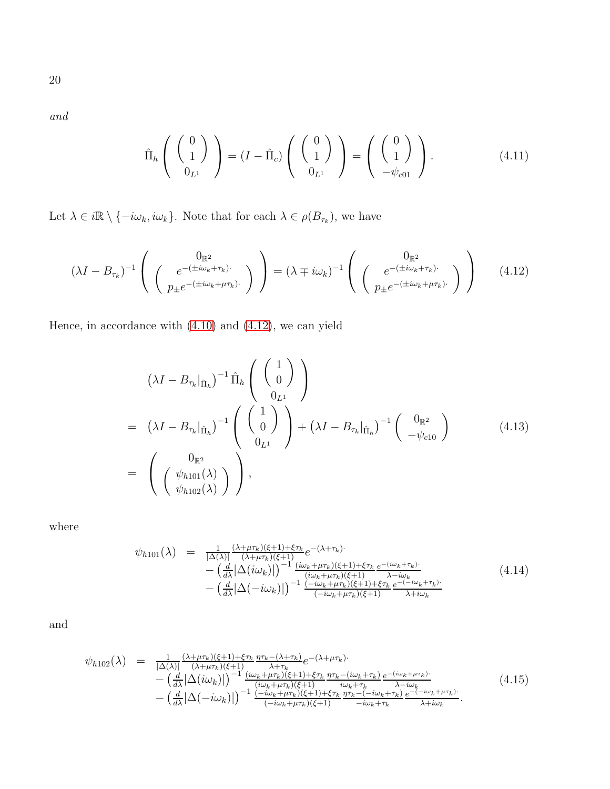20

and

<span id="page-19-1"></span>
$$
\hat{\Pi}_h \left( \begin{array}{c} 0 \\ 1 \end{array} \right) = (I - \hat{\Pi}_c) \left( \begin{array}{c} 0 \\ 1 \end{array} \right) = \left( \begin{array}{c} 0 \\ 1 \end{array} \right). \tag{4.11}
$$

Let  $\lambda \in i\mathbb{R} \setminus \{-i\omega_k, i\omega_k\}$ . Note that for each  $\lambda \in \rho(B_{\tau_k})$ , we have

<span id="page-19-0"></span>
$$
(\lambda I - B_{\tau_k})^{-1} \left( \begin{array}{c} 0_{\mathbb{R}^2} \\ \left( \begin{array}{c} e^{-(\pm i\omega_k + \tau_k) \cdot} \\ p_{\pm} e^{-(\pm i\omega_k + \mu \tau_k) \cdot} \end{array} \right) \end{array} \right) = (\lambda \mp i\omega_k)^{-1} \left( \begin{array}{c} 0_{\mathbb{R}^2} \\ \left( \begin{array}{c} e^{-(\pm i\omega_k + \tau_k) \cdot} \\ p_{\pm} e^{-(\pm i\omega_k + \mu \tau_k) \cdot} \end{array} \right) \end{array} \right) \tag{4.12}
$$

Hence, in accordance with [\(4.10\)](#page-18-0) and [\(4.12\)](#page-19-0), we can yield

<span id="page-19-2"></span>
$$
(\lambda I - B_{\tau_k}|_{\hat{\Pi}_h})^{-1} \hat{\Pi}_h \begin{pmatrix} 1 \ 0 \ 0 \end{pmatrix}
$$
  
=  $(\lambda I - B_{\tau_k}|_{\hat{\Pi}_h})^{-1} \begin{pmatrix} 1 \ 0 \ 0 \end{pmatrix} + (\lambda I - B_{\tau_k}|_{\hat{\Pi}_h})^{-1} \begin{pmatrix} 0_{\mathbb{R}^2} \\ -\psi_{c10} \end{pmatrix}$  (4.13)  
=  $\begin{pmatrix} 0_{\mathbb{R}^2} \\ (\psi_{h101}(\lambda) \\ \psi_{h102}(\lambda) \end{pmatrix}$ ,

where

$$
\psi_{h101}(\lambda) = \frac{1}{|\Delta(\lambda)|} \frac{(\lambda + \mu \tau_k)(\xi + 1) + \xi \tau_k}{(\lambda + \mu \tau_k)(\xi + 1)} e^{-(\lambda + \tau_k)} \n- \left(\frac{d}{d\lambda} |\Delta(i\omega_k)|\right)^{-1} \frac{(i\omega_k + \mu \tau_k)(\xi + 1) + \xi \tau_k}{(i\omega_k + \mu \tau_k)(\xi + 1)} e^{-(i\omega_k + \tau_k)} \n- \left(\frac{d}{d\lambda} |\Delta(-i\omega_k)|\right)^{-1} \frac{(-i\omega_k + \mu \tau_k)(\xi + 1) + \xi \tau_k}{(-i\omega_k + \mu \tau_k)(\xi + 1)} e^{-(i\omega_k + \tau_k)} \n\tag{4.14}
$$

$$
\psi_{h102}(\lambda) = \frac{1}{|\Delta(\lambda)|} \frac{(\lambda + \mu \tau_k)(\xi + 1) + \xi \tau_k}{(\lambda + \mu \tau_k)(\xi + 1)} \frac{\eta \tau_k - (\lambda + \tau_k)}{\lambda + \tau_k} e^{-(\lambda + \mu \tau_k)} - \left(\frac{d}{d\lambda} |\Delta(i\omega_k)|\right)^{-1} \frac{(\omega_k + \mu \tau_k)(\xi + 1) + \xi \tau_k}{(\omega_k + \mu \tau_k)(\xi + 1)} \frac{\eta \tau_k - (\omega_k + \tau_k)}{\omega_k + \tau_k} \frac{e^{-(i\omega_k + \mu \tau_k)}}{\lambda - i\omega_k} - \left(\frac{d}{d\lambda} |\Delta(-i\omega_k)|\right)^{-1} \frac{(-i\omega_k + \mu \tau_k)(\xi + 1) + \xi \tau_k}{(-i\omega_k + \mu \tau_k)(\xi + 1)} \frac{\eta \tau_k - (-i\omega_k + \mu \tau_k)}{\eta \tau_k - (-i\omega_k + \tau_k)} \frac{e^{-(i\omega_k + \mu \tau_k)}}{\xi + i\omega_k}.
$$
\n(4.15)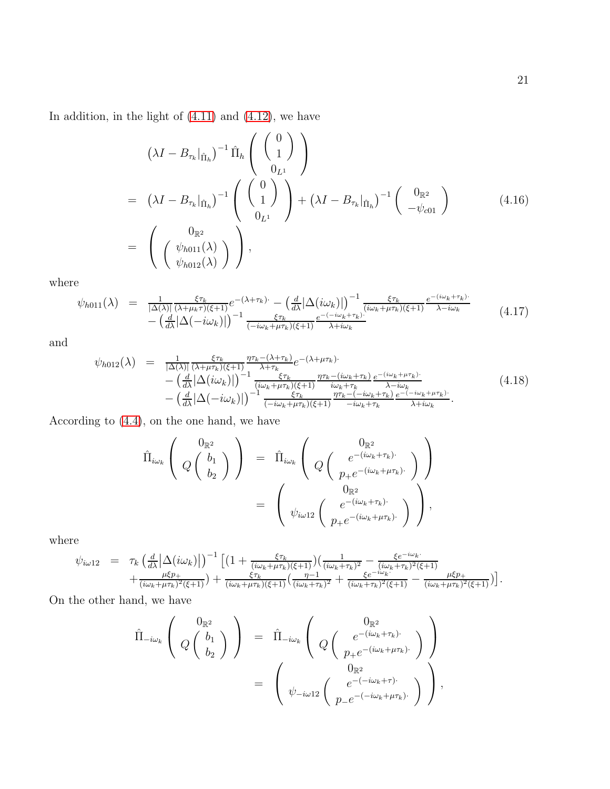In addition, in the light of  $(4.11)$  and  $(4.12)$ , we have

<span id="page-20-0"></span>
$$
(\lambda I - B_{\tau_k}|_{\hat{\Pi}_h})^{-1} \hat{\Pi}_h \begin{pmatrix} 0 \\ 1 \\ 0_L \end{pmatrix}
$$
  
=  $(\lambda I - B_{\tau_k}|_{\hat{\Pi}_h})^{-1} \begin{pmatrix} 0 \\ 1 \\ 0_L \end{pmatrix} + (\lambda I - B_{\tau_k}|_{\hat{\Pi}_h})^{-1} \begin{pmatrix} 0_{\mathbb{R}^2} \\ -\psi_{c01} \end{pmatrix}$  (4.16)  
=  $\begin{pmatrix} 0_{\mathbb{R}^2} \\ \begin{pmatrix} \psi_{h011}(\lambda) \\ \psi_{h012}(\lambda) \end{pmatrix} \end{pmatrix},$ 

where

$$
\psi_{h011}(\lambda) = \frac{1}{|\Delta(\lambda)|} \frac{\xi \tau_k}{(\lambda + \mu_k \tau)(\xi + 1)} e^{-(\lambda + \tau_k) \cdot} - \left(\frac{d}{d\lambda} |\Delta(i\omega_k)|\right)^{-1} \frac{\xi \tau_k}{(i\omega_k + \mu \tau_k)(\xi + 1)} \frac{e^{-(i\omega_k + \tau_k) \cdot}}{\lambda - i\omega_k} - \left(\frac{d}{d\lambda} |\Delta(-i\omega_k)|\right)^{-1} \frac{\xi \tau_k}{(-i\omega_k + \mu \tau_k)(\xi + 1)} \frac{e^{-(i\omega_k + \tau_k) \cdot}}{\lambda + i\omega_k} \tag{4.17}
$$

and

$$
\psi_{h012}(\lambda) = \frac{1}{|\Delta(\lambda)|} \frac{\xi \tau_k}{(\lambda + \mu \tau_k)(\xi + 1)} \frac{\eta \tau_k - (\lambda + \tau_k)}{\lambda + \tau_k} e^{-(\lambda + \mu \tau_k)} - \left(\frac{d}{d\lambda} |\Delta(i\omega_k)|\right)^{-1} \frac{\xi \tau_k}{(i\omega_k + \mu \tau_k)(\xi + 1)} \frac{\eta \tau_k - (i\omega_k + \tau_k)}{i\omega_k + \tau_k} \frac{e^{-(i\omega_k + \mu \tau_k)}}{\lambda - i\omega_k} - \left(\frac{d}{d\lambda} |\Delta(-i\omega_k)|\right)^{-1} \frac{\xi \tau_k}{(-i\omega_k + \mu \tau_k)(\xi + 1)} \frac{\eta \tau_k - (-i\omega_k + \tau_k)}{\eta \tau_k - (-i\omega_k + \tau_k)} \frac{e^{-(i\omega_k + \mu \tau_k)}}{\lambda + i\omega_k}.
$$
\n(4.18)

According to [\(4.4\)](#page-15-0), on the one hand, we have

$$
\hat{\Pi}_{i\omega_k}\left(\begin{array}{c}0_{\mathbb{R}^2}\\Q\left(\begin{array}{c}b_1\\b_2\end{array}\right)\end{array}\right) = \hat{\Pi}_{i\omega_k}\left(\begin{array}{c}0_{\mathbb{R}^2}\\Q\left(\begin{array}{c}e^{-(i\omega_k+\tau_k)\cdot}\\p_+e^{-(i\omega_k+\mu\tau_k)\cdot}\end{array}\right)\end{array}\right)
$$
\n
$$
= \left(\begin{array}{c}0_{\mathbb{R}^2}\\ \psi_{i\omega12}\left(\begin{array}{c}e^{-(i\omega_k+\tau_k)\cdot}\\p_+e^{-(i\omega_k+\mu\tau_k)\cdot}\end{array}\right)\end{array}\right),
$$

where

$$
\psi_{i\omega 12} = \tau_k \left( \frac{d}{d\lambda} |\Delta(i\omega_k)| \right)^{-1} \left[ \left( 1 + \frac{\xi \tau_k}{(i\omega_k + \mu \tau_k)(\xi + 1)} \right) \left( \frac{1}{(i\omega_k + \tau_k)^2} - \frac{\xi e^{-i\omega_k}}{(i\omega_k + \tau_k)^2(\xi + 1)} \right. \\ \left. + \frac{\mu \xi p_+}{(i\omega_k + \mu \tau_k)^2(\xi + 1)} \right) + \frac{\xi \tau_k}{(i\omega_k + \mu \tau_k)(\xi + 1)} \left( \frac{\eta - 1}{(i\omega_k + \tau_k)^2} + \frac{\xi e^{-i\omega_k}}{(i\omega_k + \tau_k)^2(\xi + 1)} - \frac{\mu \xi p_+}{(i\omega_k + \mu \tau_k)^2(\xi + 1)} \right) \right].
$$

On the other hand, we have

$$
\hat{\Pi}_{-i\omega_k}\left(\begin{array}{c}0_{\mathbb{R}^2}\\Q\left(\begin{array}{c}b_1\\b_2\end{array}\right)\end{array}\right) = \hat{\Pi}_{-i\omega_k}\left(\begin{array}{c}0_{\mathbb{R}^2}\\Q\left(\begin{array}{c}e^{-(i\omega_k+\tau_k)\cdot}\\p_+e^{-(i\omega_k+\mu\tau_k)\cdot}\end{array}\right)\end{array}\right)
$$
\n
$$
= \left(\begin{array}{c}0_{\mathbb{R}^2}\\ \psi_{-i\omega12}\left(\begin{array}{c}e^{-(i\omega_k+\tau)\cdot}\\p_-e^{-(-i\omega_k+\mu\tau_k)\cdot}\end{array}\right)\end{array}\right),
$$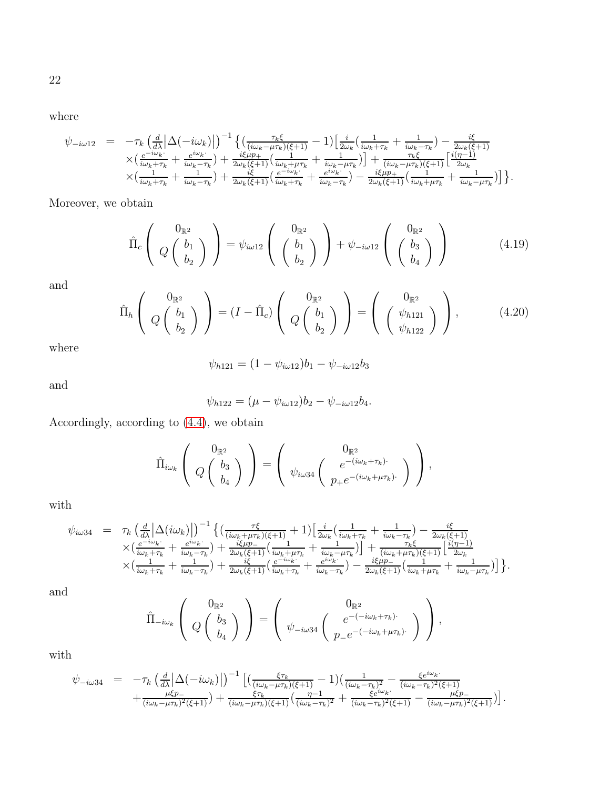22

where

$$
\psi_{-i\omega 12} = -\tau_k \left( \frac{d}{d\lambda} \left| \Delta(-i\omega_k) \right| \right)^{-1} \left\{ \left( \frac{\tau_k \xi}{(i\omega_k - \mu \tau_k)(\xi + 1)} - 1 \right) \left[ \frac{i}{2\omega_k} \left( \frac{1}{i\omega_k + \tau_k} + \frac{1}{i\omega_k - \tau_k} \right) - \frac{i\xi}{2\omega_k(\xi + 1)} \right. \\ \times \left( \frac{e^{-i\omega_k}}{i\omega_k + \tau_k} + \frac{e^{i\omega_k}}{i\omega_k - \tau_k} \right) + \frac{i\xi\mu p_+}{2\omega_k(\xi + 1)} \left( \frac{1}{i\omega_k + \mu \tau_k} + \frac{1}{i\omega_k - \mu \tau_k} \right) \right] + \frac{\tau_k \xi}{(i\omega_k - \mu \tau_k)(\xi + 1)} \left[ \frac{i(\eta - 1)}{2\omega_k} \right. \\ \times \left( \frac{1}{i\omega_k + \tau_k} + \frac{1}{i\omega_k - \tau_k} \right) + \frac{i\xi}{2\omega_k(\xi + 1)} \left( \frac{e^{-i\omega_k}}{i\omega_k + \tau_k} + \frac{e^{i\omega_k}}{i\omega_k - \tau_k} \right) - \frac{i\xi\mu p_+}{2\omega_k(\xi + 1)} \left( \frac{1}{i\omega_k + \mu \tau_k} + \frac{1}{i\omega_k - \mu \tau_k} \right) \right\}.
$$

Moreover, we obtain

<span id="page-21-0"></span>
$$
\hat{\Pi}_c \left( Q \begin{pmatrix} 0_{\mathbb{R}^2} \\ Q \begin{pmatrix} b_1 \\ b_2 \end{pmatrix} \end{pmatrix} = \psi_{i\omega 12} \left( \begin{pmatrix} 0_{\mathbb{R}^2} \\ b_1 \\ b_2 \end{pmatrix} \right) + \psi_{-i\omega 12} \left( \begin{pmatrix} 0_{\mathbb{R}^2} \\ b_3 \\ b_4 \end{pmatrix} \right) \tag{4.19}
$$

and

<span id="page-21-1"></span>
$$
\hat{\Pi}_h \left( Q \begin{pmatrix} 0_{\mathbb{R}^2} \\ b_1 \\ b_2 \end{pmatrix} \right) = (I - \hat{\Pi}_c) \left( Q \begin{pmatrix} 0_{\mathbb{R}^2} \\ b_1 \\ b_2 \end{pmatrix} \right) = \left( \begin{pmatrix} 0_{\mathbb{R}^2} \\ \psi_{h121} \\ \psi_{h122} \end{pmatrix} \right), \quad (4.20)
$$

where

$$
\psi_{h121} = (1 - \psi_{i\omega 12})b_1 - \psi_{-i\omega 12}b_3
$$

and

$$
\psi_{h122} = (\mu - \psi_{i\omega 12})b_2 - \psi_{-i\omega 12}b_4.
$$

Accordingly, according to [\(4.4\)](#page-15-0), we obtain

$$
\hat{\Pi}_{i\omega_k}\left(\begin{array}{c}0_{\mathbb{R}^2}\\Q\left(\begin{array}{c}b_3\\b_4\end{array}\right)\end{array}\right)=\left(\begin{array}{c}0_{\mathbb{R}^2}\\ \psi_{i\omega 34}\left(\begin{array}{c}e^{-(i\omega_k+\tau_k)\cdot}\\p_+e^{-(i\omega_k+\mu\tau_k)\cdot}\end{array}\right)\end{array}\right),
$$

with

$$
\psi_{i\omega 34} = \tau_k \left( \frac{d}{d\lambda} \left| \Delta(i\omega_k) \right| \right)^{-1} \left\{ \left( \frac{\tau\xi}{(i\omega_k + \mu\tau_k)(\xi + 1)} + 1 \right) \left[ \frac{i}{2\omega_k} \left( \frac{1}{i\omega_k + \tau_k} + \frac{1}{i\omega_k - \tau_k} \right) - \frac{i\xi}{2\omega_k(\xi + 1)} \right. \\ \times \left( \frac{e^{-i\omega_k}}{i\omega_k + \tau_k} + \frac{e^{i\omega_k}}{i\omega_k - \tau_k} \right) + \frac{i\xi\mu p}{2\omega_k(\xi + 1)} \left( \frac{1}{i\omega_k + \mu\tau_k} + \frac{1}{i\omega_k - \mu\tau_k} \right) \right\} + \frac{\tau_k\xi}{(i\omega_k + \mu\tau_k)(\xi + 1)} \left[ \frac{i(\eta - 1)}{2\omega_k} \right] \\ \times \left( \frac{1}{i\omega_k + \tau_k} + \frac{1}{i\omega_k - \tau_k} \right) + \frac{i\xi}{2\omega_k(\xi + 1)} \left( \frac{e^{-i\omega_k t}}{i\omega_k + \tau_k} + \frac{e^{i\omega_k t}}{i\omega_k - \tau_k} \right) - \frac{i\xi\mu p - 1}{2\omega_k(\xi + 1)} \left( \frac{1}{i\omega_k + \mu\tau_k} + \frac{1}{i\omega_k - \mu\tau_k} \right) \right\}.
$$

and

$$
\hat{\Pi}_{-i\omega_k}\left(\begin{array}{c}0_{\mathbb{R}^2}\\Q\left(\begin{array}{c}b_3\\b_4\end{array}\right)\end{array}\right)=\left(\begin{array}{c}0_{\mathbb{R}^2}\\ \psi_{-i\omega 34}\left(\begin{array}{c}e^{-(-i\omega_k+\tau_k)\cdot}\\p_{-}e^{-(-i\omega_k+\mu\tau_k)\cdot}\end{array}\right)\end{array}\right),
$$

with

$$
\psi_{-i\omega 34} = -\tau_k \left( \frac{d}{d\lambda} \left| \Delta(-i\omega_k) \right| \right)^{-1} \left[ \left( \frac{\xi \tau_k}{(i\omega_k - \mu \tau_k)(\xi + 1)} - 1 \right) \left( \frac{1}{(i\omega_k - \tau_k)^2} - \frac{\xi e^{i\omega_k}}{(i\omega_k - \tau_k)^2(\xi + 1)} \right) + \frac{\mu \xi p}{(i\omega_k - \mu \tau_k)^2(\xi + 1)} \right] + \frac{\xi \tau_k}{(i\omega_k - \mu \tau_k)(\xi + 1)} \left( \frac{\eta - 1}{(i\omega_k - \tau_k)^2} + \frac{\xi e^{i\omega_k}}{(i\omega_k - \tau_k)^2(\xi + 1)} - \frac{\mu \xi p}{(i\omega_k - \mu \tau_k)^2(\xi + 1)} \right].
$$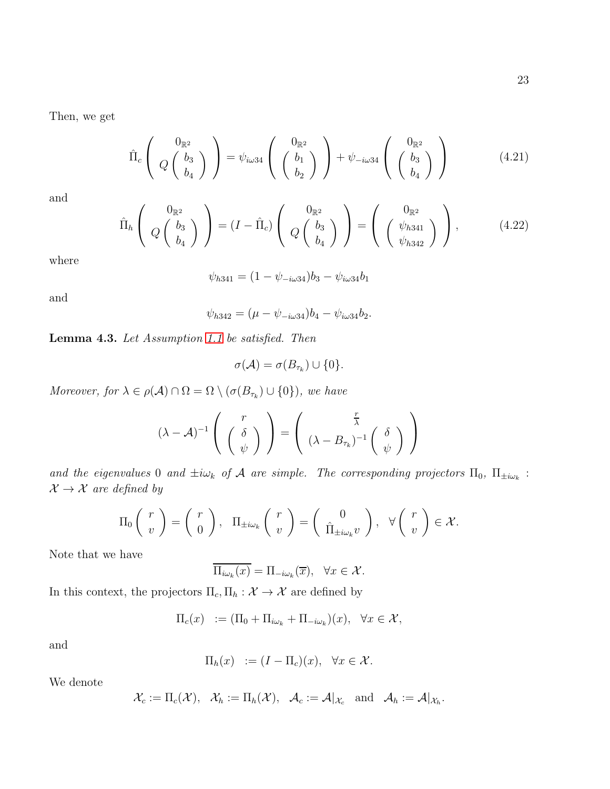Then, we get

<span id="page-22-0"></span>
$$
\hat{\Pi}_c \left( Q \begin{pmatrix} 0_{\mathbb{R}^2} \\ Q \begin{pmatrix} b_3 \\ b_4 \end{pmatrix} \end{pmatrix} = \psi_{i\omega 34} \left( \begin{pmatrix} 0_{\mathbb{R}^2} \\ b_1 \\ b_2 \end{pmatrix} \right) + \psi_{-i\omega 34} \left( \begin{pmatrix} 0_{\mathbb{R}^2} \\ b_3 \\ b_4 \end{pmatrix} \right) \tag{4.21}
$$

and

<span id="page-22-1"></span>
$$
\hat{\Pi}_h \left( \begin{array}{c} 0_{\mathbb{R}^2} \\ Q \begin{pmatrix} b_3 \\ b_4 \end{pmatrix} \end{array} \right) = (I - \hat{\Pi}_c) \left( \begin{array}{c} 0_{\mathbb{R}^2} \\ Q \begin{pmatrix} b_3 \\ b_4 \end{pmatrix} \end{array} \right) = \left( \begin{array}{c} 0_{\mathbb{R}^2} \\ \begin{pmatrix} \psi_{h341} \\ \psi_{h342} \end{pmatrix} \end{array} \right), \tag{4.22}
$$

where

$$
\psi_{h341} = (1 - \psi_{-i\omega 34})b_3 - \psi_{i\omega 34}b_1
$$

and

$$
\psi_{h342} = (\mu - \psi_{-i\omega 34})b_4 - \psi_{i\omega 34}b_2.
$$

Lemma 4.3. Let Assumption [1.1](#page-2-0) be satisfied. Then

$$
\sigma(\mathcal{A}) = \sigma(B_{\tau_k}) \cup \{0\}.
$$

Moreover, for  $\lambda \in \rho(\mathcal{A}) \cap \Omega = \Omega \setminus (\sigma(B_{\tau_k}) \cup \{0\})$ , we have

$$
(\lambda - A)^{-1} \left( \begin{array}{c} r \\ \begin{pmatrix} \delta \\ \psi \end{pmatrix} \end{array} \right) = \left( \begin{array}{c} \frac{r}{\lambda} \\ (\lambda - B_{\tau_k})^{-1} \begin{pmatrix} \delta \\ \psi \end{pmatrix} \end{array} \right)
$$

and the eigenvalues 0 and  $\pm i\omega_k$  of A are simple. The corresponding projectors  $\Pi_0$ ,  $\Pi_{\pm i\omega_k}$ :  $\mathcal{X} \rightarrow \mathcal{X}$  are defined by

$$
\Pi_0 \left( \begin{array}{c} r \\ v \end{array} \right) = \left( \begin{array}{c} r \\ 0 \end{array} \right), \quad \Pi_{\pm i\omega_k} \left( \begin{array}{c} r \\ v \end{array} \right) = \left( \begin{array}{c} 0 \\ \hat{\Pi}_{\pm i\omega_k} v \end{array} \right), \quad \forall \left( \begin{array}{c} r \\ v \end{array} \right) \in \mathcal{X}.
$$

Note that we have

 $\Pi_{i\omega_k}(x) = \Pi_{-i\omega_k}(\overline{x}), \quad \forall x \in \mathcal{X}.$ 

In this context, the projectors  $\Pi_c, \Pi_h : \mathcal{X} \to \mathcal{X}$  are defined by

$$
\Pi_c(x) := (\Pi_0 + \Pi_{i\omega_k} + \Pi_{-i\omega_k})(x), \quad \forall x \in \mathcal{X},
$$

and

$$
\Pi_h(x) := (I - \Pi_c)(x), \quad \forall x \in \mathcal{X}.
$$

We denote

$$
\mathcal{X}_c := \Pi_c(\mathcal{X}), \quad \mathcal{X}_h := \Pi_h(\mathcal{X}), \quad \mathcal{A}_c := \mathcal{A}|_{\mathcal{X}_c} \quad \text{and} \quad \mathcal{A}_h := \mathcal{A}|_{\mathcal{X}_h}.
$$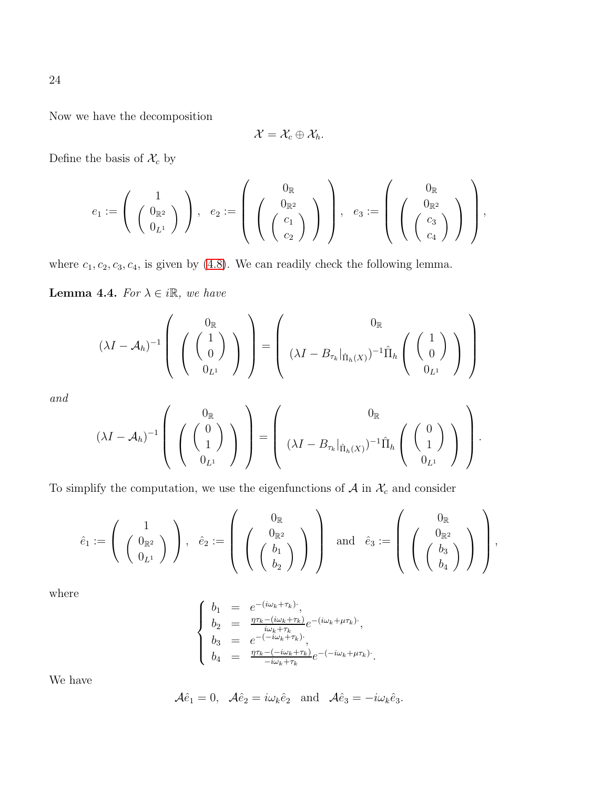Now we have the decomposition

$$
\mathcal{X}=\mathcal{X}_c\oplus \mathcal{X}_h.
$$

Define the basis of  $\mathcal{X}_c$  by

$$
e_1:=\left(\begin{array}{c}1\\ \left(\begin{array}{c}0_{\mathbb{R}^2}\\ 0_{L^1}\end{array}\right)\end{array}\right),\hspace{0.2cm}e_2:=\left(\begin{array}{c}0_{\mathbb{R}}\\ \left(\begin{array}{c}0_{\mathbb{R}^2}\\ c_1\\ c_2\end{array}\right)\end{array}\right),\hspace{0.2cm}e_3:=\left(\begin{array}{c}0_{\mathbb{R}}\\ \left(\begin{array}{c}0_{\mathbb{R}^2}\\ c_3\\ c_4\end{array}\right)\end{array}\right),
$$

where  $c_1, c_2, c_3, c_4$ , is given by [\(4.8\)](#page-18-1). We can readily check the following lemma.

**Lemma 4.4.** For  $\lambda \in i\mathbb{R}$ , we have

$$
(\lambda I - A_h)^{-1} \left( \begin{array}{c} 0_{\mathbb{R}} \\ \begin{pmatrix} 1 \\ 0 \end{pmatrix} \end{array} \right) = \begin{pmatrix} 0_{\mathbb{R}} \\ (\lambda I - B_{\tau_k}|_{\hat{\Pi}_h(X)})^{-1} \hat{\Pi}_h \begin{pmatrix} 1 \\ 0 \end{pmatrix} \end{pmatrix} \right)
$$

and

$$
(\lambda I - A_h)^{-1} \left( \begin{array}{c} 0_{\mathbb{R}} \\ \begin{pmatrix} 0 \\ 1 \end{pmatrix} \end{array} \right) = \begin{pmatrix} 0_{\mathbb{R}} \\ (\lambda I - B_{\tau_k}|_{\hat{\Pi}_h(X)})^{-1} \hat{\Pi}_h \begin{pmatrix} 0 \\ 1 \end{pmatrix} \end{pmatrix}.
$$

To simplify the computation, we use the eigenfunctions of  $A$  in  $\mathcal{X}_c$  and consider

$$
\hat{e}_1:=\left(\begin{array}{c}1\\ \left(\begin{array}{c}0_{\mathbb R^2}\\ 0_{L^1}\end{array}\right)\end{array}\right),\hspace{0.2cm} \hat{e}_2:=\left(\begin{array}{c}0_{\mathbb R}\\ \left(\begin{array}{c}0_{\mathbb R^2}\\ b_1\end{array}\right)\end{array}\right)\hspace{0.2cm}\text{and}\hspace{0.2cm} \hat{e}_3:=\left(\begin{array}{c}0_{\mathbb R}\\ \left(\begin{array}{c}0_{\mathbb R^2}\\ b_4\end{array}\right)\end{array}\right)\right),
$$

where

$$
\begin{cases}\nb_1 = e^{-(i\omega_k + \tau_k)}; \\
b_2 = \frac{\eta \tau_k - (i\omega_k + \tau_k)}{i\omega_k + \tau_k} e^{-(i\omega_k + \mu \tau_k)}; \\
b_3 = e^{-(i\omega_k + \tau_k)}; \\
b_4 = \frac{\eta \tau_k - (-i\omega_k + \tau_k)}{-i\omega_k + \tau_k} e^{-(i\omega_k + \mu \tau_k)}.\n\end{cases}
$$

We have

$$
\mathcal{A}\hat{e}_1 = 0
$$
,  $\mathcal{A}\hat{e}_2 = i\omega_k \hat{e}_2$  and  $\mathcal{A}\hat{e}_3 = -i\omega_k \hat{e}_3$ .

24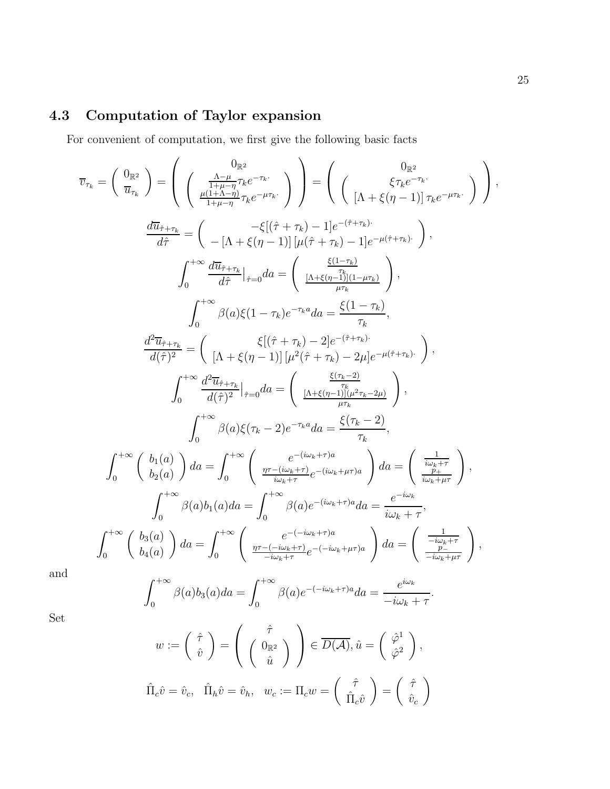# 4.3 Computation of Taylor expansion

For convenient of computation, we first give the following basic facts

$$
\overline{v}_{\tau_k} = \begin{pmatrix} 0_{\mathbb{R}^2} \\ \overline{u}_{\tau_k} \end{pmatrix} = \begin{pmatrix} 0_{\mathbb{R}^2} \\ \frac{\Lambda - \mu}{1 + \mu - \eta} \tau_k e^{-\tau_k} \\ \frac{\mu(1 + \Lambda - \eta)}{1 + \mu - \eta} \tau_k e^{-\mu \tau_k} \end{pmatrix} = \begin{pmatrix} 0_{\mathbb{R}^2} \\ \zeta \tau_k e^{-\tau_k} \\ \frac{\ell}{1 + \ell - \eta} \end{pmatrix},
$$
\n
$$
\frac{d\overline{u}_{\hat{\tau} + \tau_k}}{d\hat{\tau}} = \begin{pmatrix} -\xi[(\hat{\tau} + \tau_k) - 1]e^{-(\hat{\tau} + \tau_k)} \\ -[\Lambda + \xi(\eta - 1)][\mu(\hat{\tau} + \tau_k) - 1]e^{-\mu(\hat{\tau} + \tau_k)} \end{pmatrix},
$$
\n
$$
\int_0^{+\infty} \frac{d\overline{u}_{\hat{\tau} + \tau_k}}{d\hat{\tau}} \Big|_{\hat{\tau} = 0} da = \begin{pmatrix} \frac{\xi(1 - \tau_k)}{1 + \xi(\eta - 1)} \\ \frac{\Lambda + \xi(\eta - 1)}{\mu \tau_k} \end{pmatrix},
$$
\n
$$
\int_0^{+\infty} \beta(a)\xi(1 - \tau_k)e^{-\tau_k a} da = \frac{\xi(1 - \tau_k)}{\tau_k},
$$
\n
$$
\frac{d^2\overline{u}_{\hat{\tau} + \tau_k}}{d(\hat{\tau})^2} = \begin{pmatrix} \xi[\hat{\tau} + \tau_k) - 2]e^{-(\hat{\tau} + \tau_k)} \\ [\Lambda + \xi(\eta - 1)][\mu^2(\hat{\tau} + \tau_k) - 2\mu]e^{-\mu(\hat{\tau} + \tau_k)} \end{pmatrix},
$$
\n
$$
\int_0^{+\infty} \frac{d^2\overline{u}_{\hat{\tau} + \tau_k}}{d(\hat{\tau})^2} \Big|_{\hat{\tau} = 0} da = \begin{pmatrix} \frac{\xi(\tau_k - 2)}{\tau_k} \\ \frac{(\Lambda + \xi(\eta - 1))[\mu^2 \tau_k - 2\mu]}{\mu \tau_k} \end{pmatrix},
$$
\n
$$
\int_0^{+\infty} \beta(a)\xi(\tau_k - 2)e^{-\
$$

and

$$
\int_0^{+\infty} \beta(a)b_3(a)da = \int_0^{+\infty} \beta(a)e^{-(-i\omega_k+\tau)a}da = \frac{e^{i\omega_k}}{-i\omega_k+\tau}.
$$

Set

$$
w := \begin{pmatrix} \hat{\tau} \\ \hat{v} \end{pmatrix} = \begin{pmatrix} \hat{\tau} \\ 0_{\mathbb{R}^2} \\ \hat{u} \end{pmatrix} \begin{pmatrix} \hat{\tau} \\ \n\hat{\nu} \end{pmatrix} \in \overline{D(A)}, \hat{u} = \begin{pmatrix} \hat{\varphi}^1 \\ \hat{\varphi}^2 \end{pmatrix},
$$
  

$$
\hat{\Pi}_c \hat{v} = \hat{v}_c, \quad \hat{\Pi}_h \hat{v} = \hat{v}_h, \quad w_c := \Pi_c w = \begin{pmatrix} \hat{\tau} \\ \hat{\Pi}_c \hat{v} \end{pmatrix} = \begin{pmatrix} \hat{\tau} \\ \hat{v}_c \end{pmatrix}
$$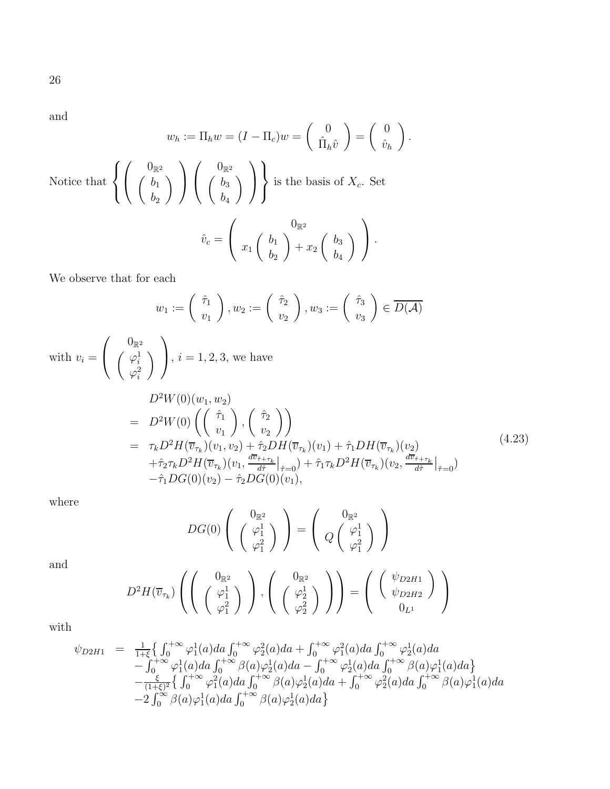and

$$
w_h := \Pi_h w = (I - \Pi_c)w = \begin{pmatrix} 0 \\ \hat{\Pi}_h \hat{v} \end{pmatrix} = \begin{pmatrix} 0 \\ \hat{v}_h \end{pmatrix}.
$$
  
Notice that 
$$
\left\{ \begin{pmatrix} 0_{\mathbb{R}^2} \\ b_1 \\ b_2 \end{pmatrix} \right\} \begin{pmatrix} 0_{\mathbb{R}^2} \\ b_3 \\ b_4 \end{pmatrix} \right\} \text{ is the basis of } X_c. \text{ Set}
$$

$$
\hat{v}_c = \begin{pmatrix} 0_{\mathbb{R}^2} \\ x_1 \begin{pmatrix} b_1 \\ b_2 \end{pmatrix} + x_2 \begin{pmatrix} b_3 \\ b_3 \end{pmatrix} \end{pmatrix}.
$$

We observe that for each

$$
w_1 := \begin{pmatrix} \hat{\tau}_1 \\ v_1 \end{pmatrix}, w_2 := \begin{pmatrix} \hat{\tau}_2 \\ v_2 \end{pmatrix}, w_3 := \begin{pmatrix} \hat{\tau}_3 \\ v_3 \end{pmatrix} \in \overline{D(\mathcal{A})}
$$

 $b_2$ 

with  $v_i =$  $\sqrt{ }$  $\overline{1}$  $0_{\mathbb{R}^2}$  $\left( \begin{array}{c} \varphi_i^1 \end{array} \right)$  $\varphi^2_i$  $\setminus$  $\setminus$ ,  $i = 1, 2, 3$ , we have

<span id="page-25-0"></span>
$$
D^{2}W(0)(w_{1}, w_{2})
$$
\n
$$
= D^{2}W(0) \left( \begin{pmatrix} \hat{\tau}_{1} \\ v_{1} \end{pmatrix}, \begin{pmatrix} \hat{\tau}_{2} \\ v_{2} \end{pmatrix} \right)
$$
\n
$$
= \tau_{k}D^{2}H(\overline{v}_{\tau_{k}})(v_{1}, v_{2}) + \hat{\tau}_{2}DH(\overline{v}_{\tau_{k}})(v_{1}) + \hat{\tau}_{1}DH(\overline{v}_{\tau_{k}})(v_{2})
$$
\n
$$
+ \hat{\tau}_{2}\tau_{k}D^{2}H(\overline{v}_{\tau_{k}})(v_{1}, \frac{d\overline{v}_{\hat{\tau}+\tau_{k}}}{d\hat{\tau}}|_{\hat{\tau}=0}) + \hat{\tau}_{1}\tau_{k}D^{2}H(\overline{v}_{\tau_{k}})(v_{2}, \frac{d\overline{v}_{\hat{\tau}+\tau_{k}}}{d\hat{\tau}}|_{\hat{\tau}=0})
$$
\n
$$
- \hat{\tau}_{1}DG(0)(v_{2}) - \hat{\tau}_{2}DG(0)(v_{1}), \qquad (11)
$$
\n(4.23)

 $b_4$ 

where

$$
DG(0)\left(\begin{array}{c}0_{\mathbb{R}^2}\\ \left(\begin{array}{c}\varphi_1^1\\ \varphi_1^2\end{array}\right)\end{array}\right)=\left(\begin{array}{c}0_{\mathbb{R}^2}\\ Q\left(\begin{array}{c}\varphi_1^1\\ \varphi_1^2\end{array}\right)\end{array}\right)
$$

and

$$
D^2 H(\overline{v}_{\tau_k})\left(\left(\begin{array}{c}0_{\mathbb{R}^2}\\ \left(\begin{smallmatrix}\varphi_1^1\\ \varphi_1^2\end{smallmatrix}\right)\end{array}\right),\left(\begin{array}{c}0_{\mathbb{R}^2}\\ \left(\begin{smallmatrix}\varphi_2^1\\ \varphi_2^2\end{smallmatrix}\right)\end{array}\right)\right) = \left(\begin{array}{c} \left(\begin{array}{c}\psi_{D2H1}\\ \psi_{D2H2}\end{array}\right)\\ 0_{L^1}\end{array}\right)
$$

with

$$
\psi_{D2H1} = \frac{1}{1+\xi} \left\{ \int_0^{+\infty} \varphi_1^1(a) da \int_0^{+\infty} \varphi_2^2(a) da + \int_0^{+\infty} \varphi_1^2(a) da \int_0^{+\infty} \varphi_2^1(a) da \n- \int_0^{+\infty} \varphi_1^1(a) da \int_0^{+\infty} \beta(a) \varphi_2^1(a) da - \int_0^{+\infty} \varphi_2^1(a) da \int_0^{+\infty} \beta(a) \varphi_1^1(a) da \right\} \n- \frac{\xi}{(1+\xi)^2} \left\{ \int_0^{+\infty} \varphi_1^2(a) da \int_0^{+\infty} \beta(a) \varphi_2^1(a) da + \int_0^{+\infty} \varphi_2^2(a) da \int_0^{+\infty} \beta(a) \varphi_1^1(a) da \n- 2 \int_0^{+\infty} \beta(a) \varphi_1^1(a) da \int_0^{+\infty} \beta(a) \varphi_2^1(a) da \right\}
$$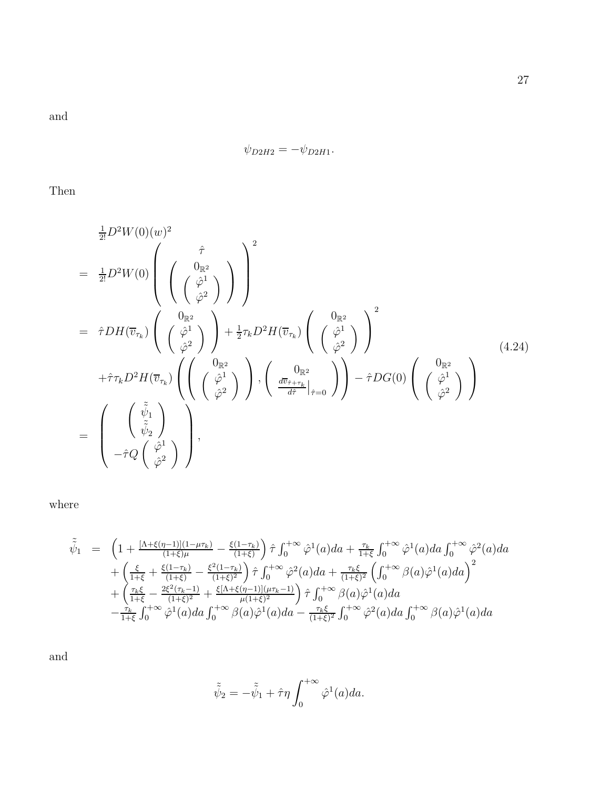and

$$
\psi_{D2H2}=-\psi_{D2H1}.
$$

Then

<span id="page-26-0"></span>
$$
\frac{1}{2!}D^2W(0)(w)^2
$$
\n
$$
= \frac{1}{2!}D^2W(0)\left(\begin{pmatrix} \hat{\tau} \\ \hat{\varphi}^1 \\ \hat{\varphi}^2 \end{pmatrix}\right)^2
$$
\n
$$
= \hat{\tau}DH(\overline{v}_{\tau_k})\left(\begin{pmatrix} 0_{\mathbb{R}^2} \\ \hat{\varphi}^2 \\ \hat{\varphi}^2 \end{pmatrix}\right) + \frac{1}{2}\tau_k D^2H(\overline{v}_{\tau_k})\left(\begin{pmatrix} 0_{\mathbb{R}^2} \\ \hat{\varphi}^2 \\ \hat{\varphi}^2 \end{pmatrix}\right)^2
$$
\n
$$
+ \hat{\tau}\tau_k D^2H(\overline{v}_{\tau_k})\left(\begin{pmatrix} 0_{\mathbb{R}^2} \\ \hat{\varphi}^2 \\ \hat{\varphi}^2 \end{pmatrix}\right), \begin{pmatrix} 0_{\mathbb{R}^2} \\ \frac{\overline{w}_{\tau+\tau_k}}{d\tau}\Big|_{\hat{\tau}=0} \end{pmatrix} - \hat{\tau}DG(0)\left(\begin{pmatrix} 0_{\mathbb{R}^2} \\ \hat{\varphi}^2 \\ \hat{\varphi}^2 \end{pmatrix}\right)
$$
\n
$$
= \begin{pmatrix} \begin{pmatrix} \tilde{\psi}_1 \\ \tilde{\psi}_2 \\ -\hat{\tau}Q\begin{pmatrix} \hat{\varphi}^1 \\ \hat{\varphi}^2 \end{pmatrix} \end{pmatrix},
$$
\n(4.24)

where

$$
\tilde{\psi}_{1} = \left(1 + \frac{[\Lambda + \xi(\eta - 1)](1 - \mu\tau_{k})}{(1 + \xi)\mu} - \frac{\xi(1 - \tau_{k})}{(1 + \xi)}\right)\hat{\tau}\int_{0}^{+\infty}\hat{\varphi}^{1}(a)da + \frac{\tau_{k}}{1 + \xi}\int_{0}^{+\infty}\hat{\varphi}^{1}(a)da\int_{0}^{+\infty}\hat{\varphi}^{2}(a)da \n+ \left(\frac{\xi}{1 + \xi} + \frac{\xi(1 - \tau_{k})}{(1 + \xi)} - \frac{\xi^{2}(1 - \tau_{k})}{(1 + \xi)^{2}}\right)\hat{\tau}\int_{0}^{+\infty}\hat{\varphi}^{2}(a)da + \frac{\tau_{k}\xi}{(1 + \xi)^{2}}\left(\int_{0}^{+\infty}\beta(a)\hat{\varphi}^{1}(a)da\right)^{2} \n+ \left(\frac{\tau_{k}\xi}{1 + \xi} - \frac{2\xi^{2}(\tau_{k} - 1)}{(1 + \xi)^{2}} + \frac{\xi[\Lambda + \xi(\eta - 1)](\mu\tau_{k} - 1)}{\mu(1 + \xi)^{2}}\right)\hat{\tau}\int_{0}^{+\infty}\beta(a)\hat{\varphi}^{1}(a)da \n- \frac{\tau_{k}}{1 + \xi}\int_{0}^{+\infty}\hat{\varphi}^{1}(a)da\int_{0}^{+\infty}\beta(a)\hat{\varphi}^{1}(a)da - \frac{\tau_{k}\xi}{(1 + \xi)^{2}}\int_{0}^{+\infty}\hat{\varphi}^{2}(a)da\int_{0}^{+\infty}\beta(a)\hat{\varphi}^{1}(a)da
$$

$$
\tilde{\tilde{\psi}}_2 = -\tilde{\tilde{\psi}}_1 + \hat{\tau}\eta \int_0^{+\infty} \hat{\varphi}^1(a)da.
$$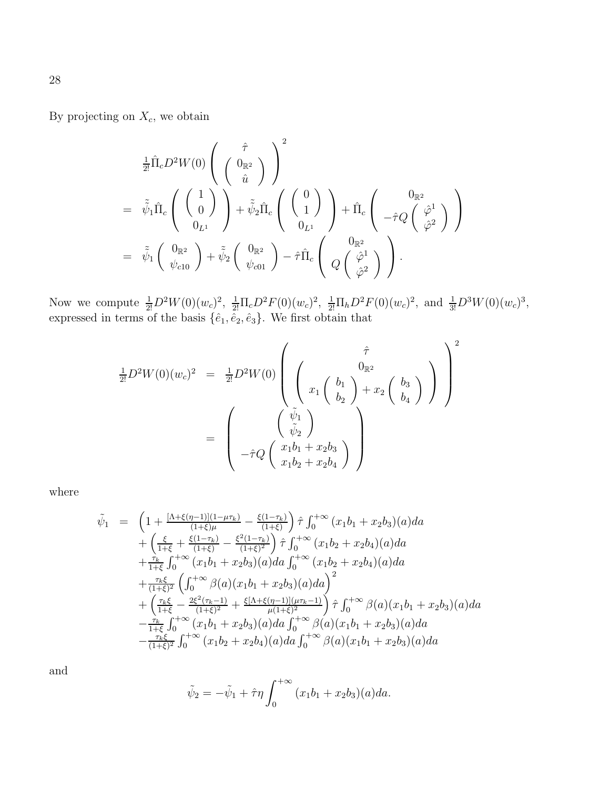By projecting on  $X_c$ , we obtain

$$
\begin{split} &\tfrac{1}{2!}\hat{\Pi}_{c}D^{2}W(0)\left(\begin{array}{c} \hat{\tau} \\ \left(\begin{array}{c} 0_{\mathbb{R}^{2}} \\ \hat{u} \end{array}\right) \end{array}\right)^{2} \\ &= \tilde{\tilde{\psi}}_{1}\hat{\Pi}_{c}\left(\begin{array}{c} \left(\begin{array}{c} 1 \\ 0 \end{array}\right) \\ \left(\begin{array}{c} 0 \\ 0_{L^{1}} \end{array}\right) + \tilde{\tilde{\psi}}_{2}\hat{\Pi}_{c}\left(\begin{array}{c} \left(\begin{array}{c} 0 \\ 1 \end{array}\right) \\ \left(\begin{array}{c} 0_{L^{1}} \end{array}\right) + \hat{\Pi}_{c}\left(\begin{array}{c} 0_{\mathbb{R}^{2}} \\ -\hat{\tau}Q\left(\begin{array}{c} \hat{\varphi}^{1} \\ \hat{\varphi}^{2} \end{array}\right) \end{array}\right) \end{split}
$$
\n
$$
= \tilde{\tilde{\psi}}_{1}\left(\begin{array}{c} 0_{\mathbb{R}^{2}} \\ \psi_{c10} \end{array}\right) + \tilde{\tilde{\psi}}_{2}\left(\begin{array}{c} 0_{\mathbb{R}^{2}} \\ \psi_{c01} \end{array}\right) - \hat{\tau}\hat{\Pi}_{c}\left(\begin{array}{c} 0_{\mathbb{R}^{2}} \\ Q\left(\begin{array}{c} \hat{\varphi}^{1} \\ \hat{\varphi}^{2} \end{array}\right) \end{array}\right).
$$

Now we compute  $\frac{1}{2!}D^2W(0)(w_c)^2$ ,  $\frac{1}{2!}\Pi_cD^2F(0)(w_c)^2$ ,  $\frac{1}{2!}\Pi_hD^2F(0)(w_c)^2$ , and  $\frac{1}{3!}D^3W(0)(w_c)^3$ , expressed in terms of the basis  $\{\hat{e}_1, \hat{e}_2, \hat{e}_3\}$ . We first obtain that

$$
\frac{1}{2!}D^2W(0)(w_c)^2 = \frac{1}{2!}D^2W(0)\left(\begin{array}{c}\hat{\tau} \\ 0_{\mathbb{R}^2} \\ x_1 \begin{pmatrix} b_1 \\ b_2 \end{pmatrix} + x_2 \begin{pmatrix} b_3 \\ b_4 \end{pmatrix} \end{array}\right)^2
$$

$$
= \left(\begin{array}{c}\hat{\psi}_1 \\ \hat{\psi}_2 \\ -\hat{\tau}Q\begin{pmatrix} x_1b_1 + x_2b_3 \\ x_1b_2 + x_2b_4 \end{pmatrix} \end{array}\right)^2
$$

where

$$
\tilde{\psi}_{1} = \left(1 + \frac{[\Lambda + \xi(\eta - 1)](1 - \mu\tau_{k})}{(1 + \xi)\mu} - \frac{\xi(1 - \tau_{k})}{(1 + \xi)}\right)\hat{\tau}\int_{0}^{+\infty}(x_{1}b_{1} + x_{2}b_{3})(a)da \n+ \left(\frac{\xi}{1 + \xi} + \frac{\xi(1 - \tau_{k})}{(1 + \xi)} - \frac{\xi^{2}(1 - \tau_{k})}{(1 + \xi)^{2}}\right)\hat{\tau}\int_{0}^{+\infty}(x_{1}b_{2} + x_{2}b_{4})(a)da \n+ \frac{\tau_{k}}{1 + \xi}\int_{0}^{+\infty}(x_{1}b_{1} + x_{2}b_{3})(a)da\int_{0}^{+\infty}(x_{1}b_{2} + x_{2}b_{4})(a)da \n+ \frac{\tau_{k}\xi}{(1 + \xi)^{2}}\left(\int_{0}^{+\infty}\beta(a)(x_{1}b_{1} + x_{2}b_{3})(a)da\right)^{2} \n+ \left(\frac{\tau_{k}\xi}{1 + \xi} - \frac{2\xi^{2}(\tau_{k} - 1)}{(1 + \xi)^{2}} + \frac{\xi[\Lambda + \xi(\eta - 1)](\mu\tau_{k} - 1)}{\mu(1 + \xi)^{2}}\right)\hat{\tau}\int_{0}^{+\infty}\beta(a)(x_{1}b_{1} + x_{2}b_{3})(a)da \n- \frac{\tau_{k}}{1 + \xi}\int_{0}^{+\infty}(x_{1}b_{1} + x_{2}b_{3})(a)da\int_{0}^{+\infty}\beta(a)(x_{1}b_{1} + x_{2}b_{3})(a)da \n- \frac{\tau_{k}\xi}{(1 + \xi)^{2}}\int_{0}^{+\infty}(x_{1}b_{2} + x_{2}b_{4})(a)da\int_{0}^{+\infty}\beta(a)(x_{1}b_{1} + x_{2}b_{3})(a)da
$$

$$
\tilde{\psi}_2 = -\tilde{\psi}_1 + \hat{\tau}\eta \int_0^{+\infty} (x_1b_1 + x_2b_3)(a)da.
$$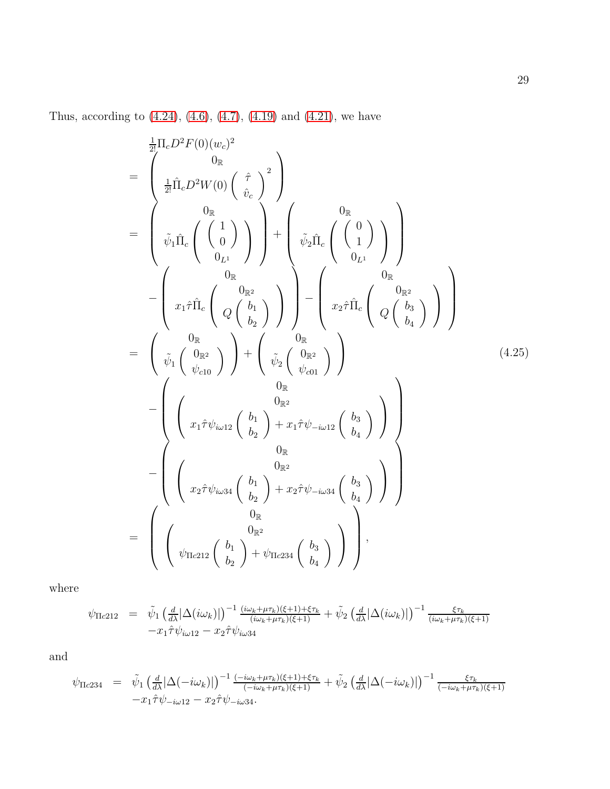Thus, according to  $(4.24)$ ,  $(4.6)$ ,  $(4.7)$ ,  $(4.19)$  and  $(4.21)$ , we have

<span id="page-28-0"></span>
$$
\begin{split}\n&= \begin{pmatrix}\n\frac{1}{2!}\Pi_{c}D^{2}F(0)(w_{c})^{2} \\
0_{\mathbb{R}} \\
\frac{1}{2!}\hat{\Pi}_{c}D^{2}W(0) \begin{pmatrix} \hat{\tau} \\ \hat{v}_{c} \end{pmatrix}^{2}\n\end{pmatrix} \\
&= \begin{pmatrix}\n0_{\mathbb{R}} \\
\tilde{\psi}_{1}\hat{\Pi}_{c} \begin{pmatrix} 1 \\ 0 \\ 0_{L^{1}} \end{pmatrix} + \begin{pmatrix} 0_{\mathbb{R}} \\
\tilde{\psi}_{2}\hat{\Pi}_{c} \begin{pmatrix} 0 \\ 1 \end{pmatrix} \\
0_{L^{1}}\n\end{pmatrix} \\
&- \begin{pmatrix}\n0_{\mathbb{R}} \\
x_{1}\hat{\tau}\hat{\Pi}_{c} \begin{pmatrix} 0_{\mathbb{R}^{2}} \\
Q \begin{pmatrix} b_{1} \\ b_{2} \end{pmatrix} \end{pmatrix} \end{split} \begin{pmatrix} 0_{\mathbb{R}} \\
\tilde{\psi}_{2}\hat{\Pi}_{c} \begin{pmatrix} 0_{\mathbb{R}^{2}} \\
Q \begin{pmatrix} b_{3} \\ b_{4} \end{pmatrix} \end{pmatrix} \end{split}
$$
\n
$$
= \begin{pmatrix}\n0_{\mathbb{R}} \\
\tilde{\psi}_{1} \begin{pmatrix} 0_{\mathbb{R}^{2}} \\
\tilde{\psi}_{2} \end{pmatrix} + \begin{pmatrix} 0_{\mathbb{R}^{2}} \\
\tilde{\psi}_{2} \begin{pmatrix} 0_{\mathbb{R}^{2}} \\
Q \begin{pmatrix} b_{2} \\ b_{4} \end{pmatrix} \end{pmatrix} \end{split}
$$
\n
$$
- \begin{pmatrix}\n0_{\mathbb{R}} \\
\begin{pmatrix}\n0_{\mathbb{R}^{2}} \\
x_{1}\hat{\tau}\psi_{i\omega12} \begin{pmatrix} b_{1} \\ b_{2} \end{pmatrix} + x_{1}\hat{\tau}\psi_{-i\omega12} \begin{pmatrix} b_{3} \\ b_{4} \end{pmatrix} \end{pmatrix} \end{split}
$$
\n
$$
= \begin{pmatrix}\n0_{\mathbb{R}} \\
\begin{pmatrix}\n0_{\mathbb{R}^{2}} \\
x_{2}\hat{\tau}\psi_{i\omega34} \begin{pmatrix} b_{1} \\ b_{2} \end{pmatrix} + x
$$

where

$$
\psi_{\Pi c212} = \tilde{\psi}_1 \left( \frac{d}{d\lambda} |\Delta(i\omega_k)| \right)^{-1} \frac{(i\omega_k + \mu \tau_k)(\xi + 1) + \xi \tau_k}{(i\omega_k + \mu \tau_k)(\xi + 1)} + \tilde{\psi}_2 \left( \frac{d}{d\lambda} |\Delta(i\omega_k)| \right)^{-1} \frac{\xi \tau_k}{(i\omega_k + \mu \tau_k)(\xi + 1)} - x_1 \hat{\tau} \psi_{i\omega 12} - x_2 \hat{\tau} \psi_{i\omega 34}
$$

$$
\psi_{\Pi c234} = \tilde{\psi}_1 \left( \frac{d}{d\lambda} |\Delta(-i\omega_k)| \right)^{-1} \frac{(-i\omega_k + \mu \tau_k)(\xi + 1) + \xi \tau_k}{(-i\omega_k + \mu \tau_k)(\xi + 1)} + \tilde{\psi}_2 \left( \frac{d}{d\lambda} |\Delta(-i\omega_k)| \right)^{-1} \frac{\xi \tau_k}{(-i\omega_k + \mu \tau_k)(\xi + 1)} -x_1 \hat{\tau} \psi_{-i\omega 12} - x_2 \hat{\tau} \psi_{-i\omega 34}.
$$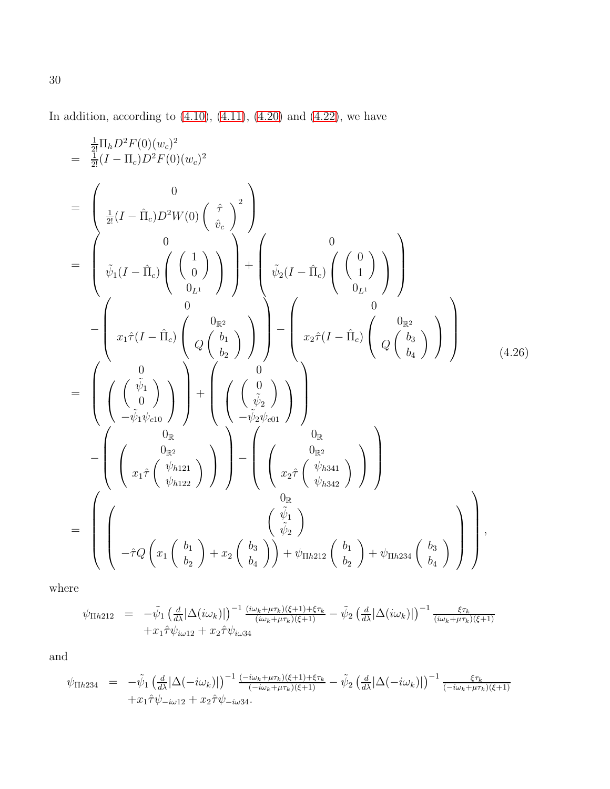In addition, according to  $(4.10)$ ,  $(4.11)$ ,  $(4.20)$  and  $(4.22)$ , we have

<span id="page-29-0"></span>
$$
\begin{split}\n&= \frac{\frac{1}{2!} \Pi_{h} D^{2} F(0)(w_{c})^{2}}{\frac{1}{2!} (I - \Pi_{c}) D^{2} F(0)(w_{c})^{2}} \\
&= \begin{pmatrix} 0 \\
\frac{1}{2!} (I - \hat{\Pi}_{c}) D^{2} W(0) \begin{pmatrix} \hat{\tau} \\ \hat{v}_{c} \end{pmatrix}^{2} \\
&= \begin{pmatrix} 0 \\
\bar{\psi}_{1} (I - \hat{\Pi}_{c}) \begin{pmatrix} 1 \\ 0 \\ 0_{L^{1}} \end{pmatrix} \end{pmatrix} + \begin{pmatrix} 0 \\
\bar{\psi}_{2} (I - \hat{\Pi}_{c}) \begin{pmatrix} 0 \\ 0 \\ 0_{L^{1}} \end{pmatrix} \\
&= \begin{pmatrix} 0 \\
x_{1} \hat{\tau} (I - \hat{\Pi}_{c}) \begin{pmatrix} 0_{\mathbb{R}^{2}} \\ Q \begin{pmatrix} b_{1} \\ b_{2} \end{pmatrix} \end{pmatrix} \end{split} \begin{pmatrix} 0 \\
\bar{\psi}_{2} (I - \hat{\Pi}_{c}) \begin{pmatrix} 0 \\ 0 \\ 0_{L^{1}} \end{pmatrix} \end{pmatrix} \\
&= \begin{pmatrix} 0 \\
x_{1} \hat{\tau} (I - \hat{\Pi}_{c}) \begin{pmatrix} 0_{\mathbb{R}^{2}} \\ Q \begin{pmatrix} b_{1} \\ b_{2} \end{pmatrix} \end{pmatrix} \end{split} \begin{pmatrix} 0 \\
x_{2} \hat{\tau} (I - \hat{\Pi}_{c}) \begin{pmatrix} 0_{\mathbb{R}^{2}} \\ Q \begin{pmatrix} b_{3} \\ b_{4} \end{pmatrix} \end{pmatrix} \end{split} \begin{pmatrix} 0 \\
x_{1} \hat{\tau} (I - \hat{\Pi}_{c}) \begin{pmatrix} 0_{\mathbb{R}^{2}} \\ Q \begin{pmatrix} b_{2} \\ b_{3} \end{pmatrix} \end{pmatrix} \end{split} \tag{4.26}
$$
\n
$$
- \begin{pmatrix} 0 \\
\mu_{\mathbb{R}^{2}} \\
\mu_{\mathbb{R}^{2}} \end{pmatrix} \end{split} \begin{pmatrix} 0 \\
\mu_{\mathbb{R}^{2}} \\
-\tilde{\psi}_{1} \psi_{c10} \begin{pmatrix} 0 \\
\mu_{\mathbb{R}^{2}} \end{pmatrix} \end{
$$

where

$$
\psi_{\Pi h212} = -\tilde{\psi}_1 \left( \frac{d}{d\lambda} |\Delta(i\omega_k)| \right)^{-1} \frac{(i\omega_k + \mu \tau_k)(\xi + 1) + \xi \tau_k}{(i\omega_k + \mu \tau_k)(\xi + 1)} - \tilde{\psi}_2 \left( \frac{d}{d\lambda} |\Delta(i\omega_k)| \right)^{-1} \frac{\xi \tau_k}{(i\omega_k + \mu \tau_k)(\xi + 1)} + x_1 \hat{\tau} \psi_{i\omega 12} + x_2 \hat{\tau} \psi_{i\omega 34}
$$

and

$$
\psi_{\Pi h234} = -\tilde{\psi}_1 \left( \frac{d}{d\lambda} |\Delta(-i\omega_k)| \right)^{-1} \frac{(-i\omega_k + \mu \tau_k)(\xi + 1) + \xi \tau_k}{(-i\omega_k + \mu \tau_k)(\xi + 1)} - \tilde{\psi}_2 \left( \frac{d}{d\lambda} |\Delta(-i\omega_k)| \right)^{-1} \frac{\xi \tau_k}{(-i\omega_k + \mu \tau_k)(\xi + 1)} + x_1 \hat{\tau} \psi_{-i\omega 12} + x_2 \hat{\tau} \psi_{-i\omega 34}.
$$

30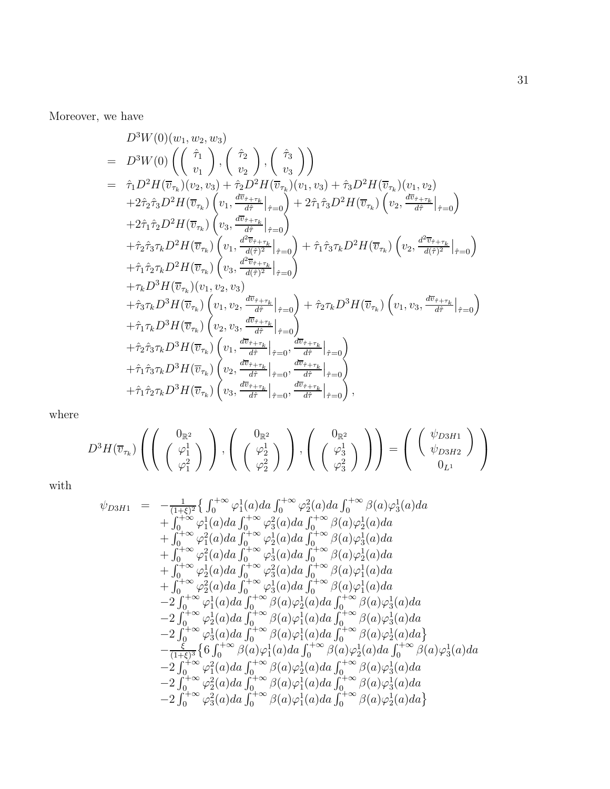Moreover, we have

$$
D^{3}W(0)(w_{1}, w_{2}, w_{3})
$$
\n
$$
= D^{3}W(0) \left( \begin{pmatrix} \hat{\tau}_{1} \\ v_{1} \end{pmatrix}, \begin{pmatrix} \hat{\tau}_{2} \\ v_{2} \end{pmatrix}, \begin{pmatrix} \hat{\tau}_{3} \\ v_{3} \end{pmatrix} \right)
$$
\n
$$
= \hat{\tau}_{1}D^{2}H(\overline{v}_{\tau_{k}})(v_{2}, v_{3}) + \hat{\tau}_{2}D^{2}H(\overline{v}_{\tau_{k}})(v_{1}, v_{3}) + \hat{\tau}_{3}D^{2}H(\overline{v}_{\tau_{k}})(v_{1}, v_{2})
$$
\n
$$
+ 2\hat{\tau}_{2}\hat{\tau}_{3}D^{2}H(\overline{v}_{\tau_{k}})\left( v_{1}, \frac{d\overline{v}_{\tau+\tau_{k}}}{d\overline{\tau}} \Big|_{\hat{\tau}=0} \right) + 2\hat{\tau}_{1}\hat{\tau}_{3}D^{2}H(\overline{v}_{\tau_{k}})\left( v_{2}, \frac{d\overline{v}_{\tau+\tau_{k}}}{d\overline{\tau}} \Big|_{\hat{\tau}=0} \right)
$$
\n
$$
+ \hat{\tau}_{2}\hat{\tau}_{3}\tau_{k}D^{2}H(\overline{v}_{\tau_{k}})\left( v_{3}, \frac{d^{2}\overline{v}_{\tau+\tau_{k}}}{d\overline{\tau}} \Big|_{\hat{\tau}=0} \right) + \hat{\tau}_{1}\hat{\tau}_{3}\tau_{k}D^{2}H(\overline{v}_{\tau_{k}})\left( v_{2}, \frac{d^{2}\overline{v}_{\tau+\tau_{k}}}{d\overline{\tau}_{1}^{2}} \Big|_{\hat{\tau}=0} \right)
$$
\n
$$
+ \hat{\tau}_{1}\hat{\tau}_{2}\tau_{k}D^{2}H(\overline{v}_{\tau_{k}})\left( v_{1}, \frac{d^{2}\overline{v}_{\tau+\tau_{k}}}{d\overline{\tau}_{\tau+\tau_{k}}} \Big|_{\hat{\tau}=0} \right) + \hat{\tau}_{1}\hat{\tau}_{3}\tau_{k}D^{2}H(\overline{v}_{\tau_{k}})\left( v_{2}, \frac{d^{2}\overline{v}_{\tau+\tau_{k}}}{d\overline{\tau}_{\tau}} \Big|_{\hat{\tau}=0} \right)
$$
\n $$ 

where

$$
D^3H(\overline{v}_{\tau_k})\left(\left(\begin{array}{c}0_{\mathbb{R}^2}\\ \left(\begin{array}{c} \varphi_1^1\\ \varphi_1^2 \end{array}\right) \end{array}\right),\left(\begin{array}{c}0_{\mathbb{R}^2}\\ \left(\begin{array}{c} \varphi_2^1\\ \varphi_2^2 \end{array}\right) \end{array}\right)\right) = \left(\begin{array}{c} \left(\begin{array}{c} \psi_{D3H1}\\ \psi_{D3H2} \end{array}\right) \\ 0_{L^1} \end{array}\right)
$$

with

$$
\psi_{D3H1} = -\frac{1}{(1+\xi)^2} \{ \int_0^{+\infty} \varphi_1^1(a)da \int_0^{+\infty} \varphi_2^2(a)da \int_0^{+\infty} \beta(a) \varphi_3^1(a)da \n+ \int_0^{+\infty} \varphi_1^1(a)da \int_0^{+\infty} \varphi_3^2(a)da \int_0^{+\infty} \beta(a) \varphi_2^1(a)da \n+ \int_0^{+\infty} \varphi_1^2(a)da \int_0^{+\infty} \varphi_2^1(a)da \int_0^{+\infty} \beta(a) \varphi_3^1(a)da \n+ \int_0^{+\infty} \varphi_2^2(a)da \int_0^{+\infty} \varphi_3^1(a)da \int_0^{+\infty} \beta(a) \varphi_2^1(a)da \n+ \int_0^{+\infty} \varphi_2^1(a)da \int_0^{+\infty} \varphi_3^2(a)da \int_0^{+\infty} \beta(a) \varphi_1^1(a)da \n+ \int_0^{+\infty} \varphi_2^2(a)da \int_0^{+\infty} \varphi_3^1(a)da \int_0^{+\infty} \beta(a) \varphi_1^1(a)da \n- 2 \int_0^{+\infty} \varphi_1^1(a)da \int_0^{+\infty} \beta(a) \varphi_2^1(a)da \int_0^{+\infty} \beta(a) \varphi_3^1(a)da \n- 2 \int_0^{+\infty} \varphi_2^1(a)da \int_0^{+\infty} \beta(a) \varphi_1^1(a)da \int_0^{+\infty} \beta(a) \varphi_3^1(a)da \n- 2 \int_0^{+\infty} \varphi_3^1(a)da \int_0^{+\infty} \beta(a) \varphi_1^1(a)da \int_0^{+\infty} \beta(a) \varphi_2^1(a)da \n- 2 \int_0^{+\infty} \varphi_3^1(a)da \int_0^{+\infty} \beta(a) \varphi_2^1(a)da \int_0^{+\infty} \beta(a) \varphi_2^1(a)da \n- 2 \int_0^{+\infty} \varphi_1^2(a)da \int_0^{+\infty} \beta(a) \varphi_2^1(a)da \int_0^{+\infty
$$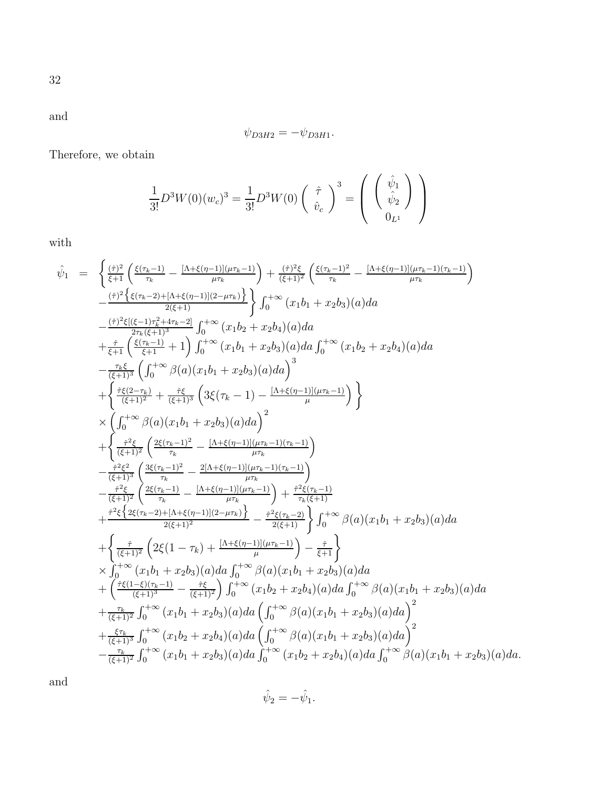$$
\psi_{D3H2}=-\psi_{D3H1}.
$$

Therefore, we obtain

$$
\frac{1}{3!}D^3W(0)(w_c)^3 = \frac{1}{3!}D^3W(0)\begin{pmatrix} \hat{\tau} \\ \hat{v}_c \end{pmatrix}^3 = \begin{pmatrix} \hat{\psi}_1 \\ \hat{\psi}_2 \\ 0_{L^1} \end{pmatrix}
$$

with

$$
\hat{\psi}_{1} = \begin{cases}\n\frac{(\hat{\tau})^{2}}{\xi + 1} \left( \frac{\xi(\tau_{k} - 1)}{\tau_{k}} - \frac{[\Lambda + \xi(\eta - 1)](\mu\tau_{k} - 1)}{\mu\tau_{k}} \right) + \frac{(\hat{\tau})^{2}\xi}{(\xi + 1)^{2}} \left( \frac{\xi(\tau_{k} - 1)^{2}}{\tau_{k}} - \frac{[\Lambda + \xi(\eta - 1)](\mu\tau_{k} - 1)(\tau_{k} - 1)}{\mu\tau_{k}} \right) \\
-\frac{(\hat{\tau})^{2}\xi[(\xi - 1)\tau_{k}^{2} + 4\tau_{k} - 2]}{2(\xi + 1)} \int_{0}^{+\infty} (x_{1}b_{1} + x_{2}b_{3})(a)da \\
+\frac{(\hat{\tau})^{2}\xi[(\xi - 1)\tau_{k}^{2} + 4\tau_{k} - 2]}{\xi + 1} \int_{0}^{+\infty} (x_{1}b_{2} + x_{2}b_{4})(a)da \\
-\frac{\tau_{k} \xi}{(\xi + 1)^{3}} \left( \int_{0}^{+\infty} \beta(a)(x_{1}b_{1} + x_{2}b_{3})(a)da \int_{0}^{3} \right. \\
+\left\{ \frac{\hat{\tau}^{2}(\xi - \tau_{k})}{(\xi + 1)^{3}} + \frac{\hat{\tau}^{2}(\xi}{(\xi + 1)^{2}} \left( 3\xi(\tau_{k} - 1) - \frac{[\Lambda + \xi(\eta - 1)](\mu\tau_{k} - 1)}{\mu} \right) \right\} \\
\times \left( \int_{0}^{+\infty} \beta(a)(x_{1}b_{1} + x_{2}b_{3})(a)da \right)^{2} \\
+\left\{ \frac{\hat{\tau}^{2}\xi}{(\xi + 1)^{2}} \left( \frac{2\xi(\tau_{k} - 1)^{2}}{\tau_{k}} - \frac{[\Lambda + \xi(\eta - 1)](\mu\tau_{k} - 1)(\tau_{k} - 1)}{\mu\tau_{k}} \right) \right. \\
-\frac{\hat{\tau}^{2}\xi^{2}}{(\xi + 1)^{3}} \left( \frac{3\xi(\tau_{k} - 1)}{\tau_{k}} - \frac{[\Lambda + \xi(\eta - 1)](\mu\tau_{k} - 1)(\tau_{k} - 1)}{\mu\tau_{k}} \right) \\
+\left\{ \frac{\hat{\tau
$$

and

$$
\hat{\psi}_2 = -\hat{\psi}_1.
$$

32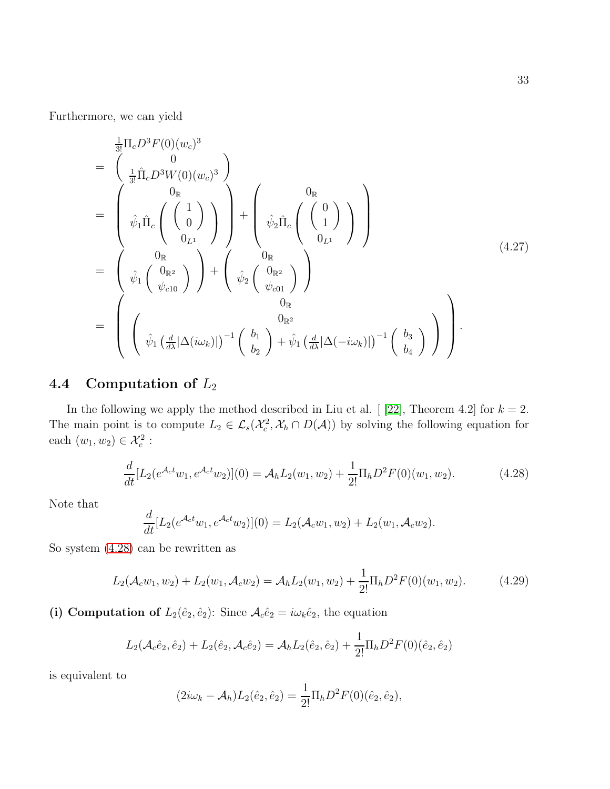Furthermore, we can yield

<span id="page-32-1"></span>
$$
\begin{split}\n&= \begin{pmatrix}\n\frac{1}{3!} \Pi_c D^3 F(0)(w_c)^3 \\
&= \begin{pmatrix}\n0 \\
\frac{1}{3!} \hat{\Pi}_c D^3 W(0)(w_c)^3\n\end{pmatrix} \\
&= \begin{pmatrix}\n0_R \\
\hat{\psi}_1 \hat{\Pi}_c \begin{pmatrix}\n1 \\
0\n\end{pmatrix}\n\end{pmatrix} + \begin{pmatrix}\n0_R \\
\hat{\psi}_2 \hat{\Pi}_c \begin{pmatrix}\n0 \\
1\n\end{pmatrix}\n\end{pmatrix} \\
&= \begin{pmatrix}\n0_R \\
\hat{\psi}_1 \begin{pmatrix}\n0_{\mathbb{R}^2} \\
\psi_{c10}\n\end{pmatrix}\n\end{pmatrix} + \begin{pmatrix}\n0_R \\
\hat{\psi}_2 \begin{pmatrix}\n0_{\mathbb{R}^2} \\
\psi_{c01}\n\end{pmatrix}\n\end{split}
$$
\n
$$
= \begin{pmatrix}\n0_R \\
\hat{\psi}_1 \begin{pmatrix}\n\frac{d}{dx} |\Delta(i\omega_k)|\n\end{pmatrix}^{-1} \begin{pmatrix}\nb_1 \\
b_2\n\end{pmatrix} + \hat{\psi}_1 \begin{pmatrix}\n\frac{d}{dx} |\Delta(-i\omega_k)|\n\end{pmatrix}^{-1} \begin{pmatrix}\nb_3 \\
b_4\n\end{pmatrix}\n\end{split}
$$
\n(4.27)

### 4.4 Computation of  $L_2$

In the following we apply the method described in Liu et al.  $[$  [\[22\]](#page-48-4), Theorem 4.2] for  $k = 2$ . The main point is to compute  $L_2 \in \mathcal{L}_s(\mathcal{X}_c^2, \mathcal{X}_h \cap D(\mathcal{A}))$  by solving the following equation for each  $(w_1, w_2) \in \mathcal{X}_c^2$ :

<span id="page-32-0"></span>
$$
\frac{d}{dt}[L_2(e^{\mathcal{A}_c t}w_1, e^{\mathcal{A}_c t}w_2)](0) = \mathcal{A}_h L_2(w_1, w_2) + \frac{1}{2!} \Pi_h D^2 F(0)(w_1, w_2).
$$
\n(4.28)

Note that

$$
\frac{d}{dt}[L_2(e^{\mathcal{A}_c t}w_1, e^{\mathcal{A}_c t}w_2)](0) = L_2(\mathcal{A}_c w_1, w_2) + L_2(w_1, \mathcal{A}_c w_2).
$$

So system [\(4.28\)](#page-32-0) can be rewritten as

$$
L_2(\mathcal{A}_c w_1, w_2) + L_2(w_1, \mathcal{A}_c w_2) = \mathcal{A}_h L_2(w_1, w_2) + \frac{1}{2!} \Pi_h D^2 F(0)(w_1, w_2).
$$
 (4.29)

(i) Computation of  $L_2(\hat{e}_2, \hat{e}_2)$ : Since  $\mathcal{A}_c \hat{e}_2 = i\omega_k \hat{e}_2$ , the equation

$$
L_2(\mathcal{A}_c \hat{e}_2, \hat{e}_2) + L_2(\hat{e}_2, \mathcal{A}_c \hat{e}_2) = \mathcal{A}_h L_2(\hat{e}_2, \hat{e}_2) + \frac{1}{2!} \Pi_h D^2 F(0)(\hat{e}_2, \hat{e}_2)
$$

is equivalent to

$$
(2i\omega_k - A_h)L_2(\hat{e}_2, \hat{e}_2) = \frac{1}{2!}\Pi_h D^2 F(0)(\hat{e}_2, \hat{e}_2),
$$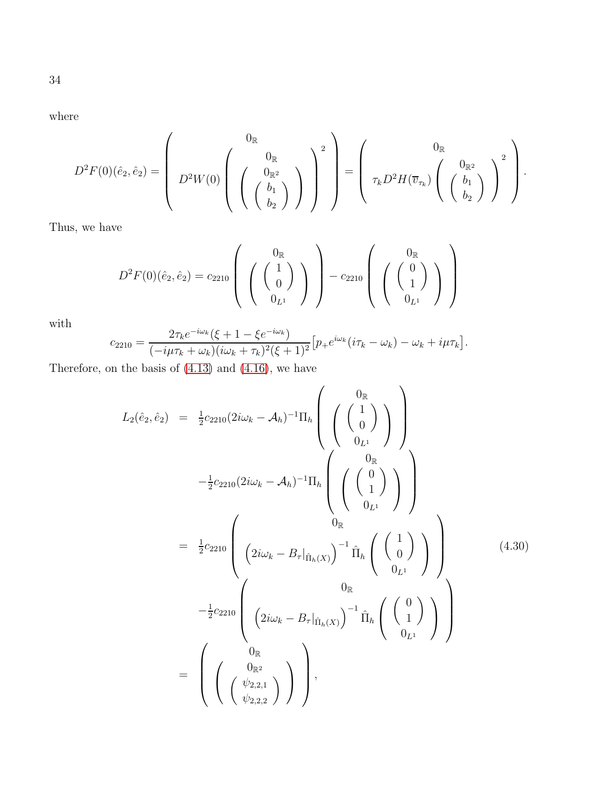where

$$
D^2F(0)(\hat{e}_2,\hat{e}_2)=\left(\begin{array}{c}0_{\mathbb{R}}\\D^2W(0)\left(\begin{array}{c}0_{\mathbb{R}^2}\\ \left(\begin{array}{c}b_1\\b_2\end{array}\right)\end{array}\right)\end{array}\right)^2\end{array}\right)=\left(\begin{array}{c}0_{\mathbb{R}}\\ \tau_kD^2H(\overline{v}_{\tau_k})\left(\begin{array}{c}0_{\mathbb{R}^2}\\ \left(\begin{array}{c}b_1\\b_2\end{array}\right)\end{array}\right)^2\end{array}\right).
$$

Thus, we have

$$
D^{2}F(0)(\hat{e}_{2},\hat{e}_{2}) = c_{2210} \left( \begin{array}{c} 0_{\mathbb{R}} \\ \begin{pmatrix} 1 \\ 0 \end{pmatrix} \end{array} \right) - c_{2210} \left( \begin{array}{c} 0_{\mathbb{R}} \\ \begin{pmatrix} 0 \\ 1 \end{pmatrix} \end{array} \right)
$$

with

$$
c_{2210} = \frac{2\tau_k e^{-i\omega_k} (\xi + 1 - \xi e^{-i\omega_k})}{(-i\mu \tau_k + \omega_k)(i\omega_k + \tau_k)^2 (\xi + 1)^2} \Big[ p_+ e^{i\omega_k} (i\tau_k - \omega_k) - \omega_k + i\mu \tau_k \Big].
$$

Therefore, on the basis of [\(4.13\)](#page-19-2) and [\(4.16\)](#page-20-0), we have

<span id="page-33-0"></span>
$$
L_{2}(\hat{e}_{2}, \hat{e}_{2}) = \frac{1}{2}c_{2210}(2i\omega_{k} - A_{h})^{-1}\Pi_{h} \left( \begin{pmatrix} 0_{\mathbb{R}} \\ 0 \\ 0_{L^{1}} \end{pmatrix} \right)
$$
  

$$
-\frac{1}{2}c_{2210}(2i\omega_{k} - A_{h})^{-1}\Pi_{h} \left( \begin{pmatrix} 0_{\mathbb{R}} \\ 0 \\ 0_{L^{1}} \end{pmatrix} \right)
$$
  

$$
= \frac{1}{2}c_{2210} \left( \frac{0_{\mathbb{R}}}{2i\omega_{k} - B_{\tau}|_{\hat{\Pi}_{h}(X)}} \right)^{-1}\hat{\Pi}_{h} \left( \begin{pmatrix} 1 \\ 0 \end{pmatrix} \right)
$$
  

$$
-\frac{1}{2}c_{2210} \left( \frac{0_{\mathbb{R}}}{2i\omega_{k} - B_{\tau}|_{\hat{\Pi}_{h}(X)}} \right)^{-1}\hat{\Pi}_{h} \left( \begin{pmatrix} 1 \\ 0 \end{pmatrix} \right)
$$
  

$$
= \left( \begin{pmatrix} 0_{\mathbb{R}} \\ 0_{\mathbb{R}^{2}} \\ 0_{\psi_{2,2,2}} \end{pmatrix} \right), \qquad (4.30)
$$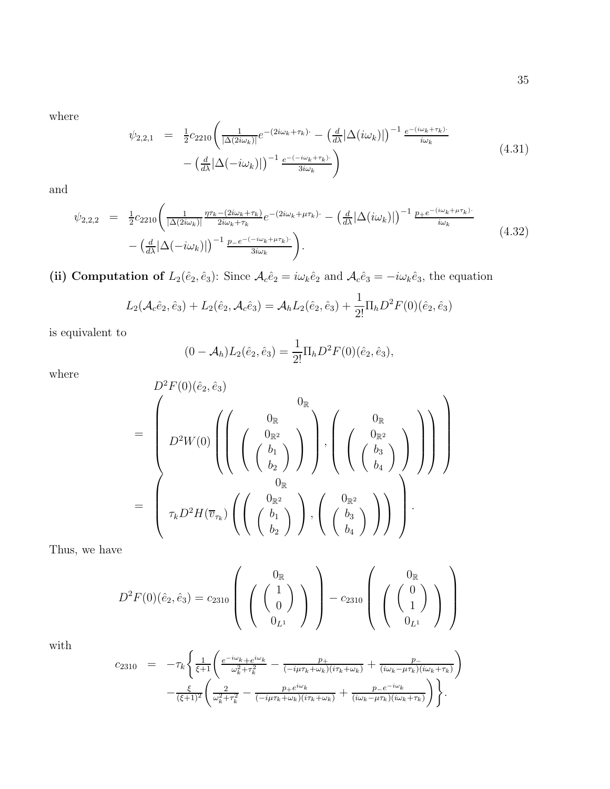where

$$
\psi_{2,2,1} = \frac{1}{2} c_{2210} \left( \frac{1}{|\Delta(2i\omega_k)|} e^{-(2i\omega_k + \tau_k)} - \left( \frac{d}{d\lambda} |\Delta(i\omega_k)| \right)^{-1} \frac{e^{-(i\omega_k + \tau_k)}}{i\omega_k} - \left( \frac{d}{d\lambda} |\Delta(-i\omega_k)| \right)^{-1} \frac{e^{-(i\omega_k + \tau_k)}}{3i\omega_k} \right)
$$
\n(4.31)

and

$$
\psi_{2,2,2} = \frac{1}{2} c_{2210} \left( \frac{1}{|\Delta(2i\omega_k)|} \frac{\eta \tau_k - (2i\omega_k + \tau_k)}{2i\omega_k + \tau_k} e^{-(2i\omega_k + \mu \tau_k)} - \left( \frac{d}{d\lambda} |\Delta(i\omega_k)| \right)^{-1} \frac{p_+ e^{-(i\omega_k + \mu \tau_k)}}{i\omega_k} - \left( \frac{d}{d\lambda} |\Delta(-i\omega_k)| \right)^{-1} \frac{p_- e^{-(i\omega_k + \mu \tau_k)}}{3i\omega_k} \right).
$$
\n(4.32)

(ii) Computation of  $L_2(\hat{e}_2, \hat{e}_3)$ : Since  $\mathcal{A}_c \hat{e}_2 = i\omega_k \hat{e}_2$  and  $\mathcal{A}_c \hat{e}_3 = -i\omega_k \hat{e}_3$ , the equation

$$
L_2(\mathcal{A}_c \hat{e}_2, \hat{e}_3) + L_2(\hat{e}_2, \mathcal{A}_c \hat{e}_3) = \mathcal{A}_h L_2(\hat{e}_2, \hat{e}_3) + \frac{1}{2!} \Pi_h D^2 F(0)(\hat{e}_2, \hat{e}_3)
$$

is equivalent to

$$
(0 - A_h)L_2(\hat{e}_2, \hat{e}_3) = \frac{1}{2!} \Pi_h D^2 F(0)(\hat{e}_2, \hat{e}_3),
$$

where

$$
D^{2}F(0)(\hat{e}_{2},\hat{e}_{3})
$$
\n
$$
= \begin{pmatrix}\nD^{2}W(0) \left( \left( \begin{array}{c}\n0_{\mathbb{R}} & 0_{\mathbb{R}} \\
0_{\mathbb{R}^{2}} & 0_{\mathbb{R}} \\
\frac{b_{2}}{b_{2}} \end{array} \right) \right), \left( \begin{array}{c}\n0_{\mathbb{R}} & 0_{\mathbb{R}} \\
\frac{b_{\mathbb{R}}}{b_{2}} & 0_{\mathbb{R}} \\
\frac{b_{\mathbb{R}}}{b_{4}} \end{array} \right) \right)\n\end{pmatrix}
$$
\n
$$
= \begin{pmatrix}\nD^{2}W(0) \left( \left( \begin{array}{c}\n0_{\mathbb{R}^{2}} & 0_{\mathbb{R}^{2}} \\
\frac{b_{\mathbb{R}^{2}}}{b_{2}} \end{array} \right) \right), \left( \begin{array}{c}\n0_{\mathbb{R}^{2}} & 0_{\mathbb{R}^{2}} \\
\frac{b_{3}}{b_{4}} \end{array} \right) \right)\n\end{pmatrix}
$$

Thus, we have

$$
D^{2}F(0)(\hat{e}_{2}, \hat{e}_{3}) = c_{2310} \left( \begin{array}{c} 0_{\mathbb{R}} \\ \begin{pmatrix} 1 \\ 0 \end{pmatrix} \end{array} \right) - c_{2310} \left( \begin{array}{c} 0_{\mathbb{R}} \\ \begin{pmatrix} 0 \\ 1 \end{pmatrix} \end{array} \right)
$$

with

$$
c_{2310} = -\tau_k \left\{ \frac{1}{\xi+1} \left( \frac{e^{-i\omega_k} + e^{i\omega_k}}{\omega_k^2 + \tau_k^2} - \frac{p_+}{(-i\mu\tau_k + \omega_k)(i\tau_k + \omega_k)} + \frac{p_-}{(i\omega_k - \mu\tau_k)(i\omega_k + \tau_k)} \right) - \frac{\xi}{(\xi+1)^2} \left( \frac{2}{\omega_k^2 + \tau_k^2} - \frac{p_+ e^{i\omega_k}}{(-i\mu\tau_k + \omega_k)(i\tau_k + \omega_k)} + \frac{p_- e^{-i\omega_k}}{(i\omega_k - \mu\tau_k)(i\omega_k + \tau_k)} \right) \right\}.
$$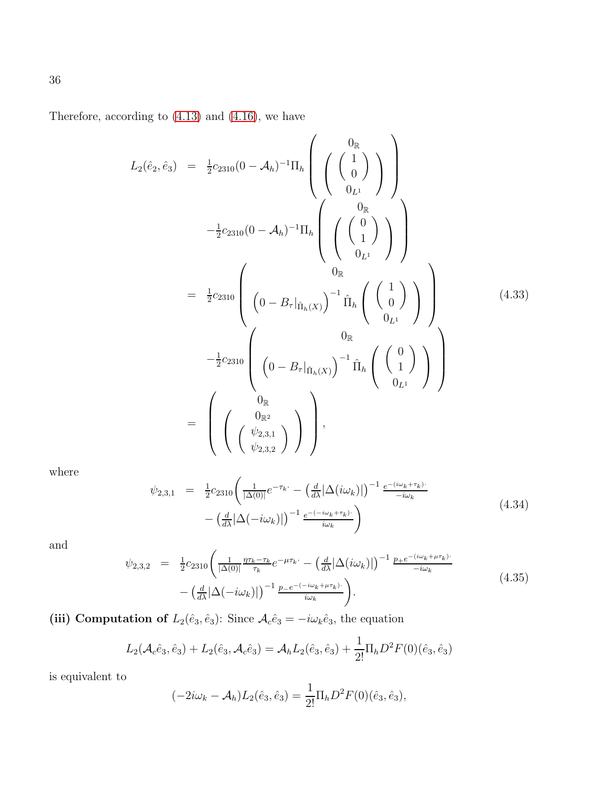Therefore, according to [\(4.13\)](#page-19-2) and [\(4.16\)](#page-20-0), we have

<span id="page-35-0"></span>
$$
L_{2}(\hat{e}_{2}, \hat{e}_{3}) = \frac{1}{2}c_{2310}(0 - A_{h})^{-1}\Pi_{h}\left(\begin{pmatrix} 0_{\mathbb{R}} \\ 0 \end{pmatrix} \right)
$$
  

$$
-\frac{1}{2}c_{2310}(0 - A_{h})^{-1}\Pi_{h}\left(\begin{pmatrix} 0_{\mathbb{R}} \\ 0 \end{pmatrix} \right)
$$
  

$$
= \frac{1}{2}c_{2310}\left(\begin{pmatrix} 0 \\ 0 - B_{\tau}|_{\hat{\Pi}_{h}(X)} \end{pmatrix}^{-1}\hat{\Pi}_{h}\begin{pmatrix} 1 \\ 0 \end{pmatrix} \right)
$$
  

$$
-\frac{1}{2}c_{2310}\left(\begin{pmatrix} 0 \\ 0 - B_{\tau}|_{\hat{\Pi}_{h}(X)} \end{pmatrix}^{-1}\hat{\Pi}_{h}\begin{pmatrix} 1 \\ 0 \end{pmatrix} \right)
$$
  

$$
= \begin{pmatrix} 0_{\mathbb{R}} \\ 0_{\mathbb{R}^{2}} \\ 0_{\mathbb{R}^{2}} \end{pmatrix}
$$
  

$$
= \begin{pmatrix} 0_{\mathbb{R}} \\ 0_{\mathbb{R}^{2}} \\ 0_{\mathbb{R}^{2},3,2} \end{pmatrix}
$$
 (4.33)

where

$$
\psi_{2,3,1} = \frac{1}{2} c_{2310} \left( \frac{1}{|\Delta(0)|} e^{-\tau_k} - \left( \frac{d}{d\lambda} |\Delta(i\omega_k)| \right)^{-1} \frac{e^{-(i\omega_k + \tau_k)}}{-i\omega_k} - \left( \frac{d}{d\lambda} |\Delta(-i\omega_k)| \right)^{-1} \frac{e^{-(i\omega_k + \tau_k)}}{i\omega_k} \right)
$$
\n(4.34)

and

$$
\psi_{2,3,2} = \frac{1}{2} c_{2310} \left( \frac{1}{|\Delta(0)|} \frac{\eta \tau_k - \tau_k}{\tau_k} e^{-\mu \tau_k} - \left( \frac{d}{d\lambda} |\Delta(i\omega_k)| \right)^{-1} \frac{p_+ e^{-(i\omega_k + \mu \tau_k)}}{-i\omega_k} - \left( \frac{d}{d\lambda} |\Delta(-i\omega_k)| \right)^{-1} \frac{p_- e^{-(i\omega_k + \mu \tau_k)}}{i\omega_k} \right).
$$
\n(4.35)

(iii) Computation of  $L_2(\hat{e}_3, \hat{e}_3)$ : Since  $\mathcal{A}_c \hat{e}_3 = -i\omega_k \hat{e}_3$ , the equation

$$
L_2(\mathcal{A}_c \hat{e}_3, \hat{e}_3) + L_2(\hat{e}_3, \mathcal{A}_c \hat{e}_3) = \mathcal{A}_h L_2(\hat{e}_3, \hat{e}_3) + \frac{1}{2!} \Pi_h D^2 F(0)(\hat{e}_3, \hat{e}_3)
$$

is equivalent to

$$
(-2i\omega_k - A_h)L_2(\hat{e}_3, \hat{e}_3) = \frac{1}{2!}\Pi_h D^2 F(0)(\hat{e}_3, \hat{e}_3),
$$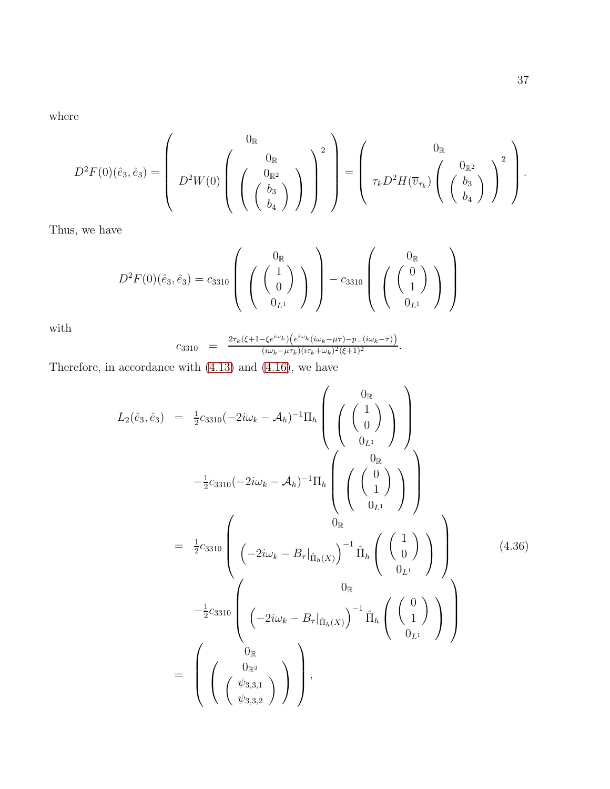where

$$
D^2F(0)(\hat{e}_3,\hat{e}_3)=\left(\begin{array}{c}0_{\mathbb{R}}\\D^2W(0)\left(\begin{array}{c}0_{\mathbb{R}^2}\\ \left(\begin{array}{c}b_3\\b_4\end{array}\right)\end{array}\right)\end{array}\right)^2\end{array}\right)=\left(\begin{array}{c}0_{\mathbb{R}}\\ \tau_kD^2H(\overline{v}_{\tau_k})\left(\begin{array}{c}0_{\mathbb{R}^2}\\ \left(\begin{array}{c}b_3\\b_4\end{array}\right)\end{array}\right)^2\end{array}\right).
$$

Thus, we have

$$
D^{2}F(0)(\hat{e}_{3},\hat{e}_{3})=c_{3310}\left(\left(\begin{array}{c}0_{\mathbb{R}}\\1\\0_{L^{1}}\end{array}\right)\right)-c_{3310}\left(\left(\begin{array}{c}0_{\mathbb{R}}\\1\\0_{L^{1}}\end{array}\right)\right)
$$

with

$$
c_{3310} = \frac{2\tau_k(\xi + 1 - \xi e^{i\omega_k}) \left(e^{i\omega_k}(i\omega_k - \mu\tau) - p - (i\omega_k - \tau)\right)}{(i\omega_k - \mu\tau_k)(i\tau_k + \omega_k)^2(\xi + 1)^2}.
$$

Therefore, in accordance with [\(4.13\)](#page-19-2) and [\(4.16\)](#page-20-0), we have

<span id="page-36-0"></span>
$$
L_{2}(\hat{e}_{3}, \hat{e}_{3}) = \frac{1}{2}c_{3310}(-2i\omega_{k} - A_{h})^{-1}\Pi_{h}\left(\begin{pmatrix}0_{\mathbb{R}}\\0\\0_{L^{1}}\end{pmatrix}\right)
$$
  

$$
-\frac{1}{2}c_{3310}(-2i\omega_{k} - A_{h})^{-1}\Pi_{h}\left(\begin{pmatrix}0_{\mathbb{R}}\\0\\0_{L^{1}}\end{pmatrix}\right)
$$
  

$$
= \frac{1}{2}c_{3310}\left(\begin{pmatrix}-2i\omega_{k} - B_{\tau}|_{\hat{\Pi}_{h}(X)}\end{pmatrix}^{-1}\hat{\Pi}_{h}\begin{pmatrix}1\\0\\0_{L^{1}}\end{pmatrix}\right)
$$
  

$$
-\frac{1}{2}c_{3310}\left(\begin{pmatrix}0_{\mathbb{R}}\\-2i\omega_{k} - B_{\tau}|_{\hat{\Pi}_{h}(X)}\end{pmatrix}^{-1}\hat{\Pi}_{h}\begin{pmatrix}0\\0\end{pmatrix}\right)
$$
  

$$
= \begin{pmatrix}0_{\mathbb{R}}\\0_{\mathbb{R}^{2}}\\(\begin{pmatrix}\omega_{k3,11}\\ \psi_{3,3,2}\end{pmatrix}\end{pmatrix},
$$
 (4.36)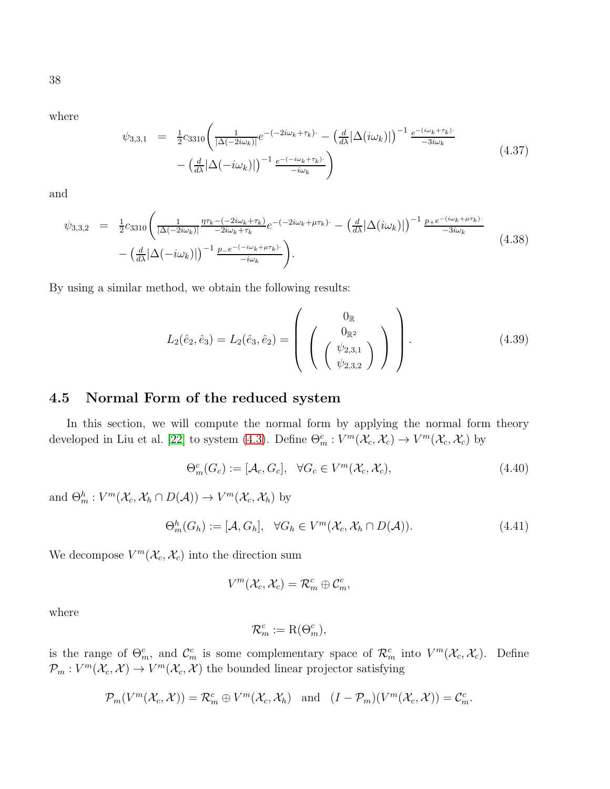38

where

$$
\psi_{3,3,1} = \frac{1}{2} c_{3310} \left( \frac{1}{|\Delta(-2i\omega_k)|} e^{-(-2i\omega_k + \tau_k) \cdot} - \left( \frac{d}{d\lambda} |\Delta(i\omega_k)| \right)^{-1} \frac{e^{-(i\omega_k + \tau_k) \cdot}}{-3i\omega_k} - \left( \frac{d}{d\lambda} |\Delta(-i\omega_k)| \right)^{-1} \frac{e^{-(i\omega_k + \tau_k) \cdot}}{-i\omega_k} \right)
$$
\n(4.37)

and

$$
\psi_{3,3,2} = \frac{1}{2} c_{3310} \left( \frac{1}{|\Delta(-2i\omega_k)|} \frac{\eta \tau_k - (-2i\omega_k + \tau_k)}{-2i\omega_k + \tau_k} e^{-(-2i\omega_k + \mu \tau_k)} - \left( \frac{d}{d\lambda} |\Delta(i\omega_k)| \right)^{-1} \frac{p_+ e^{-(i\omega_k + \mu \tau_k)}}{-3i\omega_k} - \left( \frac{d}{d\lambda} |\Delta(-i\omega_k)| \right)^{-1} \frac{p_- e^{-(i\omega_k + \mu \tau_k)}}{-i\omega_k} \right).
$$
\n(4.38)

By using a similar method, we obtain the following results:

$$
L_2(\hat{e}_2, \hat{e}_3) = L_2(\hat{e}_3, \hat{e}_2) = \left( \begin{array}{c} 0_{\mathbb{R}} \\ 0_{\mathbb{R}^2} \\ \left( \begin{array}{c} \langle \psi_{2,3,1} \\ \psi_{2,3,2} \end{array} \rangle \end{array} \right) \right).
$$
 (4.39)

#### 4.5 Normal Form of the reduced system

In this section, we will compute the normal form by applying the normal form theory developed in Liu et al. [\[22\]](#page-48-4) to system [\(4.3\)](#page-15-1). Define  $\Theta_m^c : V^m(\mathcal{X}_c, \mathcal{X}_c) \to V^m(\mathcal{X}_c, \mathcal{X}_c)$  by

<span id="page-37-0"></span>
$$
\Theta_m^c(G_c) := [\mathcal{A}_c, G_c], \quad \forall G_c \in V^m(\mathcal{X}_c, \mathcal{X}_c), \tag{4.40}
$$

and  $\Theta_m^h: V^m(\mathcal{X}_c, \mathcal{X}_h \cap D(\mathcal{A})) \to V^m(\mathcal{X}_c, \mathcal{X}_h)$  by

<span id="page-37-1"></span>
$$
\Theta_m^h(G_h) := [\mathcal{A}, G_h], \quad \forall G_h \in V^m(\mathcal{X}_c, \mathcal{X}_h \cap D(\mathcal{A})). \tag{4.41}
$$

We decompose  $V^m(\mathcal{X}_c, \mathcal{X}_c)$  into the direction sum

$$
V^m(\mathcal{X}_c, \mathcal{X}_c) = \mathcal{R}_m^c \oplus \mathcal{C}_m^c,
$$

where

$$
\mathcal{R}_m^c := \mathcal{R}(\Theta_m^c),
$$

is the range of  $\Theta_m^c$ , and  $\mathcal{C}_m^c$  is some complementary space of  $\mathcal{R}_m^c$  into  $V^m(\mathcal{X}_c, \mathcal{X}_c)$ . Define  $\mathcal{P}_m: V^m(\mathcal{X}_c, \mathcal{X}) \to V^m(\mathcal{X}_c, \mathcal{X})$  the bounded linear projector satisfying

$$
\mathcal{P}_m(V^m(\mathcal{X}_c,\mathcal{X}))=\mathcal{R}_m^c\oplus V^m(\mathcal{X}_c,\mathcal{X}_h)\quad\text{and}\quad (I-\mathcal{P}_m)(V^m(\mathcal{X}_c,\mathcal{X}))=\mathcal{C}_m^c.
$$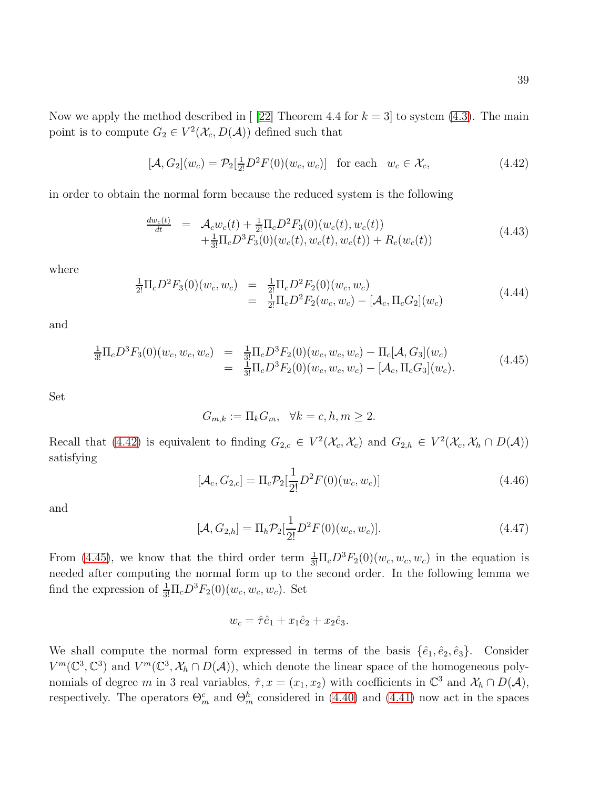39

Now we apply the method described in [\[22\]](#page-48-4) Theorem 4.4 for  $k = 3$ ] to system [\(4.3\)](#page-15-1). The main point is to compute  $G_2 \in V^2(\mathcal{X}_c, D(\mathcal{A}))$  defined such that

<span id="page-38-0"></span>
$$
[\mathcal{A}, G_2](w_c) = \mathcal{P}_2[\frac{1}{2!}D^2F(0)(w_c, w_c)] \quad \text{for each} \quad w_c \in \mathcal{X}_c,
$$
\n
$$
(4.42)
$$

in order to obtain the normal form because the reduced system is the following

$$
\frac{dw_c(t)}{dt} = \mathcal{A}_c w_c(t) + \frac{1}{2!} \Pi_c D^2 F_3(0)(w_c(t), w_c(t)) \n+ \frac{1}{3!} \Pi_c D^3 F_3(0)(w_c(t), w_c(t), w_c(t)) + R_c(w_c(t))
$$
\n(4.43)

where

<span id="page-38-4"></span>
$$
\frac{1}{2!} \Pi_c D^2 F_3(0)(w_c, w_c) = \frac{1}{2!} \Pi_c D^2 F_2(0)(w_c, w_c) \n= \frac{1}{2!} \Pi_c D^2 F_2(w_c, w_c) - [\mathcal{A}_c, \Pi_c G_2](w_c)
$$
\n(4.44)

and

<span id="page-38-1"></span>
$$
\frac{1}{3!} \Pi_c D^3 F_3(0)(w_c, w_c, w_c) = \frac{1}{3!} \Pi_c D^3 F_2(0)(w_c, w_c, w_c) - \Pi_c[\mathcal{A}, G_3](w_c) \n= \frac{1}{3!} \Pi_c D^3 F_2(0)(w_c, w_c, w_c) - [\mathcal{A}_c, \Pi_c G_3](w_c).
$$
\n(4.45)

Set

$$
G_{m,k} := \Pi_k G_m, \quad \forall k = c, h, m \ge 2.
$$

Recall that [\(4.42\)](#page-38-0) is equivalent to finding  $G_{2,c} \in V^2(\mathcal{X}_c, \mathcal{X}_c)$  and  $G_{2,h} \in V^2(\mathcal{X}_c, \mathcal{X}_h \cap D(\mathcal{A}))$ satisfying

<span id="page-38-2"></span>
$$
[\mathcal{A}_c, G_{2,c}] = \Pi_c \mathcal{P}_2[\frac{1}{2!}D^2 F(0)(w_c, w_c)] \tag{4.46}
$$

and

<span id="page-38-3"></span>
$$
[\mathcal{A}, G_{2,h}] = \Pi_h \mathcal{P}_2[\frac{1}{2!}D^2 F(0)(w_c, w_c)].
$$
\n(4.47)

From [\(4.45\)](#page-38-1), we know that the third order term  $\frac{1}{3!} \Pi_c D^3 F_2(0)(w_c, w_c, w_c)$  in the equation is needed after computing the normal form up to the second order. In the following lemma we find the expression of  $\frac{1}{3!} \Pi_c D^3 F_2(0)(w_c, w_c, w_c)$ . Set

$$
w_c = \hat{\tau} \hat{e}_1 + x_1 \hat{e}_2 + x_2 \hat{e}_3.
$$

We shall compute the normal form expressed in terms of the basis  $\{\hat{e}_1, \hat{e}_2, \hat{e}_3\}$ . Consider  $V^m(\mathbb{C}^3,\mathbb{C}^3)$  and  $V^m(\mathbb{C}^3,\mathcal{X}_h \cap D(\mathcal{A}))$ , which denote the linear space of the homogeneous polynomials of degree m in 3 real variables,  $\hat{\tau}$ ,  $x = (x_1, x_2)$  with coefficients in  $\mathbb{C}^3$  and  $\mathcal{X}_h \cap D(\mathcal{A})$ , respectively. The operators  $\Theta_m^c$  and  $\Theta_m^h$  considered in [\(4.40\)](#page-37-0) and [\(4.41\)](#page-37-1) now act in the spaces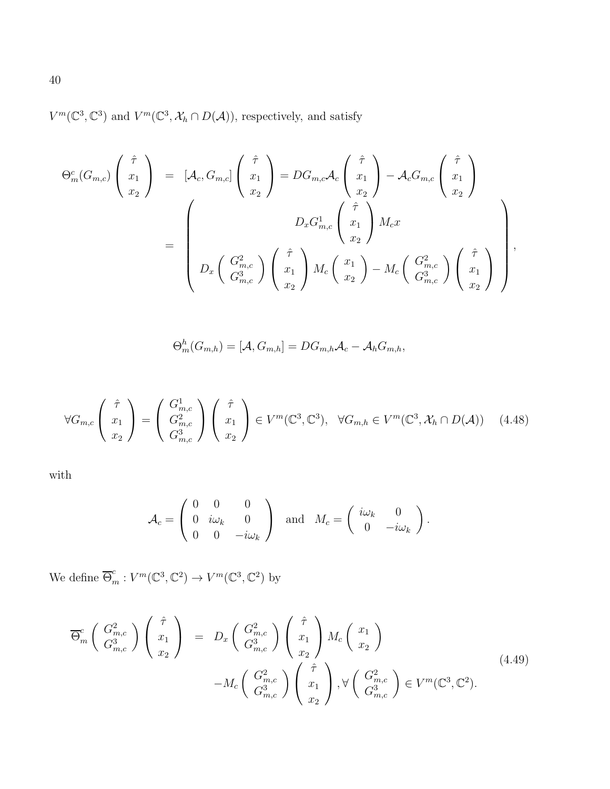$V^m(\mathbb{C}^3, \mathbb{C}^3)$  and  $V^m(\mathbb{C}^3, \mathcal{X}_h \cap D(\mathcal{A}))$ , respectively, and satisfy

$$
\Theta_m^c(G_{m,c})\begin{pmatrix} \hat{\tau} \\ x_1 \\ x_2 \end{pmatrix} = [\mathcal{A}_c, G_{m,c}] \begin{pmatrix} \hat{\tau} \\ x_1 \\ x_2 \end{pmatrix} = DG_{m,c}\mathcal{A}_c \begin{pmatrix} \hat{\tau} \\ x_1 \\ x_2 \end{pmatrix} - \mathcal{A}_c G_{m,c} \begin{pmatrix} \hat{\tau} \\ x_1 \\ x_2 \end{pmatrix}
$$

$$
= \begin{pmatrix} D_x G_{m,c}^1 \begin{pmatrix} \hat{\tau} \\ x_1 \\ x_2 \end{pmatrix} M_c x
$$

$$
= \begin{pmatrix} \mathcal{A}_c G_{m,c}^2 \begin{pmatrix} \hat{\tau} \\ x_1 \\ G_{m,c}^3 \end{pmatrix} \begin{pmatrix} \hat{\tau} \\ x_1 \\ x_2 \end{pmatrix} M_c \begin{pmatrix} x_1 \\ x_2 \end{pmatrix} - M_c \begin{pmatrix} G_{m,c}^2 \\ G_{m,c}^3 \end{pmatrix} \begin{pmatrix} \hat{\tau} \\ x_1 \\ x_2 \end{pmatrix} \end{pmatrix},
$$

$$
\Theta_m^h(G_{m,h}) = [\mathcal{A}, G_{m,h}] = DG_{m,h}\mathcal{A}_c - \mathcal{A}_h G_{m,h},
$$

<span id="page-39-0"></span>
$$
\forall G_{m,c} \left( \begin{array}{c} \hat{\tau} \\ x_1 \\ x_2 \end{array} \right) = \left( \begin{array}{c} G_{m,c}^1 \\ G_{m,c}^2 \\ G_{m,c}^3 \end{array} \right) \left( \begin{array}{c} \hat{\tau} \\ x_1 \\ x_2 \end{array} \right) \in V^m(\mathbb{C}^3, \mathbb{C}^3), \quad \forall G_{m,h} \in V^m(\mathbb{C}^3, \mathcal{X}_h \cap D(\mathcal{A})) \tag{4.48}
$$

with

$$
\mathcal{A}_c = \left(\begin{array}{ccc} 0 & 0 & 0 \\ 0 & i\omega_k & 0 \\ 0 & 0 & -i\omega_k \end{array}\right) \quad \text{and} \quad M_c = \left(\begin{array}{ccc} i\omega_k & 0 \\ 0 & -i\omega_k \end{array}\right).
$$

We define  $\overline{\Theta}_m^c : V^m(\mathbb{C}^3, \mathbb{C}^2) \to V^m(\mathbb{C}^3, \mathbb{C}^2)$  by

$$
\overline{\Theta}_{m}^{c}\left(\begin{array}{c} G_{m,c}^{2} \\ G_{m,c}^{3} \end{array}\right) \left(\begin{array}{c} \hat{\tau} \\ x_{1} \\ x_{2} \end{array}\right) = D_{x}\left(\begin{array}{c} G_{m,c}^{2} \\ G_{m,c}^{3} \end{array}\right) \left(\begin{array}{c} \hat{\tau} \\ x_{1} \\ x_{2} \end{array}\right) M_{c}\left(\begin{array}{c} x_{1} \\ x_{2} \end{array}\right) \n-M_{c}\left(\begin{array}{c} G_{m,c}^{2} \\ G_{m,c}^{3} \end{array}\right) \left(\begin{array}{c} \hat{\tau} \\ x_{1} \\ x_{2} \end{array}\right), \forall \left(\begin{array}{c} G_{m,c}^{2} \\ G_{m,c}^{3} \end{array}\right) \in V^{m}(\mathbb{C}^{3}, \mathbb{C}^{2}).
$$
\n(4.49)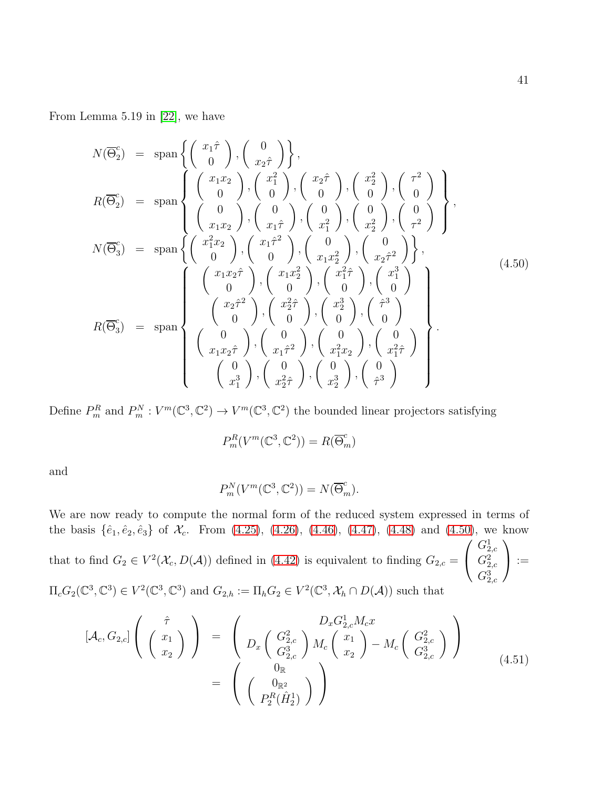From Lemma 5.19 in [\[22\]](#page-48-4), we have

<span id="page-40-0"></span>
$$
N(\overline{\Theta}_{2}^{c}) = \text{span}\left\{\begin{pmatrix} x_{1}\hat{\tau} \\ 0 \end{pmatrix}, \begin{pmatrix} 0 \\ x_{2}\hat{\tau} \end{pmatrix}\right\},
$$
  
\n
$$
R(\overline{\Theta}_{2}^{c}) = \text{span}\left\{\begin{pmatrix} x_{1}x_{2} \\ 0 \end{pmatrix}, \begin{pmatrix} x_{1}^{2} \\ 0 \end{pmatrix}, \begin{pmatrix} x_{2}^{2} \\ 0 \end{pmatrix}, \begin{pmatrix} x_{2}^{2} \\ 0 \end{pmatrix}, \begin{pmatrix} x_{2}^{2} \\ 0 \end{pmatrix}, \begin{pmatrix} x_{2}^{2} \\ 0 \end{pmatrix}, \begin{pmatrix} x_{2}^{2} \\ 0 \end{pmatrix}, \begin{pmatrix} x_{2}^{2} \\ 0 \end{pmatrix}, \begin{pmatrix} x_{2}^{2} \\ 0 \end{pmatrix}, \begin{pmatrix} x_{2}^{2} \\ 0 \end{pmatrix}, \begin{pmatrix} x_{2}^{2} \\ x_{2}^{2} \end{pmatrix}, \begin{pmatrix} x_{2}^{2} \\ x_{2}^{2} \end{pmatrix}, \begin{pmatrix} x_{2}^{2} \\ x_{2}^{2} \end{pmatrix}, \begin{pmatrix} x_{2}^{2} \\ x_{2}^{2} \end{pmatrix}, \begin{pmatrix} x_{2}^{2} \\ x_{2}^{2} \end{pmatrix}, \begin{pmatrix} x_{2}^{2} \\ x_{2}^{2} \end{pmatrix}, \begin{pmatrix} x_{2}^{2} \\ x_{2}^{2} \end{pmatrix}, \begin{pmatrix} x_{2}^{2} \\ x_{2}^{2} \end{pmatrix}, \begin{pmatrix} x_{2}^{2} \\ x_{2}^{2} \end{pmatrix}, \begin{pmatrix} x_{2}^{2} \\ x_{2}^{2} \end{pmatrix}, \begin{pmatrix} x_{2}^{2} \\ x_{2}^{2} \end{pmatrix}, \begin{pmatrix} x_{2}^{2} \\ x_{2}^{2} \end{pmatrix}, \begin{pmatrix} x_{2}^{2} \\ x_{2}^{2} \end{pmatrix}, \begin{pmatrix} x_{2}^{2} \\ x_{2}^{2} \end{pmatrix}, \begin{pmatrix} x_{2}^{2} \\ x_{2}^{2} \end{pmatrix}, \begin{pmatrix} x_{2}^{2} \\ x_{2}^{2} \end{pmatrix}, \begin{pmatrix
$$

Define  $P_m^R$  and  $P_m^N: V^m(\mathbb{C}^3, \mathbb{C}^2) \to V^m(\mathbb{C}^3, \mathbb{C}^2)$  the bounded linear projectors satisfying

$$
P_m^R(V^m(\mathbb{C}^3,\mathbb{C}^2))=R(\overline{\Theta}_m^c)
$$

and

$$
P_m^N(V^m(\mathbb{C}^3,\mathbb{C}^2))=N(\overline{\Theta}_m^c).
$$

We are now ready to compute the normal form of the reduced system expressed in terms of the basis  $\{\hat{e}_1, \hat{e}_2, \hat{e}_3\}$  of  $\mathcal{X}_c$ . From [\(4.25\)](#page-28-0), [\(4.26\)](#page-29-0), [\(4.46\)](#page-38-2), [\(4.47\)](#page-38-3), [\(4.48\)](#page-39-0) and [\(4.50\)](#page-40-0), we know that to find  $G_2 \in V^2(\mathcal{X}_c, D(\mathcal{A}))$  defined in [\(4.42\)](#page-38-0) is equivalent to finding  $G_{2,c} =$  $\sqrt{ }$  $\overline{1}$  $G^1_{2,c}$  $G^2_{2,c}$  $G^3_{2,c}$  $\setminus$  $\bigg) :=$  $\Pi_c G_2(\mathbb{C}^3, \mathbb{C}^3) \in V^2(\mathbb{C}^3, \mathbb{C}^3)$  and  $G_{2,h} := \Pi_h G_2 \in V^2(\mathbb{C}^3, \mathcal{X}_h \cap D(\mathcal{A}))$  such that

<span id="page-40-1"></span>
$$
[\mathcal{A}_c, G_{2,c}] \left( \begin{array}{c} \hat{\tau} \\ x_1 \\ x_2 \end{array} \right) = \left( D_x \begin{pmatrix} G_{2,c}^2 \\ G_{2,c}^3 \\ G_{2,c}^3 \end{pmatrix} M_c \begin{pmatrix} x_1 \\ x_2 \end{pmatrix} - M_c \begin{pmatrix} G_{2,c}^2 \\ G_{2,c}^3 \\ G_{2,c}^3 \end{pmatrix} \right)
$$
  

$$
= \left( \begin{array}{c} 0_{\mathbb{R}} \\ 0_{\mathbb{R}^2} \\ P_2^R(\hat{H}_2^1) \end{array} \right)
$$
(4.51)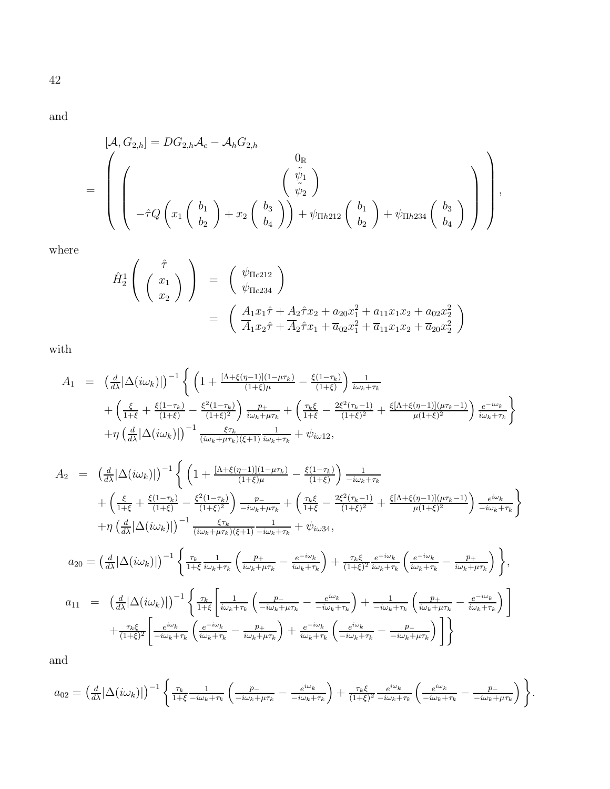and

$$
[\mathcal{A}, G_{2,h}] = DG_{2,h} \mathcal{A}_{c} - \mathcal{A}_{h} G_{2,h}
$$
  
= 
$$
\left( \left( \begin{array}{c} 0 \\ \left( \begin{array}{c} \tilde{\psi}_{1} \\ \tilde{\psi}_{2} \end{array} \right) \\ -\hat{\tau} Q \left( x_{1} \left( \begin{array}{c} b_{1} \\ b_{2} \end{array} \right) + x_{2} \left( \begin{array}{c} b_{3} \\ b_{4} \end{array} \right) \right) + \psi_{\text{Th212}} \left( \begin{array}{c} b_{1} \\ b_{2} \end{array} \right) + \psi_{\text{Th234}} \left( \begin{array}{c} b_{3} \\ b_{4} \end{array} \right) \right) \right),
$$

where

$$
\hat{H}_{2}^{1}\left(\begin{array}{c} \hat{\tau} \\ x_{1} \\ x_{2} \end{array}\right) = \begin{pmatrix} \psi_{\text{I}c212} \\ \psi_{\text{I}c234} \end{pmatrix}
$$
\n
$$
= \begin{pmatrix} \frac{A_{1}x_{1}\hat{\tau} + A_{2}\hat{\tau}x_{2} + a_{20}x_{1}^{2} + a_{11}x_{1}x_{2} + a_{02}x_{2}^{2}}{A_{1}x_{2}\hat{\tau} + A_{2}\hat{\tau}x_{1} + \overline{a}_{02}x_{1}^{2} + \overline{a}_{11}x_{1}x_{2} + \overline{a}_{20}x_{2}^{2}} \end{pmatrix}
$$

with

$$
A_{1} = \left(\frac{d}{d\lambda}|\Delta(i\omega_{k})|\right)^{-1} \left\{ \left(1 + \frac{[\Lambda + \xi(\eta - 1)](1 - \mu\tau_{k})}{(1 + \xi)\mu} - \frac{\xi(1 - \tau_{k})}{(1 + \xi)}\right) \frac{1}{i\omega_{k} + \tau_{k}} + \left(\frac{\xi}{1 + \xi} + \frac{\xi(1 - \tau_{k})}{(1 + \xi)} - \frac{\xi^{2}(1 - \tau_{k})}{(1 + \xi)^{2}}\right) \frac{p_{+}}{i\omega_{k} + \mu\tau_{k}} + \left(\frac{\tau_{k}\xi}{1 + \xi} - \frac{2\xi^{2}(\tau_{k} - 1)}{(1 + \xi)^{2}} + \frac{\xi[\Lambda + \xi(\eta - 1)](\mu\tau_{k} - 1)}{\mu(1 + \xi)^{2}}\right) \frac{e^{-i\omega_{k}}}{i\omega_{k} + \tau_{k}} + \eta \left(\frac{d}{d\lambda}|\Delta(i\omega_{k})|\right)^{-1} \frac{\xi\tau_{k}}{(i\omega_{k} + \mu\tau_{k})(\xi + 1)} \frac{1}{i\omega_{k} + \tau_{k}} + \psi_{i\omega/12},
$$

$$
A_2 = \left(\frac{d}{d\lambda}|\Delta(i\omega_k)|\right)^{-1} \left\{ \left(1 + \frac{[\Lambda + \xi(\eta - 1)](1 - \mu\tau_k)}{(1 + \xi)\mu} - \frac{\xi(1 - \tau_k)}{(1 + \xi)}\right) \frac{1}{-i\omega_k + \tau_k} + \left(\frac{\tau_k \xi}{1 + \xi} - \frac{2\xi^2(\tau_k - 1)}{(1 + \xi)^2} + \frac{\xi[\Lambda + \xi(\eta - 1)](\mu\tau_k - 1)}{\mu(1 + \xi)^2}\right) \frac{e^{i\omega_k}}{-i\omega_k + \tau_k} \right\}
$$
  
+ 
$$
\eta \left(\frac{d}{d\lambda}|\Delta(i\omega_k)|\right)^{-1} \frac{\xi\tau_k}{(i\omega_k + \mu\tau_k)(\xi + 1)} \frac{1}{-i\omega_k + \tau_k} + \psi_{i\omega 34},
$$
  

$$
a_{20} = \left(\frac{d}{d\lambda}|\Delta(i\omega_k)|\right)^{-1} \left\{ \frac{\tau_k}{1 + \xi} \frac{1}{i\omega_k + \tau_k} \left(\frac{p_+}{i\omega_k + \mu\tau_k} - \frac{e^{-i\omega_k}}{i\omega_k + \tau_k}\right) + \frac{\tau_k \xi}{(1 + \xi)^2} \frac{e^{-i\omega_k}}{i\omega_k + \tau_k} \left(\frac{e^{-i\omega_k}}{i\omega_k + \tau_k} - \frac{p_+}{i\omega_k + \tau_k}\right) \right\},
$$
  

$$
a_{11} = \left(\frac{d}{d\lambda}|\Delta(i\omega_k)|\right)^{-1} \left\{ \frac{\tau_k}{1 + \xi} \left[ \frac{1}{i\omega_k + \tau_k} \left(\frac{p_-}{-i\omega_k + \mu\tau_k} - \frac{e^{i\omega_k}}{-i\omega_k + \tau_k}\right) + \frac{1}{-i\omega_k + \tau_k} \left(\frac{p_+}{i\omega_k + \mu\tau_k} - \frac{e^{-i\omega_k}}{i\omega_k + \mu\tau_k}\right) \right] \right\}
$$
  

$$
+ \frac{\tau_k \xi}{(1 + \xi)^2} \left[ \frac{e^{i\omega_k}}{-i\omega_k + \tau_k} \left(\frac{e^{-i\omega_k}}{i\omega_k + \tau_k} - \frac{p_+}{i\omega_k + \mu\tau_k}\
$$

$$
a_{02} = \left(\frac{d}{d\lambda}|\Delta(i\omega_k)|\right)^{-1} \left\{\frac{\tau_k}{1+\xi} \frac{1}{-i\omega_k + \tau_k} \left(\frac{p_-}{-i\omega_k + \mu\tau_k} - \frac{e^{i\omega_k}}{-i\omega_k + \tau_k}\right) + \frac{\tau_k\xi}{(1+\xi)^2} \frac{e^{i\omega_k}}{-i\omega_k + \tau_k} \left(\frac{e^{i\omega_k}}{-i\omega_k + \tau_k} - \frac{p_-}{-i\omega_k + \mu\tau_k}\right)\right\}.
$$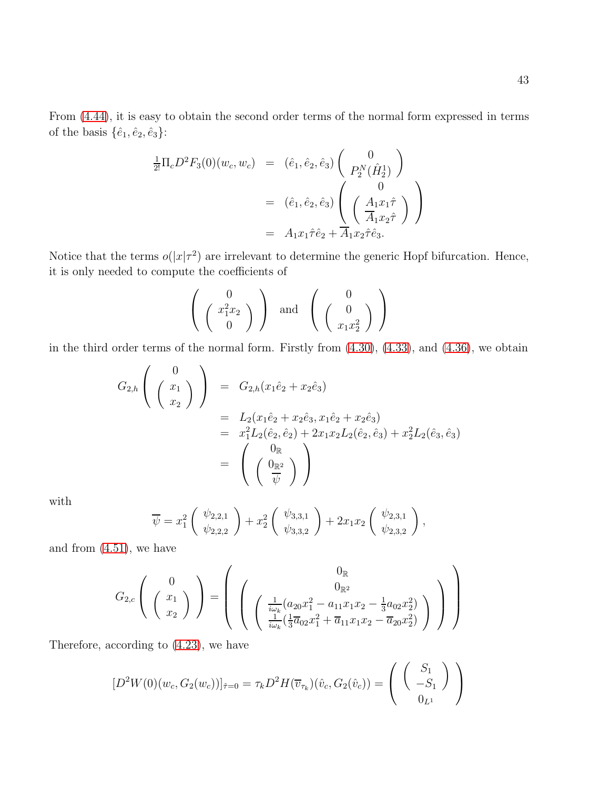From [\(4.44\)](#page-38-4), it is easy to obtain the second order terms of the normal form expressed in terms of the basis  $\{\hat{e}_1,\hat{e}_2,\hat{e}_3\}$ :

$$
\frac{1}{2!} \Pi_c D^2 F_3(0)(w_c, w_c) = (\hat{e}_1, \hat{e}_2, \hat{e}_3) \begin{pmatrix} 0 \\ P_2^N(\hat{H}_2^1) \end{pmatrix}
$$
  
\n
$$
= (\hat{e}_1, \hat{e}_2, \hat{e}_3) \begin{pmatrix} 0 \\ \frac{A_1 x_1 \hat{\tau}}{A_1 x_2 \hat{\tau}} \end{pmatrix}
$$
  
\n
$$
= A_1 x_1 \hat{\tau} \hat{e}_2 + A_1 x_2 \hat{\tau} \hat{e}_3.
$$

Notice that the terms  $o(|x|\tau^2)$  are irrelevant to determine the generic Hopf bifurcation. Hence, it is only needed to compute the coefficients of

$$
\left(\begin{array}{c}0\\ \left(\begin{array}{c}x_1^2x_2\\0\end{array}\right)\end{array}\right) \text{ and }\left(\begin{array}{c}0\\ \left(\begin{array}{c}0\\ x_1x_2^2\end{array}\right)\end{array}\right)
$$

in the third order terms of the normal form. Firstly from [\(4.30\)](#page-33-0), [\(4.33\)](#page-35-0), and [\(4.36\)](#page-36-0), we obtain

$$
G_{2,h}\left(\begin{array}{c}0\\x_1\\x_2\end{array}\right) = G_{2,h}(x_1\hat{e}_2 + x_2\hat{e}_3)
$$
  
=  $L_2(x_1\hat{e}_2 + x_2\hat{e}_3, x_1\hat{e}_2 + x_2\hat{e}_3)$   
=  $x_1^2L_2(\hat{e}_2, \hat{e}_2) + 2x_1x_2L_2(\hat{e}_2, \hat{e}_3) + x_2^2L_2(\hat{e}_3, \hat{e}_3)$   
=  $\begin{pmatrix}0_{\mathbb{R}}\\0_{\mathbb{R}^2}\\0\end{pmatrix}$ 

with

$$
\overline{\psi} = x_1^2 \begin{pmatrix} \psi_{2,2,1} \\ \psi_{2,2,2} \end{pmatrix} + x_2^2 \begin{pmatrix} \psi_{3,3,1} \\ \psi_{3,3,2} \end{pmatrix} + 2x_1x_2 \begin{pmatrix} \psi_{2,3,1} \\ \psi_{2,3,2} \end{pmatrix},
$$

and from  $(4.51)$ , we have

$$
G_{2,c}\left(\begin{array}{c}0\\x_1\\x_2\end{array}\right)=\left(\begin{array}{c}0_{\mathbb{R}}\\ \left(\frac{1}{i\omega_k}(a_{20}x_1^2-a_{11}x_1x_2-\frac{1}{3}a_{02}x_2^2)\\ \frac{1}{i\omega_k}(\frac{1}{3}\overline{a}_{02}x_1^2+\overline{a}_{11}x_1x_2-\overline{a}_{20}x_2^2)\end{array}\right)\right)
$$

Therefore, according to [\(4.23\)](#page-25-0), we have

$$
[D^2W(0)(w_c, G_2(w_c))]_{\hat{\tau}=0} = \tau_k D^2 H(\overline{v}_{\tau_k})(\hat{v}_c, G_2(\hat{v}_c)) = \begin{pmatrix} S_1 \\ -S_1 \\ 0_{L^1} \end{pmatrix}
$$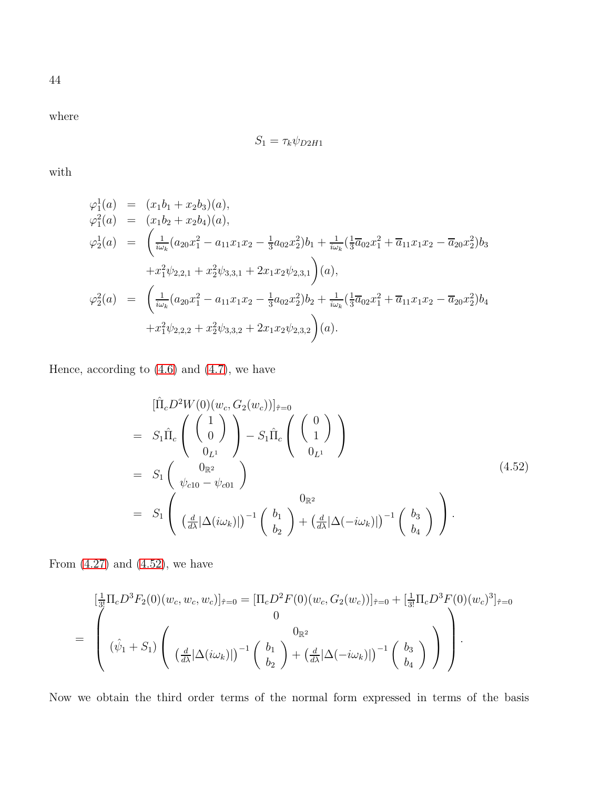where

$$
S_1 = \tau_k \psi_{D2H1}
$$

with

$$
\varphi_1^1(a) = (x_1b_1 + x_2b_3)(a), \n\varphi_1^2(a) = (x_1b_2 + x_2b_4)(a), \n\varphi_2^1(a) = \left(\frac{1}{i\omega_k}(a_{20}x_1^2 - a_{11}x_1x_2 - \frac{1}{3}a_{02}x_2^2)b_1 + \frac{1}{i\omega_k}(\frac{1}{3}\overline{a}_{02}x_1^2 + \overline{a}_{11}x_1x_2 - \overline{a}_{20}x_2^2)b_3 + x_1^2\psi_{2,2,1} + x_2^2\psi_{3,3,1} + 2x_1x_2\psi_{2,3,1}\right)(a), \n\varphi_2^2(a) = \left(\frac{1}{i\omega_k}(a_{20}x_1^2 - a_{11}x_1x_2 - \frac{1}{3}a_{02}x_2^2)b_2 + \frac{1}{i\omega_k}(\frac{1}{3}\overline{a}_{02}x_1^2 + \overline{a}_{11}x_1x_2 - \overline{a}_{20}x_2^2)b_4 + x_1^2\psi_{2,2,2} + x_2^2\psi_{3,3,2} + 2x_1x_2\psi_{2,3,2}\right)(a).
$$

Hence, according to  $(4.6)$  and  $(4.7)$ , we have

<span id="page-43-0"></span>
$$
\begin{split}\n&\left[\hat{\Pi}_{c}D^{2}W(0)(w_{c},G_{2}(w_{c}))\right]_{\hat{\tau}=0} \\
&= S_{1}\hat{\Pi}_{c}\left(\begin{array}{c}1\\0\\0_{L^{1}}\end{array}\right) - S_{1}\hat{\Pi}_{c}\left(\begin{array}{c}0\\1\end{array}\right) \\
&= S_{1}\left(\begin{array}{c}0_{\mathbb{R}^{2}}\\ \psi_{c10}-\psi_{c01}\end{array}\right) \\
&= S_{1}\left(\begin{array}{c}0_{\mathbb{R}^{2}}\\ \left(\frac{d}{d\lambda}|\Delta(i\omega_{k})|\right)^{-1}\left(\begin{array}{c}b_{1}\\b_{2}\end{array}\right) + \left(\frac{d}{d\lambda}|\Delta(-i\omega_{k})|\right)^{-1}\left(\begin{array}{c}b_{3}\\b_{4}\end{array}\right)\end{split}
$$
\n(4.52)

From  $(4.27)$  and  $(4.52)$ , we have

$$
\begin{aligned}\n&\left[\frac{1}{3!}\Pi_c D^3 F_2(0)(w_c, w_c, w_c)\right]_{\hat{\tau}=0} = \left[\Pi_c D^2 F(0)(w_c, G_2(w_c))\right]_{\hat{\tau}=0} + \left[\frac{1}{3!}\Pi_c D^3 F(0)(w_c)^3\right]_{\hat{\tau}=0} \\
&= \begin{pmatrix}\n0 & 0 \\
(\hat{\psi}_1 + S_1) \left(\frac{d}{d\lambda} |\Delta(i\omega_k)|\right)^{-1} \left(\begin{array}{c}b_1\\b_2\end{array}\right) + \left(\frac{d}{d\lambda} |\Delta(-i\omega_k)|\right)^{-1} \left(\begin{array}{c}b_3\\b_4\end{array}\right)\n\end{pmatrix}\right).\n\end{aligned}
$$

Now we obtain the third order terms of the normal form expressed in terms of the basis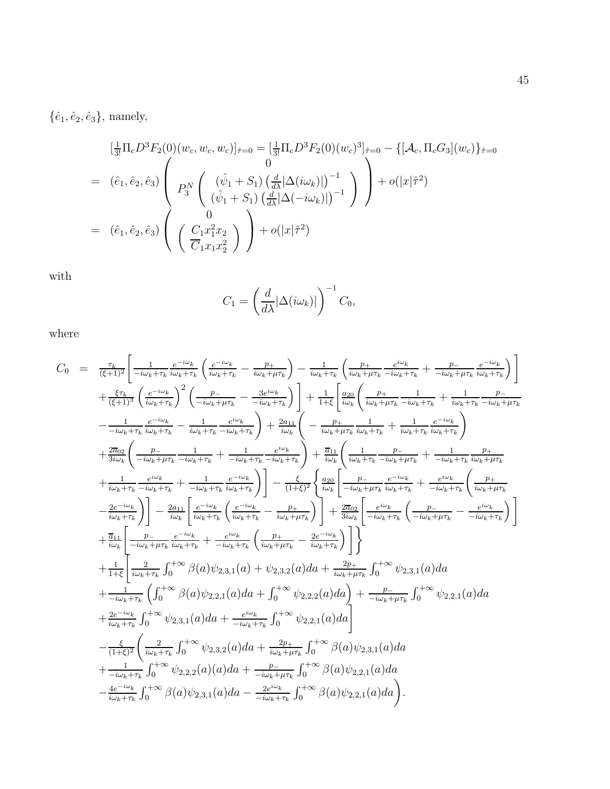$\{\hat{e}_1, \hat{e}_2, \hat{e}_3\}$ , namely,

$$
\begin{aligned}\n&\left[\frac{1}{3!}\Pi_c D^3 F_2(0)(w_c, w_c, w_c)\right]_{\hat{\tau}=0} = \left[\frac{1}{3!}\Pi_c D^3 F_2(0)(w_c)^3\right]_{\hat{\tau}=0} - \left\{[\mathcal{A}_c, \Pi_c G_3](w_c)\right\}_{\hat{\tau}=0} \\
&= \left(\hat{e}_1, \hat{e}_2, \hat{e}_3\right) \left(P_3^N \begin{pmatrix} (\hat{\psi}_1 + S_1) \left(\frac{d}{d\lambda} |\Delta(i\omega_k)|\right)^{-1} \\ (\hat{\psi}_1 + S_1) \left(\frac{d}{d\lambda} |\Delta(-i\omega_k)|\right)^{-1} \end{pmatrix}\right) + o(|x|\hat{\tau}^2) \\
&= \left(\hat{e}_1, \hat{e}_2, \hat{e}_3\right) \left(\begin{pmatrix} 0 \\ C_1 x_1^2 x_2 \\ \overline{C}_1 x_1 x_2^2 \end{pmatrix}\right) + o(|x|\hat{\tau}^2)\n\end{aligned}
$$

with

$$
C_1 = \left(\frac{d}{d\lambda} |\Delta(i\omega_k)|\right)^{-1} C_0,
$$

where

$$
C_{0} = \frac{\tau_{k}}{(\xi+1)^{2}} \left[ \frac{1}{-i\omega_{k}+\tau_{k}} \frac{e^{-i\omega_{k}}}{i\omega_{k}+\tau_{k}} \left( \frac{e^{-i\omega_{k}}}{i\omega_{k}+\tau_{k}} - \frac{p_{+}}{i\omega_{k}+\mu\tau_{k}} \right) - \frac{1}{i\omega_{k}+\tau_{k}} \left( \frac{p_{+}}{i\omega_{k}+\mu\tau_{k}} - \frac{e^{i\omega_{k}}}{i\omega_{k}+\mu\tau_{k}} + \frac{p_{-}}{-i\omega_{k}+\tau_{k}} \frac{e^{-i\omega_{k}}}{i\omega_{k}+\tau_{k}} \right) \right] + \frac{\xi\tau_{k}}{(\xi+1)^{3}} \left( \frac{e^{-i\omega_{k}}}{i\omega_{k}+\tau_{k}} \right)^{2} \left( \frac{p_{-}}{-i\omega_{k}+\mu\tau_{k}} - \frac{3e^{i\omega_{k}}}{-i\omega_{k}+\tau_{k}} \right) + \frac{1}{1+\xi} \left[ \frac{a_{20}}{i\omega_{k}} \left( \frac{p_{+}}{i\omega_{k}+\mu\tau_{k}} - \frac{1}{i\omega_{k}+\tau_{k}} - \frac{1}{i\omega_{k}+\tau_{k}} \right) \right] + \frac{1}{3i\omega_{k}} \left( \frac{e^{-i\omega_{k}}}{-i\omega_{k}+\tau_{k}} - \frac{1}{i\omega_{k}+\tau_{k}} - \frac{e^{i\omega_{k}}}{i\omega_{k}+\tau_{k}} \right) + \frac{2a_{11}}{i\omega_{k}} \left( -\frac{p_{+}}{i\omega_{k}+\mu\tau_{k}} - \frac{1}{i\omega_{k}+\tau_{k}} \frac{e^{-i\omega_{k}}}{i\omega_{k}+\tau_{k}} \right) \right) + \frac{2a_{02}}{3i\omega_{k}} \left( \frac{p_{-}}{-i\omega_{k}+\mu\tau_{k}} - \frac{1}{i\omega_{k}+\tau_{k}} \right) + \frac{a_{11}}{i\omega_{k}} \left( \frac{p_{-}}{-i\omega_{k}+\mu\tau_{k}} - \frac{1}{i\omega_{k}+\tau_{k}} \frac{e^{-i\omega_{k}}}{i\omega_{k}+\tau_{k}} \right) \right) + \frac{
$$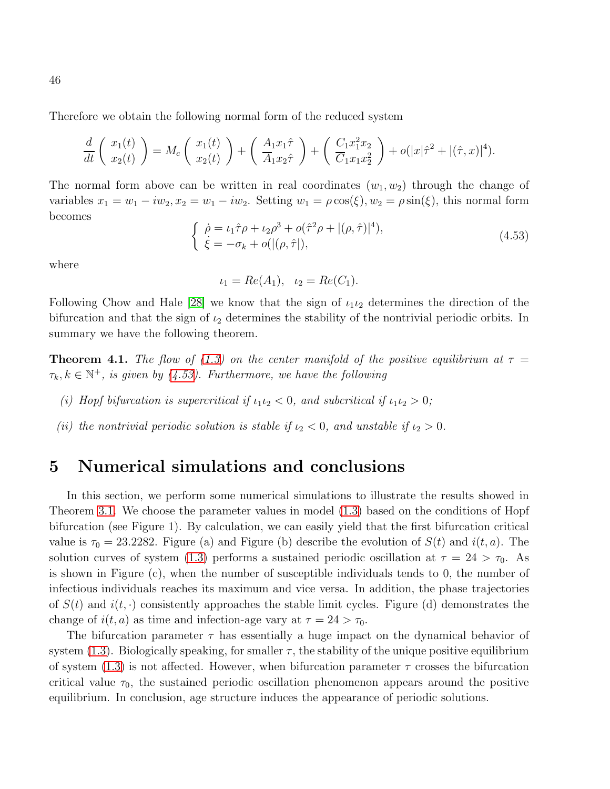Therefore we obtain the following normal form of the reduced system

$$
\frac{d}{dt}\left(\begin{array}{c}x_1(t)\\x_2(t)\end{array}\right) = M_c\left(\begin{array}{c}x_1(t)\\x_2(t)\end{array}\right) + \left(\begin{array}{c}A_1x_1\hat{\tau}\\A_1x_2\hat{\tau}\end{array}\right) + \left(\begin{array}{c}C_1x_1^2x_2\\C_1x_1x_2^2\end{array}\right) + o(|x|\hat{\tau}^2 + |(\hat{\tau},x)|^4).
$$

The normal form above can be written in real coordinates  $(w_1, w_2)$  through the change of variables  $x_1 = w_1 - iw_2$ ,  $x_2 = w_1 - iw_2$ . Setting  $w_1 = \rho \cos(\xi)$ ,  $w_2 = \rho \sin(\xi)$ , this normal form becomes

<span id="page-45-0"></span>
$$
\begin{cases}\n\dot{\rho} = \iota_1 \hat{\tau} \rho + \iota_2 \rho^3 + o(\hat{\tau}^2 \rho + |(\rho, \hat{\tau})|^4), \\
\dot{\xi} = -\sigma_k + o(|(\rho, \hat{\tau}|),\n\end{cases} (4.53)
$$

where

$$
\iota_1 = Re(A_1), \quad \iota_2 = Re(C_1).
$$

Following Chow and Hale [\[28\]](#page-48-10) we know that the sign of  $\iota_1 \iota_2$  determines the direction of the bifurcation and that the sign of  $\iota_2$  determines the stability of the nontrivial periodic orbits. In summary we have the following theorem.

**Theorem 4.1.** The flow of [\(1.3\)](#page-2-1) on the center manifold of the positive equilibrium at  $\tau =$  $\tau_k, k \in \mathbb{N}^+$ , is given by [\(4.53\)](#page-45-0). Furthermore, we have the following

- (i) Hopf bifurcation is supercritical if  $\iota_1 \iota_2 < 0$ , and subcritical if  $\iota_1 \iota_2 > 0$ ;
- (ii) the nontrivial periodic solution is stable if  $\iota_2 < 0$ , and unstable if  $\iota_2 > 0$ .

### 5 Numerical simulations and conclusions

In this section, we perform some numerical simulations to illustrate the results showed in Theorem [3.1.](#page-13-0) We choose the parameter values in model [\(1.3\)](#page-2-1) based on the conditions of Hopf bifurcation (see Figure 1). By calculation, we can easily yield that the first bifurcation critical value is  $\tau_0 = 23.2282$ . Figure (a) and Figure (b) describe the evolution of  $S(t)$  and  $i(t, a)$ . The solution curves of system [\(1.3\)](#page-2-1) performs a sustained periodic oscillation at  $\tau = 24 > \tau_0$ . As is shown in Figure (c), when the number of susceptible individuals tends to 0, the number of infectious individuals reaches its maximum and vice versa. In addition, the phase trajectories of  $S(t)$  and  $i(t, \cdot)$  consistently approaches the stable limit cycles. Figure (d) demonstrates the change of  $i(t, a)$  as time and infection-age vary at  $\tau = 24 > \tau_0$ .

The bifurcation parameter  $\tau$  has essentially a huge impact on the dynamical behavior of system [\(1.3\)](#page-2-1). Biologically speaking, for smaller  $\tau$ , the stability of the unique positive equilibrium of system  $(1.3)$  is not affected. However, when bifurcation parameter  $\tau$  crosses the bifurcation critical value  $\tau_0$ , the sustained periodic oscillation phenomenon appears around the positive equilibrium. In conclusion, age structure induces the appearance of periodic solutions.

46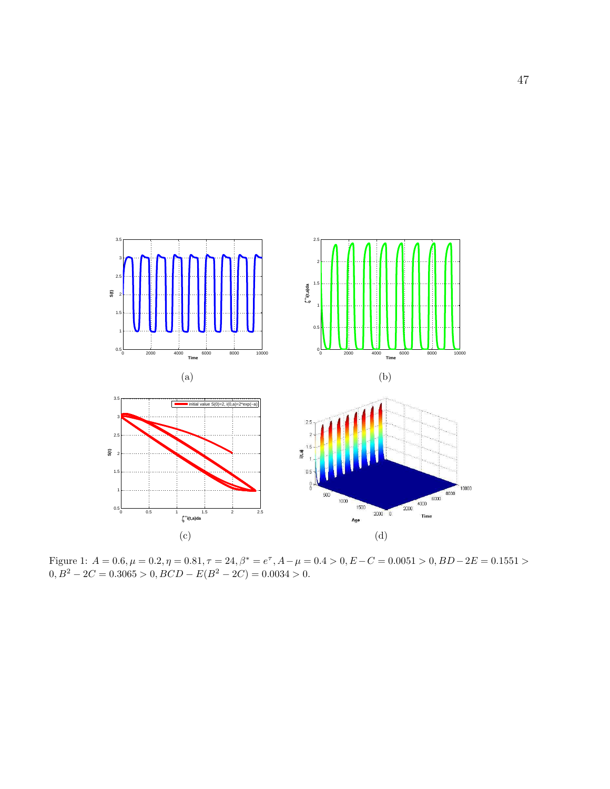

Figure 1:  $A = 0.6$ ,  $\mu = 0.2$ ,  $\eta = 0.81$ ,  $\tau = 24$ ,  $\beta^* = e^{\tau}$ ,  $A - \mu = 0.4 > 0$ ,  $E - C = 0.0051 > 0$ ,  $BD - 2E = 0.1551 >$  $0, B^2 - 2C = 0.3065 > 0, BCD - E(B^2 - 2C) = 0.0034 > 0.$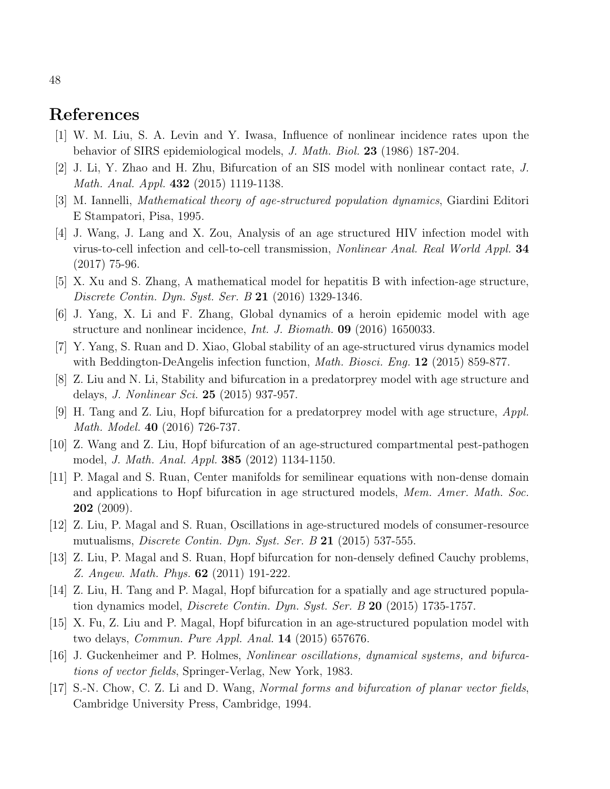# <span id="page-47-0"></span>References

- <span id="page-47-1"></span>[1] W. M. Liu, S. A. Levin and Y. Iwasa, Influence of nonlinear incidence rates upon the behavior of SIRS epidemiological models, J. Math. Biol. 23 (1986) 187-204.
- <span id="page-47-2"></span>[2] J. Li, Y. Zhao and H. Zhu, Bifurcation of an SIS model with nonlinear contact rate, J. Math. Anal. Appl. **432** (2015) 1119-1138.
- <span id="page-47-4"></span>[3] M. Iannelli, Mathematical theory of age-structured population dynamics, Giardini Editori E Stampatori, Pisa, 1995.
- [4] J. Wang, J. Lang and X. Zou, Analysis of an age structured HIV infection model with virus-to-cell infection and cell-to-cell transmission, Nonlinear Anal. Real World Appl. 34 (2017) 75-96.
- <span id="page-47-5"></span>[5] X. Xu and S. Zhang, A mathematical model for hepatitis B with infection-age structure, Discrete Contin. Dyn. Syst. Ser. B 21 (2016) 1329-1346.
- <span id="page-47-6"></span>[6] J. Yang, X. Li and F. Zhang, Global dynamics of a heroin epidemic model with age structure and nonlinear incidence, Int. J. Biomath. 09 (2016) 1650033.
- <span id="page-47-7"></span>[7] Y. Yang, S. Ruan and D. Xiao, Global stability of an age-structured virus dynamics model with Beddington-DeAngelis infection function, *Math. Biosci. Eng.* **12** (2015) 859-877.
- [8] Z. Liu and N. Li, Stability and bifurcation in a predatorprey model with age structure and delays, J. Nonlinear Sci. 25 (2015) 937-957.
- <span id="page-47-12"></span>[9] H. Tang and Z. Liu, Hopf bifurcation for a predatorprey model with age structure, Appl. Math. Model. 40 (2016) 726-737.
- <span id="page-47-3"></span>[10] Z. Wang and Z. Liu, Hopf bifurcation of an age-structured compartmental pest-pathogen model, J. Math. Anal. Appl. 385 (2012) 1134-1150.
- [11] P. Magal and S. Ruan, Center manifolds for semilinear equations with non-dense domain and applications to Hopf bifurcation in age structured models, Mem. Amer. Math. Soc. 202 (2009).
- <span id="page-47-11"></span>[12] Z. Liu, P. Magal and S. Ruan, Oscillations in age-structured models of consumer-resource mutualisms, *Discrete Contin. Dyn. Syst. Ser. B* 21 $(2015)$  537-555.
- [13] Z. Liu, P. Magal and S. Ruan, Hopf bifurcation for non-densely defined Cauchy problems, Z. Angew. Math. Phys. 62 (2011) 191-222.
- <span id="page-47-8"></span>[14] Z. Liu, H. Tang and P. Magal, Hopf bifurcation for a spatially and age structured population dynamics model, *Discrete Contin. Dyn. Syst. Ser. B* 20 (2015) 1735-1757.
- <span id="page-47-9"></span>[15] X. Fu, Z. Liu and P. Magal, Hopf bifurcation in an age-structured population model with two delays, Commun. Pure Appl. Anal. 14 (2015) 657676.
- <span id="page-47-10"></span>[16] J. Guckenheimer and P. Holmes, Nonlinear oscillations, dynamical systems, and bifurcations of vector fields, Springer-Verlag, New York, 1983.
- [17] S.-N. Chow, C. Z. Li and D. Wang, Normal forms and bifurcation of planar vector fields, Cambridge University Press, Cambridge, 1994.